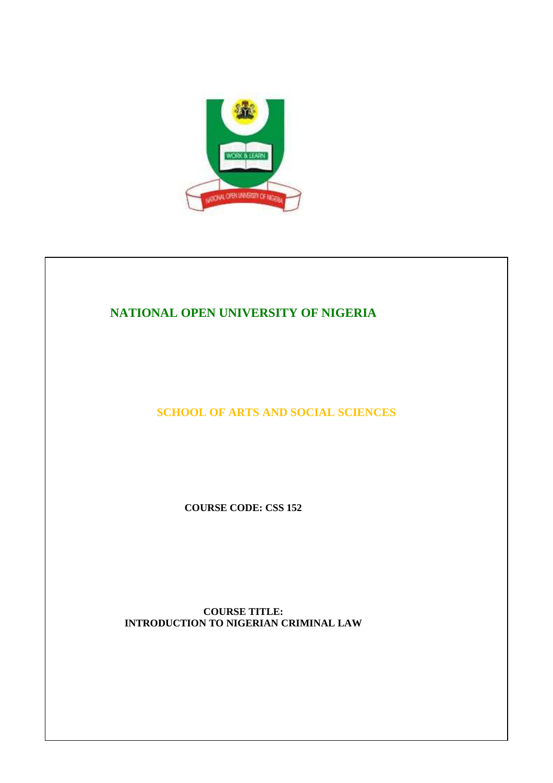

# **NATIONAL OPEN UNIVERSITY OF NIGERIA**

**SCHOOL OF ARTS AND SOCIAL SCIENCES** 

**COURSE CODE: CSS 152**

**COURSE TITLE: INTRODUCTION TO NIGERIAN CRIMINAL LAW**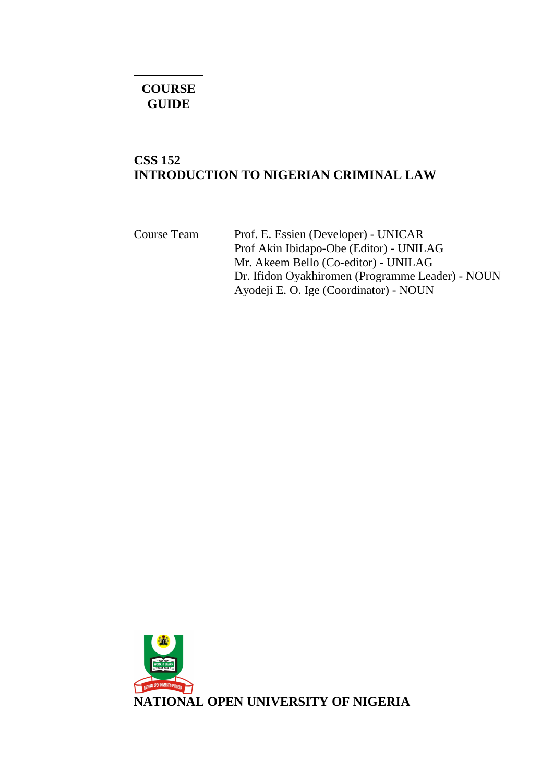# **COURSE GUIDE**

# **CSS 152 INTRODUCTION TO NIGERIAN CRIMINAL LAW**

| Course Team | Prof. E. Essien (Developer) - UNICAR             |
|-------------|--------------------------------------------------|
|             | Prof Akin Ibidapo-Obe (Editor) - UNILAG          |
|             | Mr. Akeem Bello (Co-editor) - UNILAG             |
|             | Dr. Ifidon Oyakhiromen (Programme Leader) - NOUN |
|             | Ayodeji E. O. Ige (Coordinator) - NOUN           |

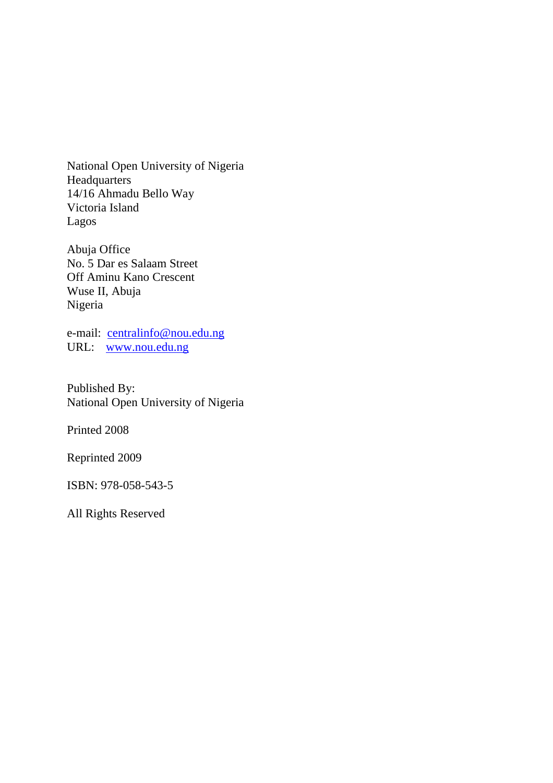National Open University of Nigeria **Headquarters** 14/16 Ahmadu Bello Way Victoria Island Lagos

Abuja Office No. 5 Dar es Salaam Street Off Aminu Kano Crescent Wuse II, Abuja Nigeria

e-mail: centralinfo@nou.edu.ng URL: www.nou.edu.ng

Published By: National Open University of Nigeria

Printed 2008

Reprinted 2009

ISBN: 978-058-543-5

All Rights Reserved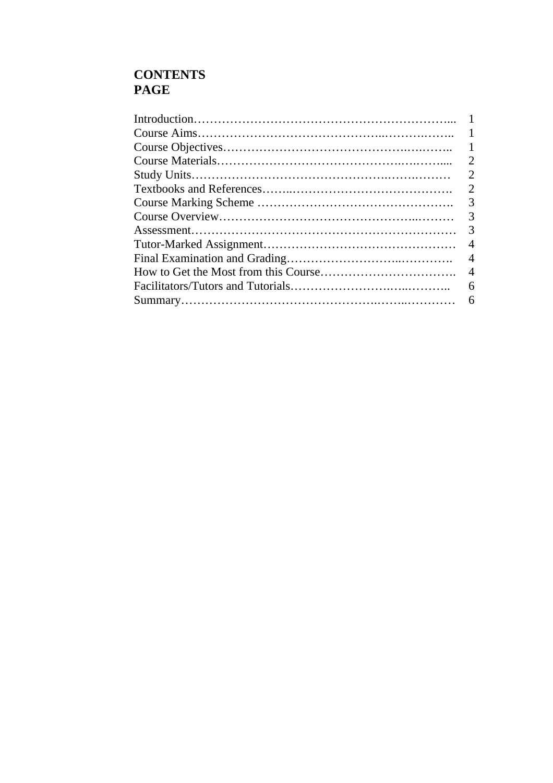# **CONTENTS PAGE**

| -1             |
|----------------|
| $\mathbf{1}$   |
| $\overline{2}$ |
| $\overline{2}$ |
| $\overline{2}$ |
| 3              |
| 3              |
| 3              |
| $\overline{4}$ |
| $\overline{4}$ |
| $\overline{4}$ |
| 6              |
|                |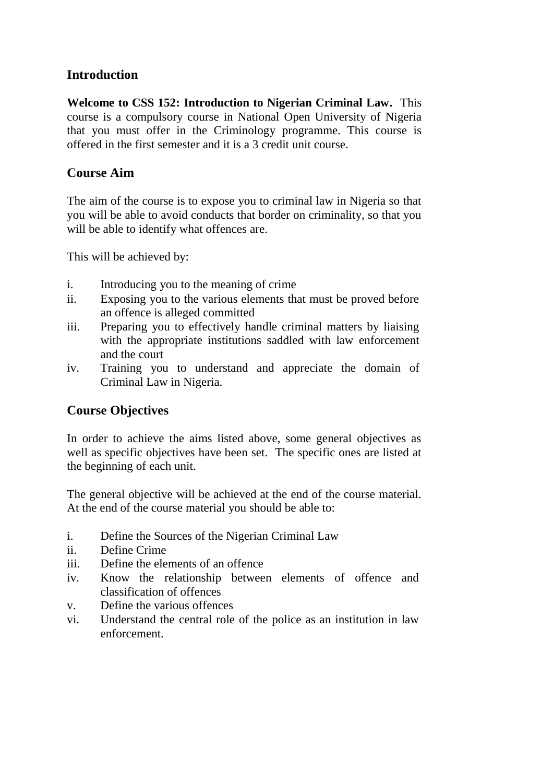# **Introduction**

**Welcome to CSS 152: Introduction to Nigerian Criminal Law.** This course is a compulsory course in National Open University of Nigeria that you must offer in the Criminology programme. This course is offered in the first semester and it is a 3 credit unit course.

# **Course Aim**

The aim of the course is to expose you to criminal law in Nigeria so that you will be able to avoid conducts that border on criminality, so that you will be able to identify what offences are.

This will be achieved by:

- i. Introducing you to the meaning of crime
- ii. Exposing you to the various elements that must be proved before an offence is alleged committed
- iii. Preparing you to effectively handle criminal matters by liaising with the appropriate institutions saddled with law enforcement and the court
- iv. Training you to understand and appreciate the domain of Criminal Law in Nigeria.

# **Course Objectives**

In order to achieve the aims listed above, some general objectives as well as specific objectives have been set. The specific ones are listed at the beginning of each unit.

The general objective will be achieved at the end of the course material. At the end of the course material you should be able to:

- i. Define the Sources of the Nigerian Criminal Law
- ii. Define Crime
- iii. Define the elements of an offence
- iv. Know the relationship between elements of offence and classification of offences
- v. Define the various offences
- vi. Understand the central role of the police as an institution in law enforcement.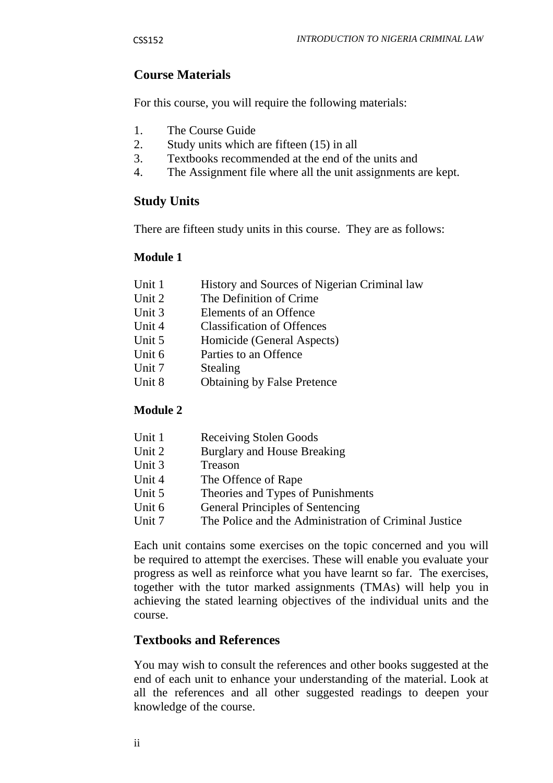# **Course Materials**

For this course, you will require the following materials:

- 1. The Course Guide
- 2. Study units which are fifteen (15) in all
- 3. Textbooks recommended at the end of the units and
- 4. The Assignment file where all the unit assignments are kept.

# **Study Units**

There are fifteen study units in this course. They are as follows:

# **Module 1**

- Unit 1 History and Sources of Nigerian Criminal law
- Unit 2 The Definition of Crime
- Unit 3 Elements of an Offence
- Unit 4 Classification of Offences
- Unit 5 Homicide (General Aspects)
- Unit 6 Parties to an Offence
- Unit 7 Stealing
- Unit 8 Obtaining by False Pretence

# **Module 2**

| Unit 1 | <b>Receiving Stolen Goods</b>        |
|--------|--------------------------------------|
| Unit 2 | <b>Burglary and House Breaking</b>   |
| Unit 3 | Treason                              |
| Unit 4 | The Offence of Rape                  |
| Unit 5 | Theories and Types of Punishments    |
| Unit 6 | General Principles of Sentencing     |
| Unit 7 | The Police and the Administration of |

Each unit contains some exercises on the topic concerned and you will be required to attempt the exercises. These will enable you evaluate your progress as well as reinforce what you have learnt so far. The exercises, together with the tutor marked assignments (TMAs) will help you in achieving the stated learning objectives of the individual units and the course.

Criminal Justice

# **Textbooks and References**

You may wish to consult the references and other books suggested at the end of each unit to enhance your understanding of the material. Look at all the references and all other suggested readings to deepen your knowledge of the course.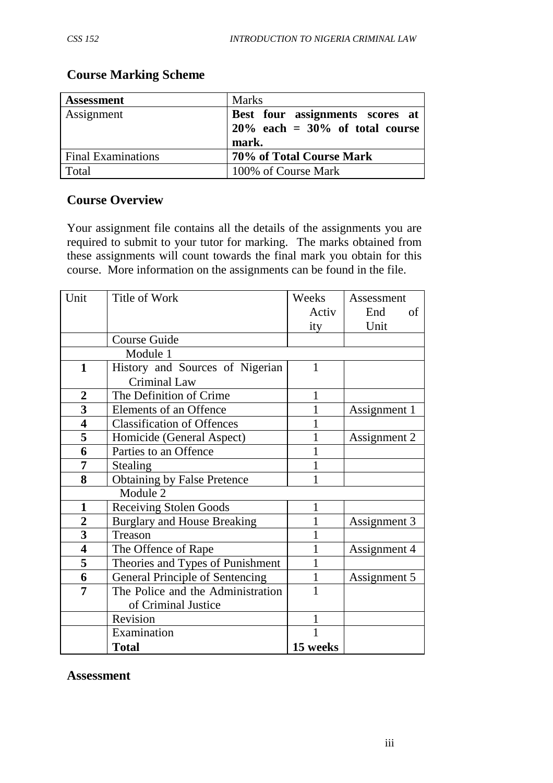| <b>Assessment</b>         | <b>Marks</b>                                                                             |
|---------------------------|------------------------------------------------------------------------------------------|
| Assignment                | Best four assignments scores at<br>$\frac{120\%}{ }$ each = 30% of total course<br>mark. |
| <b>Final Examinations</b> | 70% of Total Course Mark                                                                 |
| Total                     | 100% of Course Mark                                                                      |

## **Course Marking Scheme**

## **Course Overview**

Your assignment file contains all the details of the assignments you are required to submit to your tutor for marking. The marks obtained from these assignments will count towards the final mark you obtain for this course. More information on the assignments can be found in the file.

| Unit                    | Title of Work                      | Weeks    | Assessment   |
|-------------------------|------------------------------------|----------|--------------|
|                         |                                    | Activ    | End<br>of    |
|                         |                                    | ity      | Unit         |
|                         | Course Guide                       |          |              |
|                         | Module 1                           |          |              |
| $\mathbf{1}$            | History and Sources of Nigerian    | 1        |              |
|                         | Criminal Law                       |          |              |
| $\overline{2}$          | The Definition of Crime            | 1        |              |
| $\overline{\mathbf{3}}$ | Elements of an Offence             | 1        | Assignment 1 |
| $\overline{\bf{4}}$     | <b>Classification of Offences</b>  |          |              |
| 5                       | Homicide (General Aspect)          | 1        | Assignment 2 |
| 6                       | Parties to an Offence              | 1        |              |
| 7                       | Stealing                           | 1        |              |
| 8                       | <b>Obtaining by False Pretence</b> | 1        |              |
| Module 2                |                                    |          |              |
| 1                       | <b>Receiving Stolen Goods</b>      | 1        |              |
| $\overline{2}$          | <b>Burglary and House Breaking</b> |          | Assignment 3 |
| 3                       | Treason                            |          |              |
| $\overline{\mathbf{4}}$ | The Offence of Rape                | 1        | Assignment 4 |
| 5                       | Theories and Types of Punishment   | 1        |              |
| 6                       | General Principle of Sentencing    | 1        | Assignment 5 |
| 7                       | The Police and the Administration  | 1        |              |
|                         | of Criminal Justice                |          |              |
|                         | Revision                           | 1        |              |
|                         | Examination                        |          |              |
|                         | <b>Total</b>                       | 15 weeks |              |

**Assessment**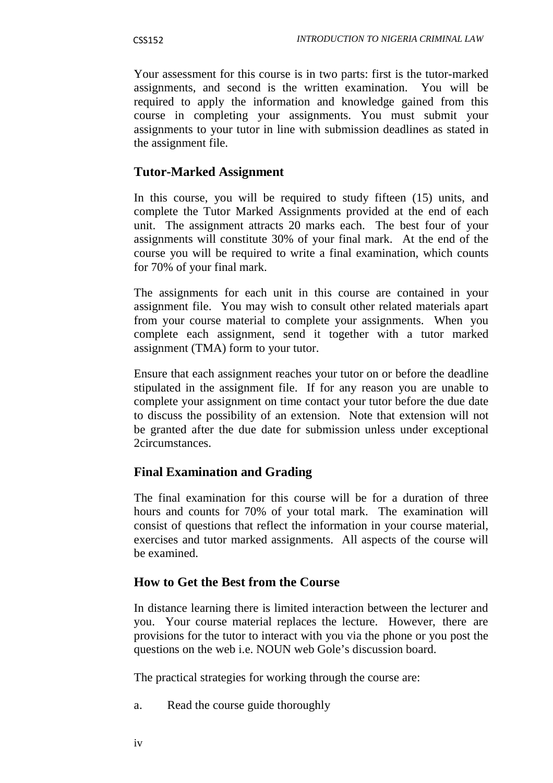Your assessment for this course is in two parts: first is the tutor-marked assignments, and second is the written examination. You will be required to apply the information and knowledge gained from this course in completing your assignments. You must submit your assignments to your tutor in line with submission deadlines as stated in the assignment file.

## **Tutor-Marked Assignment**

In this course, you will be required to study fifteen (15) units, and complete the Tutor Marked Assignments provided at the end of each unit. The assignment attracts 20 marks each. The best four of your assignments will constitute 30% of your final mark. At the end of the course you will be required to write a final examination, which counts for 70% of your final mark.

The assignments for each unit in this course are contained in your assignment file. You may wish to consult other related materials apart from your course material to complete your assignments. When you complete each assignment, send it together with a tutor marked assignment (TMA) form to your tutor.

Ensure that each assignment reaches your tutor on or before the deadline stipulated in the assignment file. If for any reason you are unable to complete your assignment on time contact your tutor before the due date to discuss the possibility of an extension. Note that extension will not be granted after the due date for submission unless under exceptional 2circumstances.

# **Final Examination and Grading**

The final examination for this course will be for a duration of three hours and counts for 70% of your total mark. The examination will consist of questions that reflect the information in your course material, exercises and tutor marked assignments. All aspects of the course will be examined.

# **How to Get the Best from the Course**

In distance learning there is limited interaction between the lecturer and you. Your course material replaces the lecture. However, there are provisions for the tutor to interact with you via the phone or you post the questions on the web i.e. NOUN web Gole's discussion board.

The practical strategies for working through the course are:

a. Read the course guide thoroughly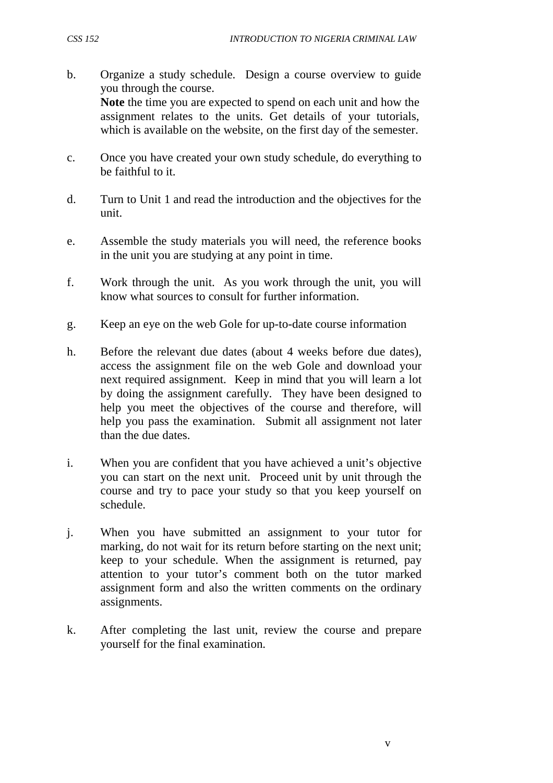- 
- b. Organize a study schedule. Design a course overview to guide you through the course. **Note** the time you are expected to spend on each unit and how the assignment relates to the units. Get details of your tutorials, which is available on the website, on the first day of the semester.
- c. Once you have created your own study schedule, do everything to be faithful to it.
- d. Turn to Unit 1 and read the introduction and the objectives for the unit.
- e. Assemble the study materials you will need, the reference books in the unit you are studying at any point in time.
- f. Work through the unit. As you work through the unit, you will know what sources to consult for further information.
- g. Keep an eye on the web Gole for up-to-date course information
- h. Before the relevant due dates (about 4 weeks before due dates), access the assignment file on the web Gole and download your next required assignment. Keep in mind that you will learn a lot by doing the assignment carefully. They have been designed to help you meet the objectives of the course and therefore, will help you pass the examination. Submit all assignment not later than the due dates.
- i. When you are confident that you have achieved a unit's objective you can start on the next unit. Proceed unit by unit through the course and try to pace your study so that you keep yourself on schedule.
- j. When you have submitted an assignment to your tutor for marking, do not wait for its return before starting on the next unit; keep to your schedule. When the assignment is returned, pay attention to your tutor's comment both on the tutor marked assignment form and also the written comments on the ordinary assignments.
- k. After completing the last unit, review the course and prepare yourself for the final examination.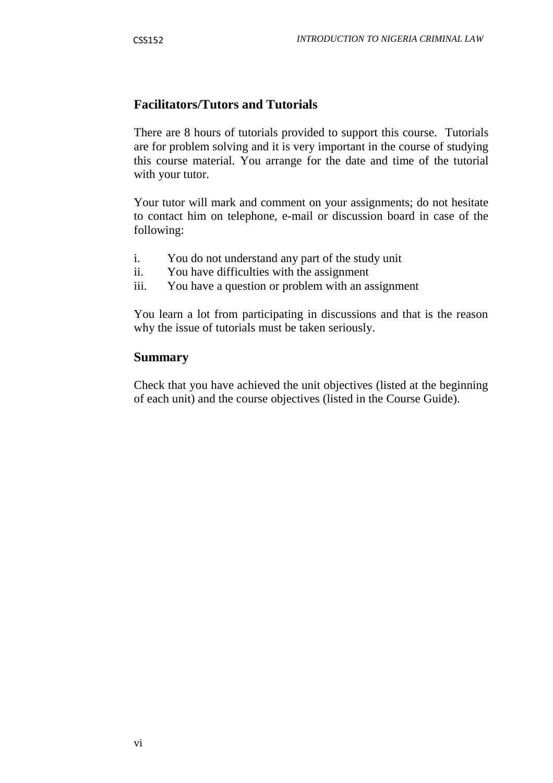## **Facilitators/Tutors and Tutorials**

There are 8 hours of tutorials provided to support this course. Tutorials are for problem solving and it is very important in the course of studying this course material. You arrange for the date and time of the tutorial with your tutor.

Your tutor will mark and comment on your assignments; do not hesitate to contact him on telephone, e-mail or discussion board in case of the following:

- i. You do not understand any part of the study unit
- ii. You have difficulties with the assignment
- iii. You have a question or problem with an assignment

You learn a lot from participating in discussions and that is the reason why the issue of tutorials must be taken seriously.

#### **Summary**

Check that you have achieved the unit objectives (listed at the beginning of each unit) and the course objectives (listed in the Course Guide).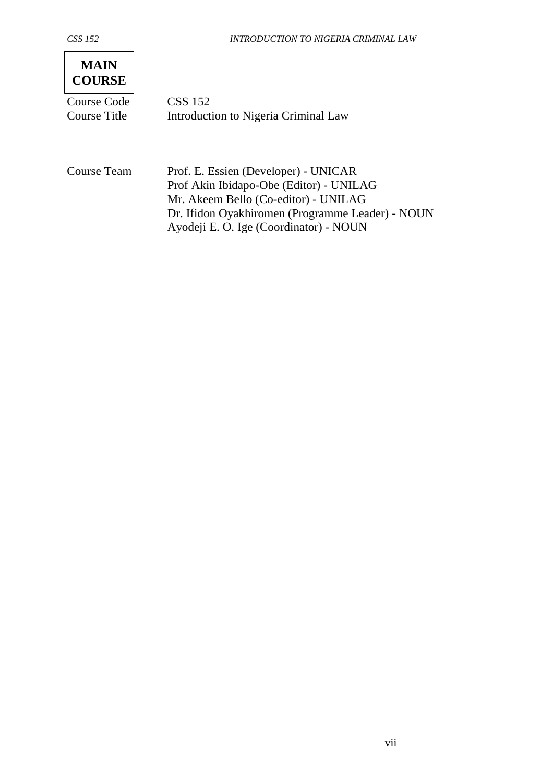

Course Code CSS 152

Course Title Introduction to Nigeria Criminal Law

Course Team Prof. E. Essien (Developer) - UNICAR Prof Akin Ibidapo-Obe (Editor) - UNILAG Mr. Akeem Bello (Co-editor) - UNILAG Dr. Ifidon Oyakhiromen (Programme Leader) - NOUN Ayodeji E. O. Ige (Coordinator) - NOUN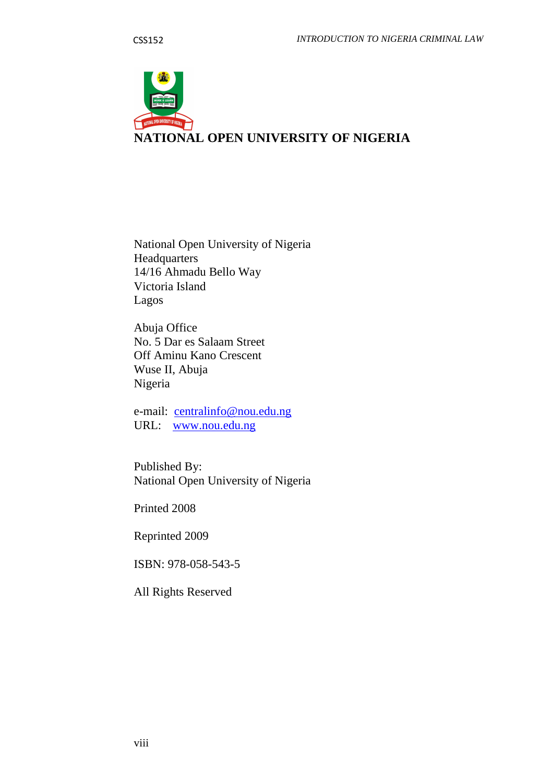

# National Open University of Nigeria Headquarters 14/16 Ahmadu Bello Way Victoria Island Lagos

Abuja Office No. 5 Dar es Salaam Street Off Aminu Kano Crescent Wuse II, Abuja Nigeria

e-mail: centralinfo@nou.edu.ng URL: www.nou.edu.ng

Published By: National Open University of Nigeria

Printed 2008

Reprinted 2009

ISBN: 978-058-543-5

All Rights Reserved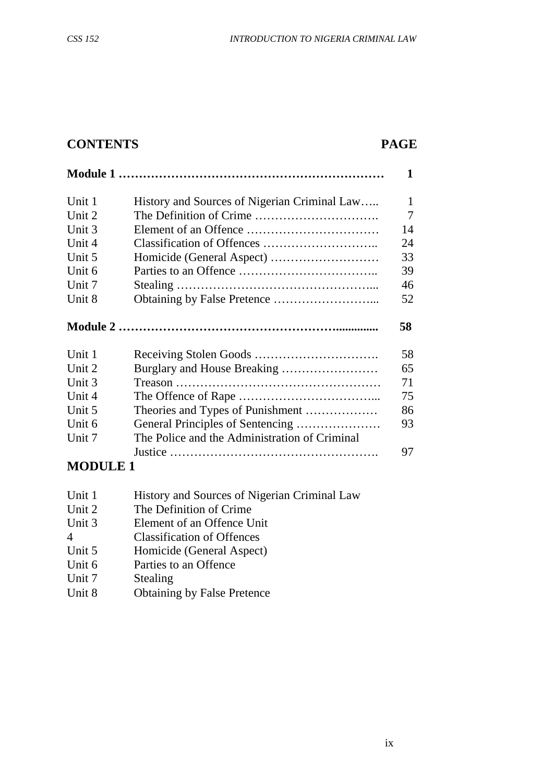# **CONTENTS PAGE**

|                 |                                               | 1  |
|-----------------|-----------------------------------------------|----|
| Unit 1          | History and Sources of Nigerian Criminal Law  | 1  |
| Unit 2          |                                               | 7  |
| Unit 3          |                                               | 14 |
| Unit 4          |                                               | 24 |
| Unit 5          |                                               | 33 |
| Unit 6          |                                               | 39 |
| Unit 7          |                                               | 46 |
| Unit 8          |                                               | 52 |
|                 |                                               | 58 |
| Unit 1          |                                               | 58 |
| Unit 2          | Burglary and House Breaking                   | 65 |
| Unit 3          |                                               | 71 |
| Unit 4          |                                               | 75 |
| Unit 5          | Theories and Types of Punishment              | 86 |
| Unit 6          | General Principles of Sentencing              | 93 |
| Unit 7          | The Police and the Administration of Criminal |    |
|                 |                                               | 97 |
| <b>MODULE 1</b> |                                               |    |

| Unit 1         | History and Sources of Nigerian Criminal Law |
|----------------|----------------------------------------------|
| Unit 2         | The Definition of Crime                      |
| Unit 3         | Element of an Offence Unit                   |
| $\overline{4}$ | <b>Classification of Offences</b>            |
| Unit 5         | Homicide (General Aspect)                    |
| Unit 6         | Parties to an Offence                        |
| Unit 7         | Stealing                                     |
| Unit 8         | <b>Obtaining by False Pretence</b>           |
|                |                                              |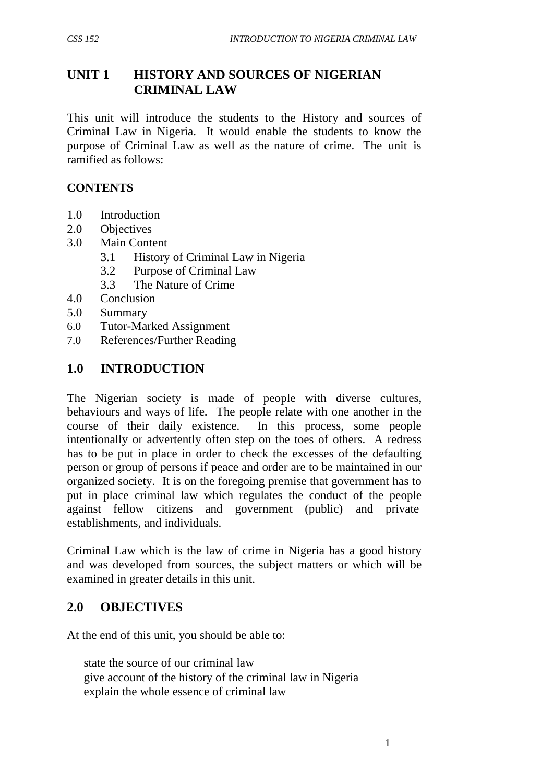# **UNIT 1 HISTORY AND SOURCES OF NIGERIAN CRIMINAL LAW**

This unit will introduce the students to the History and sources of Criminal Law in Nigeria. It would enable the students to know the purpose of Criminal Law as well as the nature of crime. The unit is ramified as follows:

## **CONTENTS**

- 1.0 Introduction
- 2.0 Objectives
- 3.0 Main Content
	- 3.1 History of Criminal Law in Nigeria
	- 3.2 Purpose of Criminal Law
	- 3.3 The Nature of Crime
- 4.0 Conclusion
- 5.0 Summary
- 6.0 Tutor-Marked Assignment
- 7.0 References/Further Reading

## **1.0 INTRODUCTION**

The Nigerian society is made of people with diverse cultures, behaviours and ways of life. The people relate with one another in the course of their daily existence. In this process, some people intentionally or advertently often step on the toes of others. A redress has to be put in place in order to check the excesses of the defaulting person or group of persons if peace and order are to be maintained in our organized society. It is on the foregoing premise that government has to put in place criminal law which regulates the conduct of the people against fellow citizens and government (public) and private establishments, and individuals.

Criminal Law which is the law of crime in Nigeria has a good history and was developed from sources, the subject matters or which will be examined in greater details in this unit.

### **2.0 OBJECTIVES**

At the end of this unit, you should be able to:

state the source of our criminal law give account of the history of the criminal law in Nigeria explain the whole essence of criminal law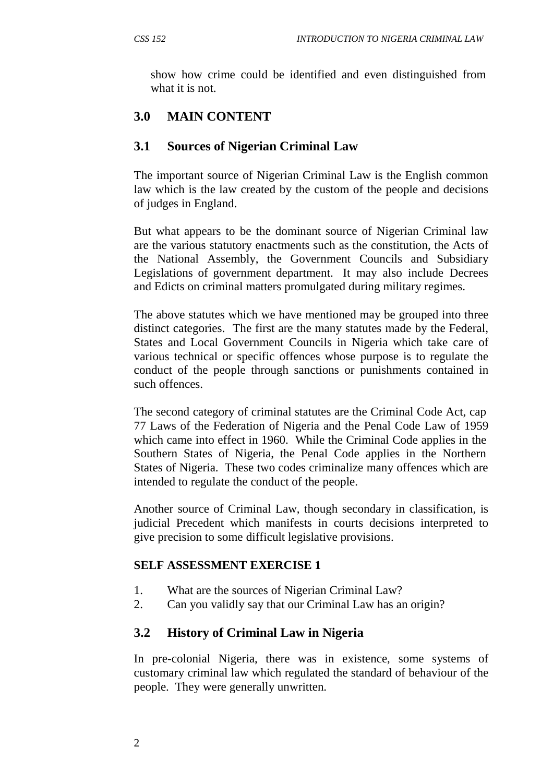show how crime could be identified and even distinguished from what it is not.

# **3.0 MAIN CONTENT**

# **3.1 Sources of Nigerian Criminal Law**

The important source of Nigerian Criminal Law is the English common law which is the law created by the custom of the people and decisions of judges in England.

But what appears to be the dominant source of Nigerian Criminal law are the various statutory enactments such as the constitution, the Acts of the National Assembly, the Government Councils and Subsidiary Legislations of government department. It may also include Decrees and Edicts on criminal matters promulgated during military regimes.

The above statutes which we have mentioned may be grouped into three distinct categories. The first are the many statutes made by the Federal, States and Local Government Councils in Nigeria which take care of various technical or specific offences whose purpose is to regulate the conduct of the people through sanctions or punishments contained in such offences.

The second category of criminal statutes are the Criminal Code Act, cap 77 Laws of the Federation of Nigeria and the Penal Code Law of 1959 which came into effect in 1960. While the Criminal Code applies in the Southern States of Nigeria, the Penal Code applies in the Northern States of Nigeria. These two codes criminalize many offences which are intended to regulate the conduct of the people.

Another source of Criminal Law, though secondary in classification, is judicial Precedent which manifests in courts decisions interpreted to give precision to some difficult legislative provisions.

### **SELF ASSESSMENT EXERCISE 1**

- 1. What are the sources of Nigerian Criminal Law?
- 2. Can you validly say that our Criminal Law has an origin?

# **3.2 History of Criminal Law in Nigeria**

In pre-colonial Nigeria, there was in existence, some systems of customary criminal law which regulated the standard of behaviour of the people. They were generally unwritten.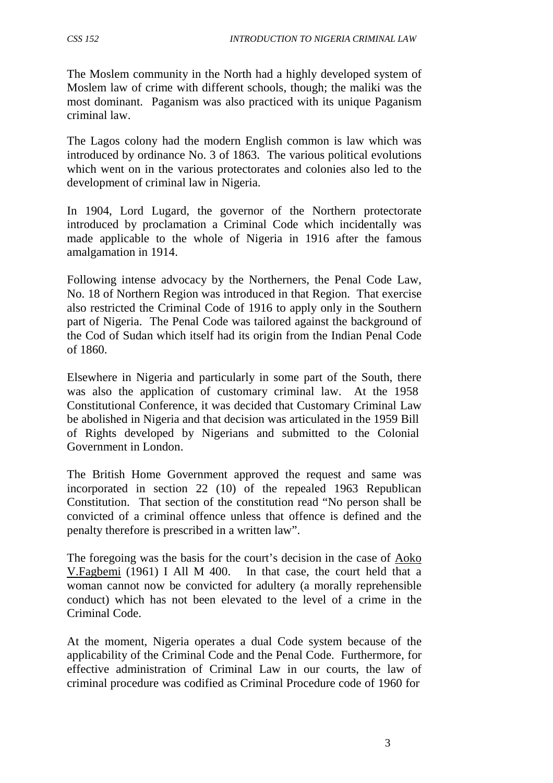The Moslem community in the North had a highly developed system of Moslem law of crime with different schools, though; the maliki was the most dominant. Paganism was also practiced with its unique Paganism criminal law.

The Lagos colony had the modern English common is law which was introduced by ordinance No. 3 of 1863. The various political evolutions which went on in the various protectorates and colonies also led to the development of criminal law in Nigeria.

In 1904, Lord Lugard, the governor of the Northern protectorate introduced by proclamation a Criminal Code which incidentally was made applicable to the whole of Nigeria in 1916 after the famous amalgamation in 1914.

Following intense advocacy by the Northerners, the Penal Code Law, No. 18 of Northern Region was introduced in that Region. That exercise also restricted the Criminal Code of 1916 to apply only in the Southern part of Nigeria. The Penal Code was tailored against the background of the Cod of Sudan which itself had its origin from the Indian Penal Code of 1860.

Elsewhere in Nigeria and particularly in some part of the South, there was also the application of customary criminal law. At the 1958 Constitutional Conference, it was decided that Customary Criminal Law be abolished in Nigeria and that decision was articulated in the 1959 Bill of Rights developed by Nigerians and submitted to the Colonial Government in London.

The British Home Government approved the request and same was incorporated in section 22 (10) of the repealed 1963 Republican Constitution. That section of the constitution read "No person shall be convicted of a criminal offence unless that offence is defined and the penalty therefore is prescribed in a written law".

The foregoing was the basis for the court's decision in the case of Aoko V. Fagbemi (1961) I All M 400. In that case, the court held that a woman cannot now be convicted for adultery (a morally reprehensible conduct) which has not been elevated to the level of a crime in the Criminal Code.

At the moment, Nigeria operates a dual Code system because of the applicability of the Criminal Code and the Penal Code. Furthermore, for effective administration of Criminal Law in our courts, the law of criminal procedure was codified as Criminal Procedure code of 1960 for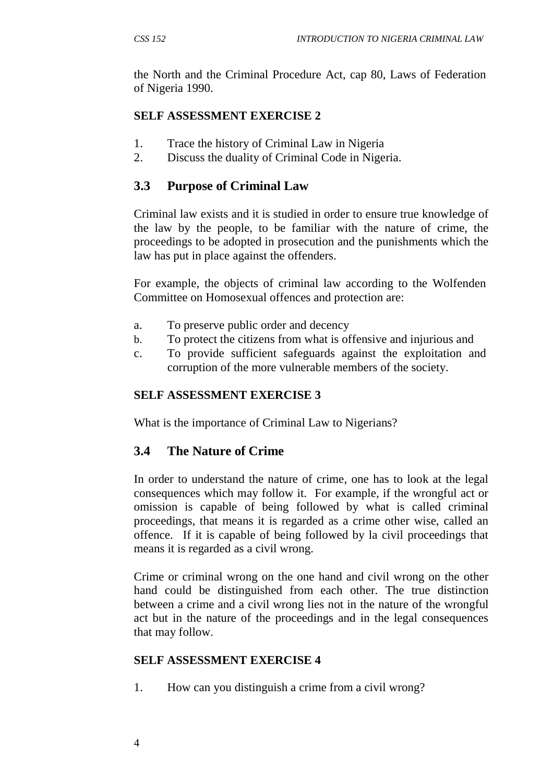the North and the Criminal Procedure Act, cap 80, Laws of Federation of Nigeria 1990.

## **SELF ASSESSMENT EXERCISE 2**

- 1. Trace the history of Criminal Law in Nigeria
- 2. Discuss the duality of Criminal Code in Nigeria.

# **3.3 Purpose of Criminal Law**

Criminal law exists and it is studied in order to ensure true knowledge of the law by the people, to be familiar with the nature of crime, the proceedings to be adopted in prosecution and the punishments which the law has put in place against the offenders.

For example, the objects of criminal law according to the Wolfenden Committee on Homosexual offences and protection are:

- a. To preserve public order and decency
- b. To protect the citizens from what is offensive and injurious and
- c. To provide sufficient safeguards against the exploitation and corruption of the more vulnerable members of the society.

## **SELF ASSESSMENT EXERCISE 3**

What is the importance of Criminal Law to Nigerians?

# **3.4 The Nature of Crime**

In order to understand the nature of crime, one has to look at the legal consequences which may follow it. For example, if the wrongful act or omission is capable of being followed by what is called criminal proceedings, that means it is regarded as a crime other wise, called an offence. If it is capable of being followed by la civil proceedings that means it is regarded as a civil wrong.

Crime or criminal wrong on the one hand and civil wrong on the other hand could be distinguished from each other. The true distinction between a crime and a civil wrong lies not in the nature of the wrongful act but in the nature of the proceedings and in the legal consequences that may follow.

### **SELF ASSESSMENT EXERCISE 4**

1. How can you distinguish a crime from a civil wrong?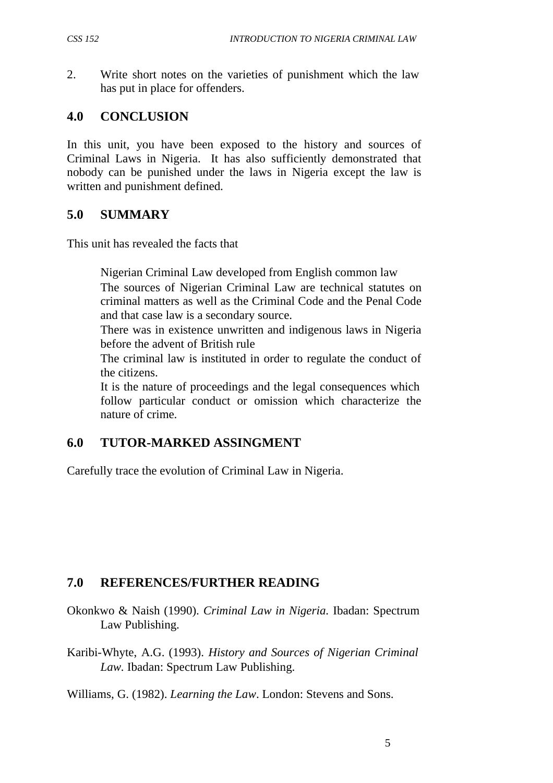2. Write short notes on the varieties of punishment which the law has put in place for offenders.

## **4.0 CONCLUSION**

In this unit, you have been exposed to the history and sources of Criminal Laws in Nigeria. It has also sufficiently demonstrated that nobody can be punished under the laws in Nigeria except the law is written and punishment defined.

## **5.0 SUMMARY**

This unit has revealed the facts that

Nigerian Criminal Law developed from English common law The sources of Nigerian Criminal Law are technical statutes on criminal matters as well as the Criminal Code and the Penal Code and that case law is a secondary source.

There was in existence unwritten and indigenous laws in Nigeria before the advent of British rule

The criminal law is instituted in order to regulate the conduct of the citizens.

It is the nature of proceedings and the legal consequences which follow particular conduct or omission which characterize the nature of crime.

# **6.0 TUTOR-MARKED ASSINGMENT**

Carefully trace the evolution of Criminal Law in Nigeria.

# **7.0 REFERENCES/FURTHER READING**

- Okonkwo & Naish (1990). *Criminal Law in Nigeria.* Ibadan: Spectrum Law Publishing.
- Karibi-Whyte, A.G. (1993). *History and Sources of Nigerian Criminal Law.* Ibadan: Spectrum Law Publishing.

Williams, G. (1982). *Learning the Law*. London: Stevens and Sons.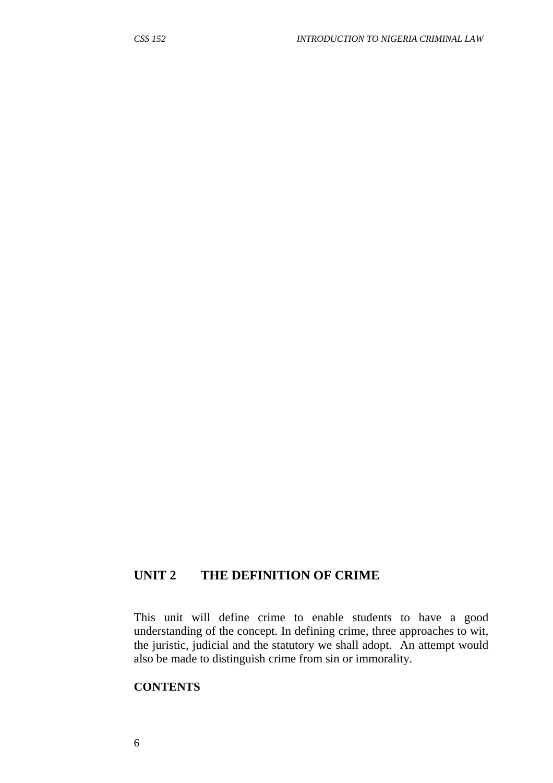# **UNIT 2 THE DEFINITION OF CRIME**

This unit will define crime to enable students to have a good understanding of the concept. In defining crime, three approaches to wit, the juristic, judicial and the statutory we shall adopt. An attempt would also be made to distinguish crime from sin or immorality.

#### **CONTENTS**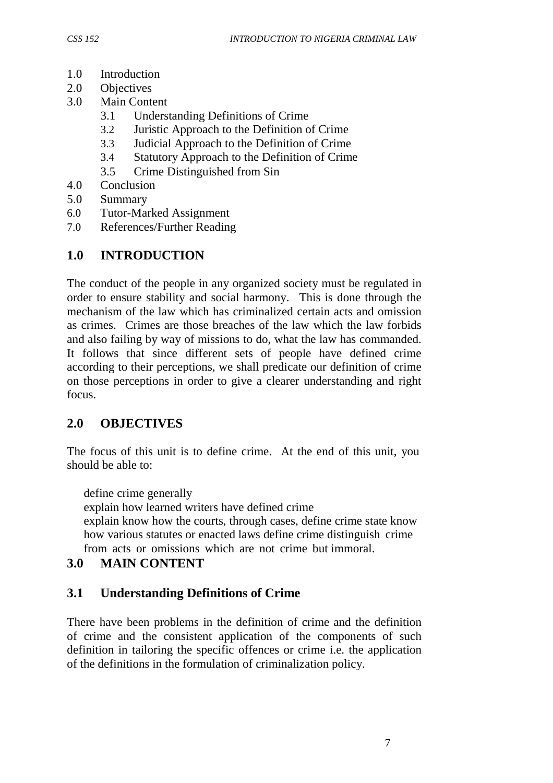- 1.0 Introduction
- 2.0 Objectives
- 3.0 Main Content
	- 3.1 Understanding Definitions of Crime
	- 3.2 Juristic Approach to the Definition of Crime
	- 3.3 Judicial Approach to the Definition of Crime
	- 3.4 Statutory Approach to the Definition of Crime
	- 3.5 Crime Distinguished from Sin
- 4.0 Conclusion
- 5.0 Summary
- 6.0 Tutor-Marked Assignment
- 7.0 References/Further Reading

# **1.0 INTRODUCTION**

The conduct of the people in any organized society must be regulated in order to ensure stability and social harmony. This is done through the mechanism of the law which has criminalized certain acts and omission as crimes. Crimes are those breaches of the law which the law forbids and also failing by way of missions to do, what the law has commanded. It follows that since different sets of people have defined crime according to their perceptions, we shall predicate our definition of crime on those perceptions in order to give a clearer understanding and right focus.

# **2.0 OBJECTIVES**

The focus of this unit is to define crime. At the end of this unit, you should be able to:

define crime generally

explain how learned writers have defined crime

explain know how the courts, through cases, define crime state know how various statutes or enacted laws define crime distinguish crime from acts or omissions which are not crime but immoral.

# **3.0 MAIN CONTENT**

# **3.1 Understanding Definitions of Crime**

There have been problems in the definition of crime and the definition of crime and the consistent application of the components of such definition in tailoring the specific offences or crime i.e. the application of the definitions in the formulation of criminalization policy.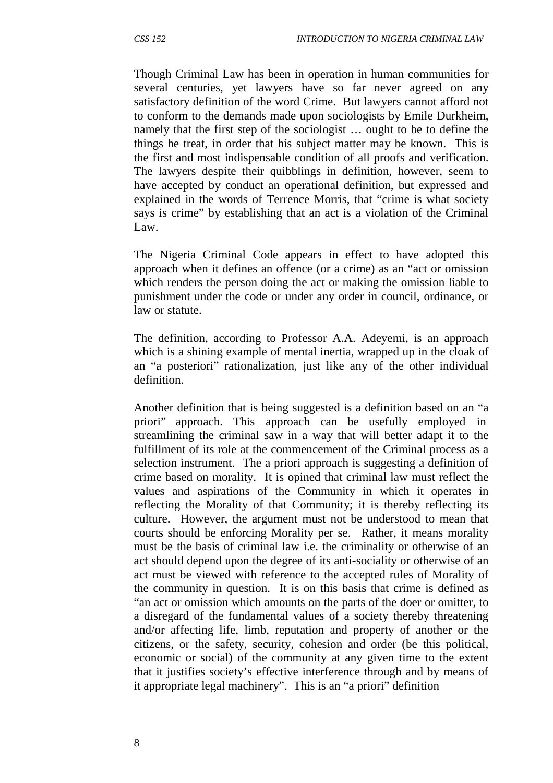Though Criminal Law has been in operation in human communities for several centuries, yet lawyers have so far never agreed on any satisfactory definition of the word Crime. But lawyers cannot afford not to conform to the demands made upon sociologists by Emile Durkheim, namely that the first step of the sociologist … ought to be to define the things he treat, in order that his subject matter may be known. This is the first and most indispensable condition of all proofs and verification. The lawyers despite their quibblings in definition, however, seem to have accepted by conduct an operational definition, but expressed and explained in the words of Terrence Morris, that "crime is what society says is crime" by establishing that an act is a violation of the Criminal Law.

The Nigeria Criminal Code appears in effect to have adopted this approach when it defines an offence (or a crime) as an "act or omission which renders the person doing the act or making the omission liable to punishment under the code or under any order in council, ordinance, or law or statute.

The definition, according to Professor A.A. Adeyemi, is an approach which is a shining example of mental inertia, wrapped up in the cloak of an "a posteriori" rationalization, just like any of the other individual definition.

Another definition that is being suggested is a definition based on an "a priori" approach. This approach can be usefully employed in streamlining the criminal saw in a way that will better adapt it to the fulfillment of its role at the commencement of the Criminal process as a selection instrument. The a priori approach is suggesting a definition of crime based on morality. It is opined that criminal law must reflect the values and aspirations of the Community in which it operates in reflecting the Morality of that Community; it is thereby reflecting its culture. However, the argument must not be understood to mean that courts should be enforcing Morality per se. Rather, it means morality must be the basis of criminal law i.e. the criminality or otherwise of an act should depend upon the degree of its anti-sociality or otherwise of an act must be viewed with reference to the accepted rules of Morality of the community in question. It is on this basis that crime is defined as "an act or omission which amounts on the parts of the doer or omitter, to a disregard of the fundamental values of a society thereby threatening and/or affecting life, limb, reputation and property of another or the citizens, or the safety, security, cohesion and order (be this political, economic or social) of the community at any given time to the extent that it justifies society's effective interference through and by means of it appropriate legal machinery". This is an "a priori" definition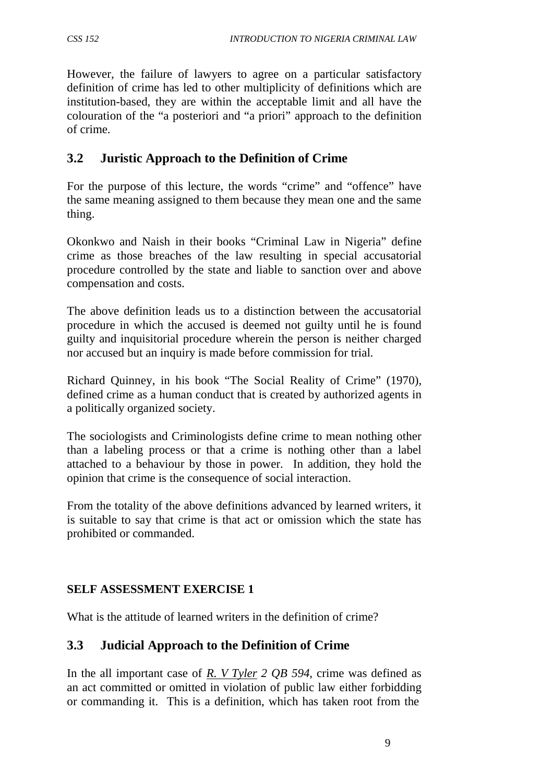However, the failure of lawyers to agree on a particular satisfactory definition of crime has led to other multiplicity of definitions which are institution-based, they are within the acceptable limit and all have the colouration of the "a posteriori and "a priori" approach to the definition of crime.

# **3.2 Juristic Approach to the Definition of Crime**

For the purpose of this lecture, the words "crime" and "offence" have the same meaning assigned to them because they mean one and the same thing.

Okonkwo and Naish in their books "Criminal Law in Nigeria" define crime as those breaches of the law resulting in special accusatorial procedure controlled by the state and liable to sanction over and above compensation and costs.

The above definition leads us to a distinction between the accusatorial procedure in which the accused is deemed not guilty until he is found guilty and inquisitorial procedure wherein the person is neither charged nor accused but an inquiry is made before commission for trial.

Richard Quinney, in his book "The Social Reality of Crime" (1970), defined crime as a human conduct that is created by authorized agents in a politically organized society.

The sociologists and Criminologists define crime to mean nothing other than a labeling process or that a crime is nothing other than a label attached to a behaviour by those in power. In addition, they hold the opinion that crime is the consequence of social interaction.

From the totality of the above definitions advanced by learned writers, it is suitable to say that crime is that act or omission which the state has prohibited or commanded.

### **SELF ASSESSMENT EXERCISE 1**

What is the attitude of learned writers in the definition of crime?

# **3.3 Judicial Approach to the Definition of Crime**

In the all important case of *R. V Tyler 2 QB 594,* crime was defined as an act committed or omitted in violation of public law either forbidding or commanding it. This is a definition, which has taken root from the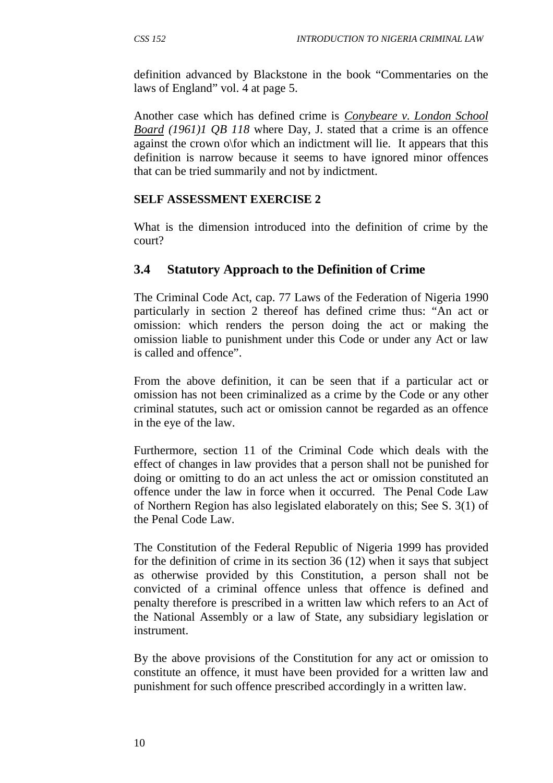definition advanced by Blackstone in the book "Commentaries on the laws of England" vol. 4 at page 5.

Another case which has defined crime is *Conybeare v. London School Board (1961)1 QB 118* where Day, J. stated that a crime is an offence against the crown o\for which an indictment will lie. It appears that this definition is narrow because it seems to have ignored minor offences that can be tried summarily and not by indictment.

### **SELF ASSESSMENT EXERCISE 2**

What is the dimension introduced into the definition of crime by the court?

# **3.4 Statutory Approach to the Definition of Crime**

The Criminal Code Act, cap. 77 Laws of the Federation of Nigeria 1990 particularly in section 2 thereof has defined crime thus: "An act or omission: which renders the person doing the act or making the omission liable to punishment under this Code or under any Act or law is called and offence".

From the above definition, it can be seen that if a particular act or omission has not been criminalized as a crime by the Code or any other criminal statutes, such act or omission cannot be regarded as an offence in the eye of the law.

Furthermore, section 11 of the Criminal Code which deals with the effect of changes in law provides that a person shall not be punished for doing or omitting to do an act unless the act or omission constituted an offence under the law in force when it occurred. The Penal Code Law of Northern Region has also legislated elaborately on this; See S. 3(1) of the Penal Code Law.

The Constitution of the Federal Republic of Nigeria 1999 has provided for the definition of crime in its section 36 (12) when it says that subject as otherwise provided by this Constitution, a person shall not be convicted of a criminal offence unless that offence is defined and penalty therefore is prescribed in a written law which refers to an Act of the National Assembly or a law of State, any subsidiary legislation or instrument.

By the above provisions of the Constitution for any act or omission to constitute an offence, it must have been provided for a written law and punishment for such offence prescribed accordingly in a written law.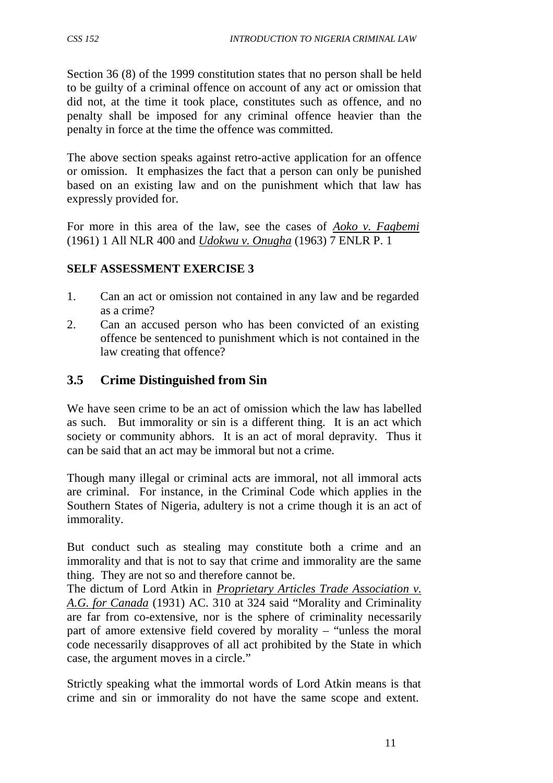Section 36 (8) of the 1999 constitution states that no person shall be held to be guilty of a criminal offence on account of any act or omission that did not, at the time it took place, constitutes such as offence, and no penalty shall be imposed for any criminal offence heavier than the penalty in force at the time the offence was committed.

The above section speaks against retro-active application for an offence or omission. It emphasizes the fact that a person can only be punished based on an existing law and on the punishment which that law has expressly provided for.

For more in this area of the law, see the cases of *Aoko v. Fagbemi* (1961) 1 All NLR 400 and *Udokwu v. Onugha* (1963) 7 ENLR P. 1

## **SELF ASSESSMENT EXERCISE 3**

- 1. Can an act or omission not contained in any law and be regarded as a crime?
- 2. Can an accused person who has been convicted of an existing offence be sentenced to punishment which is not contained in the law creating that offence?

# **3.5 Crime Distinguished from Sin**

We have seen crime to be an act of omission which the law has labelled as such. But immorality or sin is a different thing. It is an act which society or community abhors. It is an act of moral depravity. Thus it can be said that an act may be immoral but not a crime.

Though many illegal or criminal acts are immoral, not all immoral acts are criminal. For instance, in the Criminal Code which applies in the Southern States of Nigeria, adultery is not a crime though it is an act of immorality.

But conduct such as stealing may constitute both a crime and an immorality and that is not to say that crime and immorality are the same thing. They are not so and therefore cannot be.

The dictum of Lord Atkin in *Proprietary Articles Trade Association v. A.G. for Canada* (1931) AC. 310 at 324 said "Morality and Criminality are far from co-extensive, nor is the sphere of criminality necessarily part of amore extensive field covered by morality – "unless the moral code necessarily disapproves of all act prohibited by the State in which case, the argument moves in a circle."

Strictly speaking what the immortal words of Lord Atkin means is that crime and sin or immorality do not have the same scope and extent.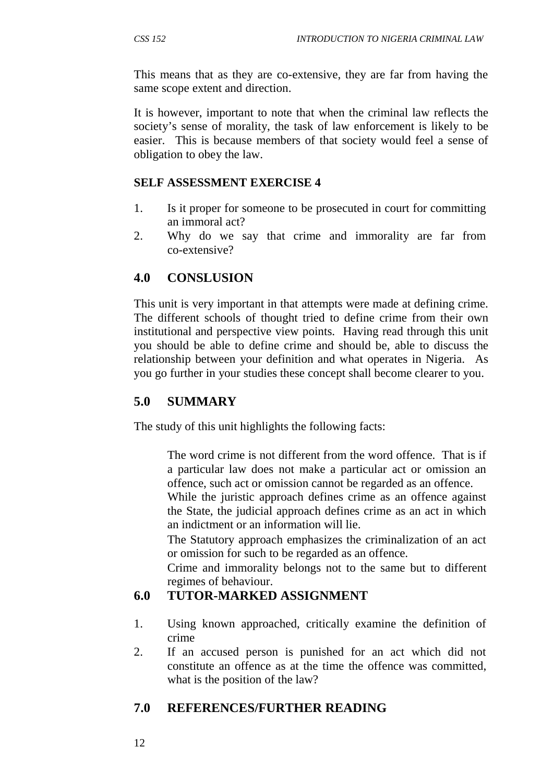This means that as they are co-extensive, they are far from having the same scope extent and direction.

It is however, important to note that when the criminal law reflects the society's sense of morality, the task of law enforcement is likely to be easier. This is because members of that society would feel a sense of obligation to obey the law.

#### **SELF ASSESSMENT EXERCISE 4**

- 1. Is it proper for someone to be prosecuted in court for committing an immoral act?
- 2. Why do we say that crime and immorality are far from co-extensive?

## **4.0 CONSLUSION**

This unit is very important in that attempts were made at defining crime. The different schools of thought tried to define crime from their own institutional and perspective view points. Having read through this unit you should be able to define crime and should be, able to discuss the relationship between your definition and what operates in Nigeria. As you go further in your studies these concept shall become clearer to you.

# **5.0 SUMMARY**

The study of this unit highlights the following facts:

The word crime is not different from the word offence. That is if a particular law does not make a particular act or omission an offence, such act or omission cannot be regarded as an offence.

While the juristic approach defines crime as an offence against the State, the judicial approach defines crime as an act in which an indictment or an information will lie.

The Statutory approach emphasizes the criminalization of an act or omission for such to be regarded as an offence.

Crime and immorality belongs not to the same but to different regimes of behaviour.

# **6.0 TUTOR-MARKED ASSIGNMENT**

- 1. Using known approached, critically examine the definition of crime
- 2. If an accused person is punished for an act which did not constitute an offence as at the time the offence was committed, what is the position of the law?

# **7.0 REFERENCES/FURTHER READING**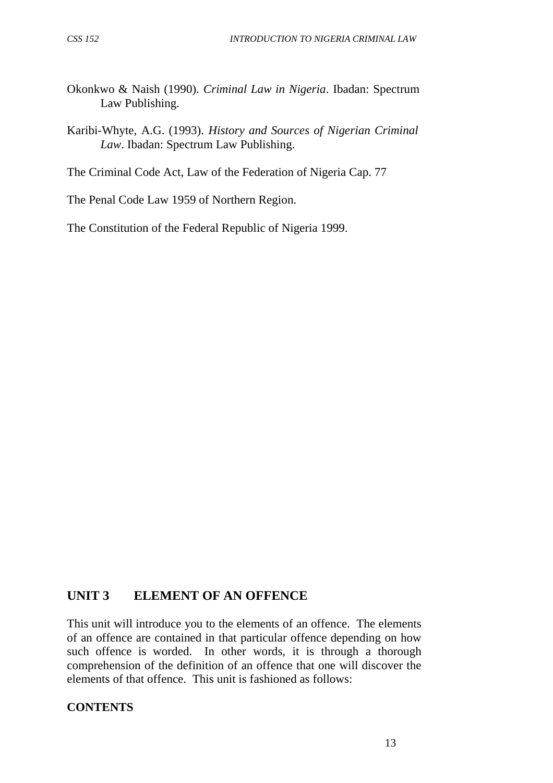- Okonkwo & Naish (1990). *Criminal Law in Nigeria*. Ibadan: Spectrum Law Publishing.
- Karibi-Whyte, A.G. (1993). *History and Sources of Nigerian Criminal Law*. Ibadan: Spectrum Law Publishing.

The Criminal Code Act, Law of the Federation of Nigeria Cap. 77

The Penal Code Law 1959 of Northern Region.

The Constitution of the Federal Republic of Nigeria 1999.

### **UNIT 3 ELEMENT OF AN OFFENCE**

This unit will introduce you to the elements of an offence. The elements of an offence are contained in that particular offence depending on how such offence is worded. In other words, it is through a thorough comprehension of the definition of an offence that one will discover the elements of that offence. This unit is fashioned as follows:

#### **CONTENTS**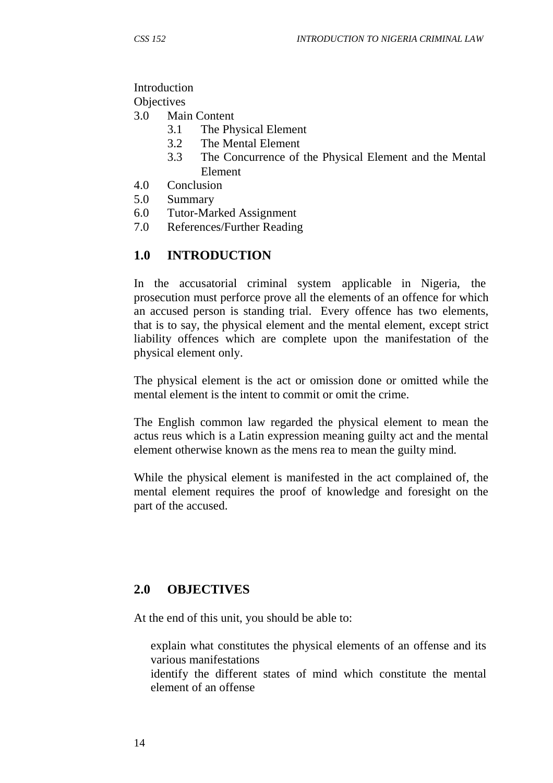#### Introduction

**Objectives** 

- 3.0 Main Content
	- 3.1 The Physical Element
	- 3.2 The Mental Element
	- 3.3 The Concurrence of the Physical Element and the Mental Element
- 4.0 Conclusion
- 5.0 Summary
- 6.0 Tutor-Marked Assignment
- 7.0 References/Further Reading

# **1.0 INTRODUCTION**

In the accusatorial criminal system applicable in Nigeria, the prosecution must perforce prove all the elements of an offence for which an accused person is standing trial. Every offence has two elements, that is to say, the physical element and the mental element, except strict liability offences which are complete upon the manifestation of the physical element only.

The physical element is the act or omission done or omitted while the mental element is the intent to commit or omit the crime.

The English common law regarded the physical element to mean the actus reus which is a Latin expression meaning guilty act and the mental element otherwise known as the mens rea to mean the guilty mind.

While the physical element is manifested in the act complained of, the mental element requires the proof of knowledge and foresight on the part of the accused.

# **2.0 OBJECTIVES**

At the end of this unit, you should be able to:

explain what constitutes the physical elements of an offense and its various manifestations

identify the different states of mind which constitute the mental element of an offense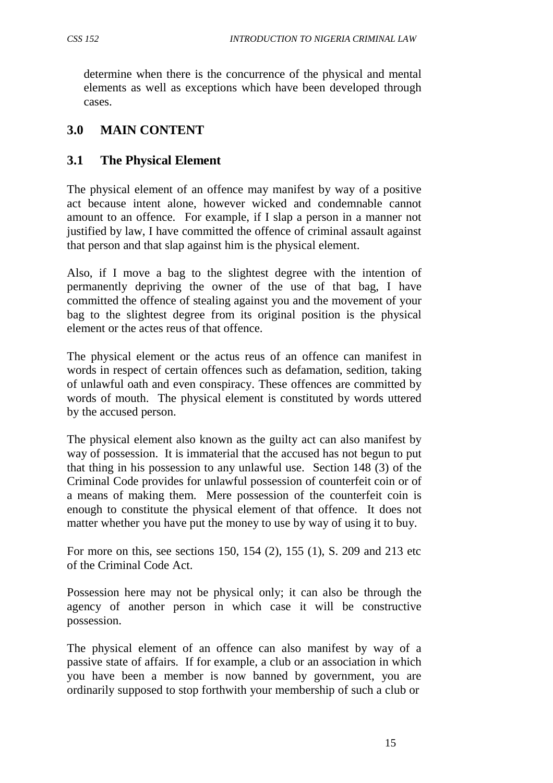determine when there is the concurrence of the physical and mental elements as well as exceptions which have been developed through cases.

# **3.0 MAIN CONTENT**

# **3.1 The Physical Element**

The physical element of an offence may manifest by way of a positive act because intent alone, however wicked and condemnable cannot amount to an offence. For example, if I slap a person in a manner not justified by law, I have committed the offence of criminal assault against that person and that slap against him is the physical element.

Also, if I move a bag to the slightest degree with the intention of permanently depriving the owner of the use of that bag, I have committed the offence of stealing against you and the movement of your bag to the slightest degree from its original position is the physical element or the actes reus of that offence.

The physical element or the actus reus of an offence can manifest in words in respect of certain offences such as defamation, sedition, taking of unlawful oath and even conspiracy. These offences are committed by words of mouth. The physical element is constituted by words uttered by the accused person.

The physical element also known as the guilty act can also manifest by way of possession. It is immaterial that the accused has not begun to put that thing in his possession to any unlawful use. Section 148 (3) of the Criminal Code provides for unlawful possession of counterfeit coin or of a means of making them. Mere possession of the counterfeit coin is enough to constitute the physical element of that offence. It does not matter whether you have put the money to use by way of using it to buy.

For more on this, see sections 150, 154 (2), 155 (1), S. 209 and 213 etc of the Criminal Code Act.

Possession here may not be physical only; it can also be through the agency of another person in which case it will be constructive possession.

The physical element of an offence can also manifest by way of a passive state of affairs. If for example, a club or an association in which you have been a member is now banned by government, you are ordinarily supposed to stop forthwith your membership of such a club or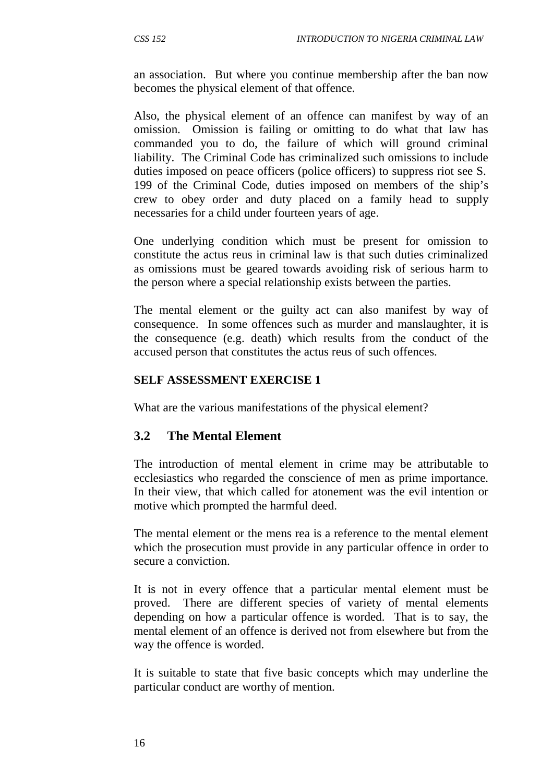an association. But where you continue membership after the ban now becomes the physical element of that offence.

Also, the physical element of an offence can manifest by way of an omission. Omission is failing or omitting to do what that law has commanded you to do, the failure of which will ground criminal liability. The Criminal Code has criminalized such omissions to include duties imposed on peace officers (police officers) to suppress riot see S. 199 of the Criminal Code, duties imposed on members of the ship's crew to obey order and duty placed on a family head to supply necessaries for a child under fourteen years of age.

One underlying condition which must be present for omission to constitute the actus reus in criminal law is that such duties criminalized as omissions must be geared towards avoiding risk of serious harm to the person where a special relationship exists between the parties.

The mental element or the guilty act can also manifest by way of consequence. In some offences such as murder and manslaughter, it is the consequence (e.g. death) which results from the conduct of the accused person that constitutes the actus reus of such offences.

#### **SELF ASSESSMENT EXERCISE 1**

What are the various manifestations of the physical element?

# **3.2 The Mental Element**

The introduction of mental element in crime may be attributable to ecclesiastics who regarded the conscience of men as prime importance. In their view, that which called for atonement was the evil intention or motive which prompted the harmful deed.

The mental element or the mens rea is a reference to the mental element which the prosecution must provide in any particular offence in order to secure a conviction.

It is not in every offence that a particular mental element must be proved. There are different species of variety of mental elements depending on how a particular offence is worded. That is to say, the mental element of an offence is derived not from elsewhere but from the way the offence is worded.

It is suitable to state that five basic concepts which may underline the particular conduct are worthy of mention.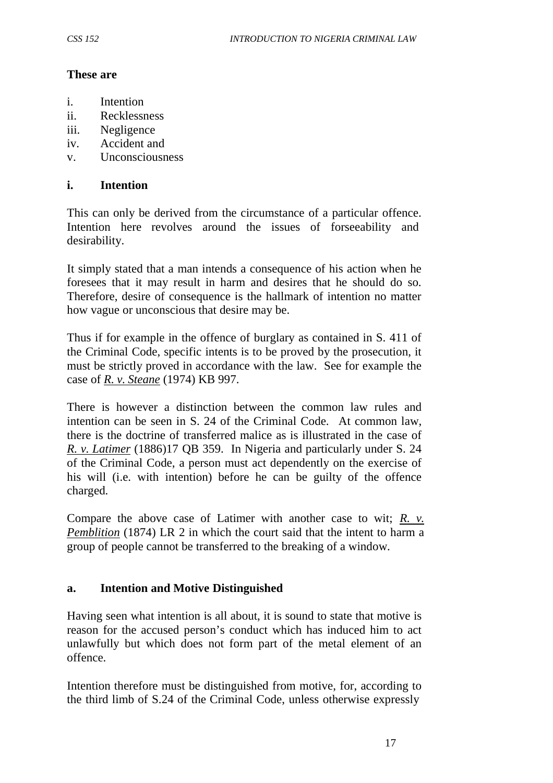#### **These are**

- i. Intention
- ii. Recklessness
- iii. Negligence
- iv. Accident and
- v. Unconsciousness

#### **i. Intention**

This can only be derived from the circumstance of a particular offence. Intention here revolves around the issues of forseeability and desirability.

It simply stated that a man intends a consequence of his action when he foresees that it may result in harm and desires that he should do so. Therefore, desire of consequence is the hallmark of intention no matter how vague or unconscious that desire may be.

Thus if for example in the offence of burglary as contained in S. 411 of the Criminal Code, specific intents is to be proved by the prosecution, it must be strictly proved in accordance with the law. See for example the case of *R. v. Steane* (1974) KB 997.

There is however a distinction between the common law rules and intention can be seen in S. 24 of the Criminal Code. At common law, there is the doctrine of transferred malice as is illustrated in the case of *R. v. Latimer* (1886)17 QB 359. In Nigeria and particularly under S. 24 of the Criminal Code, a person must act dependently on the exercise of his will (i.e. with intention) before he can be guilty of the offence charged.

Compare the above case of Latimer with another case to wit; *R. v. Pemblition* (1874) LR 2 in which the court said that the intent to harm a group of people cannot be transferred to the breaking of a window.

#### **a. Intention and Motive Distinguished**

Having seen what intention is all about, it is sound to state that motive is reason for the accused person's conduct which has induced him to act unlawfully but which does not form part of the metal element of an offence.

Intention therefore must be distinguished from motive, for, according to the third limb of S.24 of the Criminal Code, unless otherwise expressly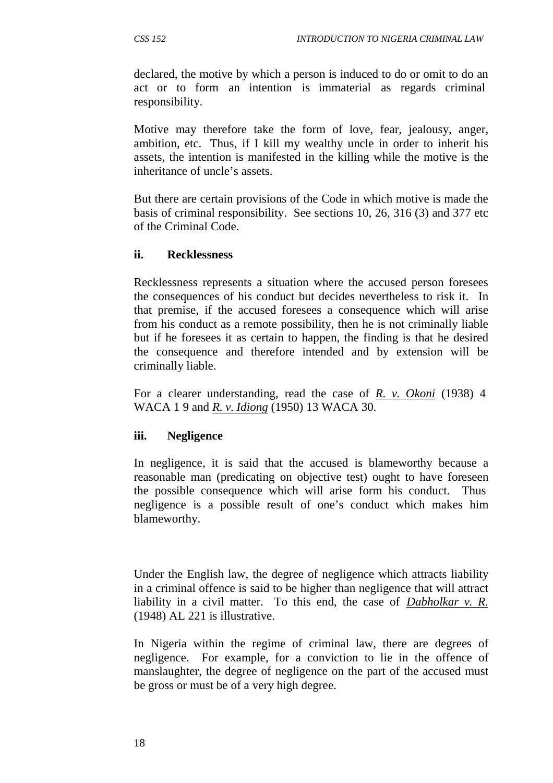declared, the motive by which a person is induced to do or omit to do an act or to form an intention is immaterial as regards criminal responsibility.

Motive may therefore take the form of love, fear, jealousy, anger, ambition, etc. Thus, if I kill my wealthy uncle in order to inherit his assets, the intention is manifested in the killing while the motive is the inheritance of uncle's assets.

But there are certain provisions of the Code in which motive is made the basis of criminal responsibility. See sections 10, 26, 316 (3) and 377 etc of the Criminal Code.

#### **ii. Recklessness**

Recklessness represents a situation where the accused person foresees the consequences of his conduct but decides nevertheless to risk it. In that premise, if the accused foresees a consequence which will arise from his conduct as a remote possibility, then he is not criminally liable but if he foresees it as certain to happen, the finding is that he desired the consequence and therefore intended and by extension will be criminally liable.

For a clearer understanding, read the case of *R. v. Okoni* (1938) 4 WACA 1 9 and *R. v. Idiong* (1950) 13 WACA 30.

### **iii. Negligence**

In negligence, it is said that the accused is blameworthy because a reasonable man (predicating on objective test) ought to have foreseen the possible consequence which will arise form his conduct. Thus negligence is a possible result of one's conduct which makes him blameworthy.

Under the English law, the degree of negligence which attracts liability in a criminal offence is said to be higher than negligence that will attract liability in a civil matter. To this end, the case of *Dabholkar v. R.* (1948) AL 221 is illustrative.

In Nigeria within the regime of criminal law, there are degrees of negligence. For example, for a conviction to lie in the offence of manslaughter, the degree of negligence on the part of the accused must be gross or must be of a very high degree.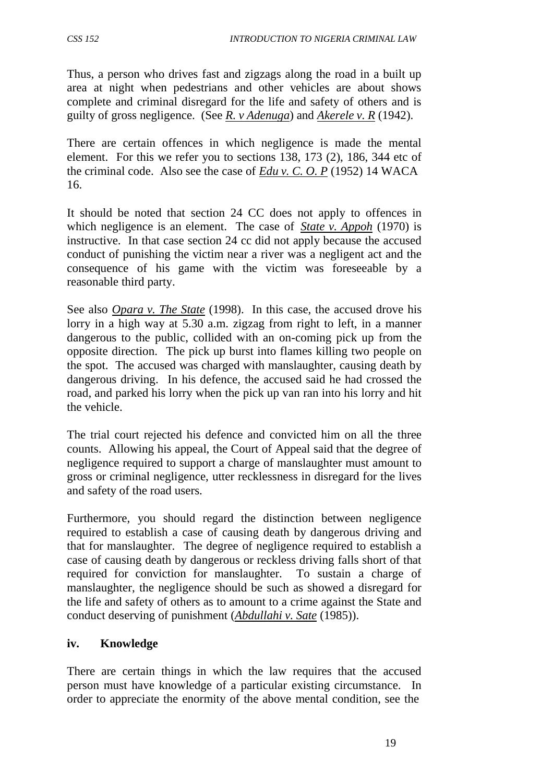Thus, a person who drives fast and zigzags along the road in a built up area at night when pedestrians and other vehicles are about shows complete and criminal disregard for the life and safety of others and is guilty of gross negligence. (See *R. v Adenuga*) and *Akerele v. R* (1942).

There are certain offences in which negligence is made the mental element. For this we refer you to sections 138, 173 (2), 186, 344 etc of the criminal code. Also see the case of *Edu v. C. O. P* (1952) 14 WACA 16.

It should be noted that section 24 CC does not apply to offences in which negligence is an element. The case of *State v. Appoh* (1970) is instructive. In that case section 24 cc did not apply because the accused conduct of punishing the victim near a river was a negligent act and the consequence of his game with the victim was foreseeable by a reasonable third party.

See also *Opara v. The State* (1998). In this case, the accused drove his lorry in a high way at 5.30 a.m. zigzag from right to left, in a manner dangerous to the public, collided with an on-coming pick up from the opposite direction. The pick up burst into flames killing two people on the spot. The accused was charged with manslaughter, causing death by dangerous driving. In his defence, the accused said he had crossed the road, and parked his lorry when the pick up van ran into his lorry and hit the vehicle.

The trial court rejected his defence and convicted him on all the three counts. Allowing his appeal, the Court of Appeal said that the degree of negligence required to support a charge of manslaughter must amount to gross or criminal negligence, utter recklessness in disregard for the lives and safety of the road users.

Furthermore, you should regard the distinction between negligence required to establish a case of causing death by dangerous driving and that for manslaughter. The degree of negligence required to establish a case of causing death by dangerous or reckless driving falls short of that required for conviction for manslaughter. To sustain a charge of manslaughter, the negligence should be such as showed a disregard for the life and safety of others as to amount to a crime against the State and conduct deserving of punishment (*Abdullahi v. Sate* (1985)).

### **iv. Knowledge**

There are certain things in which the law requires that the accused person must have knowledge of a particular existing circumstance. In order to appreciate the enormity of the above mental condition, see the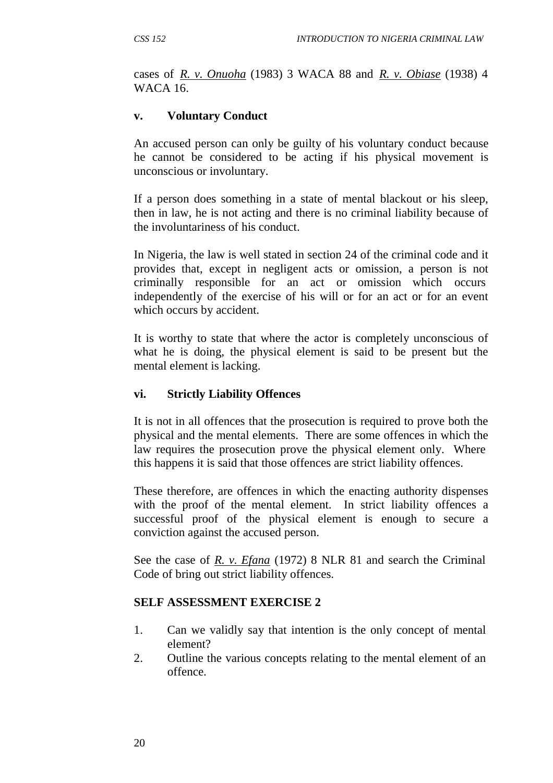cases of *R. v. Onuoha* (1983) 3 WACA 88 and *R. v. Obiase* (1938) 4 WACA 16.

### **v. Voluntary Conduct**

An accused person can only be guilty of his voluntary conduct because he cannot be considered to be acting if his physical movement is unconscious or involuntary.

If a person does something in a state of mental blackout or his sleep, then in law, he is not acting and there is no criminal liability because of the involuntariness of his conduct.

In Nigeria, the law is well stated in section 24 of the criminal code and it provides that, except in negligent acts or omission, a person is not criminally responsible for an act or omission which occurs independently of the exercise of his will or for an act or for an event which occurs by accident.

It is worthy to state that where the actor is completely unconscious of what he is doing, the physical element is said to be present but the mental element is lacking.

## **vi. Strictly Liability Offences**

It is not in all offences that the prosecution is required to prove both the physical and the mental elements. There are some offences in which the law requires the prosecution prove the physical element only. Where this happens it is said that those offences are strict liability offences.

These therefore, are offences in which the enacting authority dispenses with the proof of the mental element. In strict liability offences a successful proof of the physical element is enough to secure a conviction against the accused person.

See the case of *R. v. Efana* (1972) 8 NLR 81 and search the Criminal Code of bring out strict liability offences.

### **SELF ASSESSMENT EXERCISE 2**

- 1. Can we validly say that intention is the only concept of mental element?
- 2. Outline the various concepts relating to the mental element of an offence.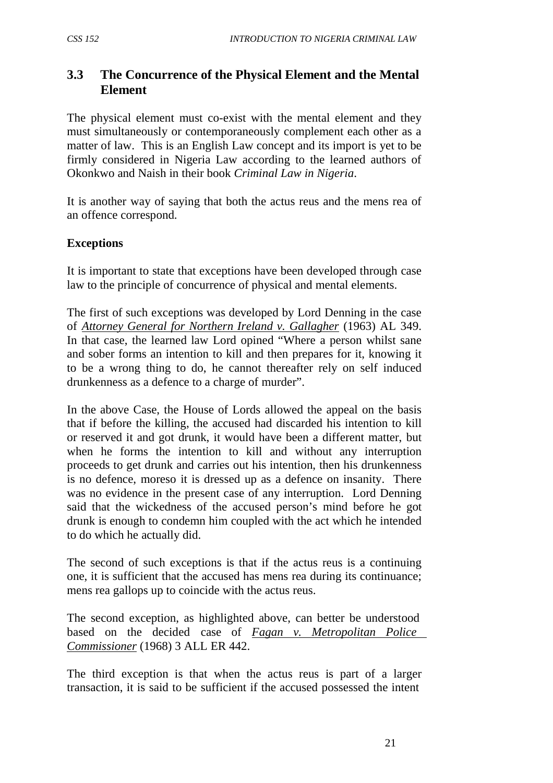# **3.3 The Concurrence of the Physical Element and the Mental Element**

The physical element must co-exist with the mental element and they must simultaneously or contemporaneously complement each other as a matter of law. This is an English Law concept and its import is yet to be firmly considered in Nigeria Law according to the learned authors of Okonkwo and Naish in their book *Criminal Law in Nigeria*.

It is another way of saying that both the actus reus and the mens rea of an offence correspond.

### **Exceptions**

It is important to state that exceptions have been developed through case law to the principle of concurrence of physical and mental elements.

The first of such exceptions was developed by Lord Denning in the case of *Attorney General for Northern Ireland v. Gallagher* (1963) AL 349. In that case, the learned law Lord opined "Where a person whilst sane and sober forms an intention to kill and then prepares for it, knowing it to be a wrong thing to do, he cannot thereafter rely on self induced drunkenness as a defence to a charge of murder".

In the above Case, the House of Lords allowed the appeal on the basis that if before the killing, the accused had discarded his intention to kill or reserved it and got drunk, it would have been a different matter, but when he forms the intention to kill and without any interruption proceeds to get drunk and carries out his intention, then his drunkenness is no defence, moreso it is dressed up as a defence on insanity. There was no evidence in the present case of any interruption. Lord Denning said that the wickedness of the accused person's mind before he got drunk is enough to condemn him coupled with the act which he intended to do which he actually did.

The second of such exceptions is that if the actus reus is a continuing one, it is sufficient that the accused has mens rea during its continuance; mens rea gallops up to coincide with the actus reus.

The second exception, as highlighted above, can better be understood based on the decided case of *Fagan v. Metropolitan Police Commissioner* (1968) 3 ALL ER 442.

The third exception is that when the actus reus is part of a larger transaction, it is said to be sufficient if the accused possessed the intent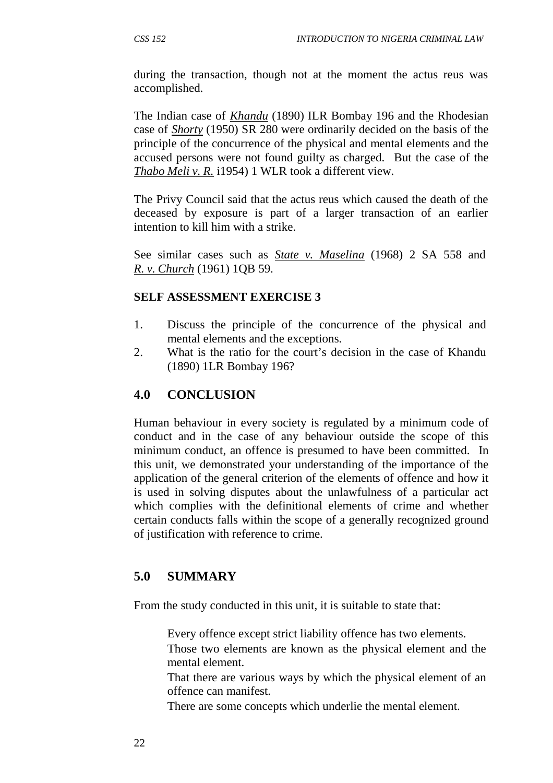during the transaction, though not at the moment the actus reus was accomplished.

The Indian case of *Khandu* (1890) ILR Bombay 196 and the Rhodesian case of *Shorty* (1950) SR 280 were ordinarily decided on the basis of the principle of the concurrence of the physical and mental elements and the accused persons were not found guilty as charged. But the case of the *Thabo Meli v. R.* i1954) 1 WLR took a different view.

The Privy Council said that the actus reus which caused the death of the deceased by exposure is part of a larger transaction of an earlier intention to kill him with a strike.

See similar cases such as *State v. Maselina* (1968) 2 SA 558 and *R. v. Church* (1961) 1QB 59.

### **SELF ASSESSMENT EXERCISE 3**

- 1. Discuss the principle of the concurrence of the physical and mental elements and the exceptions.
- 2. What is the ratio for the court's decision in the case of Khandu (1890) 1LR Bombay 196?

# **4.0 CONCLUSION**

Human behaviour in every society is regulated by a minimum code of conduct and in the case of any behaviour outside the scope of this minimum conduct, an offence is presumed to have been committed. In this unit, we demonstrated your understanding of the importance of the application of the general criterion of the elements of offence and how it is used in solving disputes about the unlawfulness of a particular act which complies with the definitional elements of crime and whether certain conducts falls within the scope of a generally recognized ground of justification with reference to crime.

# **5.0 SUMMARY**

From the study conducted in this unit, it is suitable to state that:

Every offence except strict liability offence has two elements.

Those two elements are known as the physical element and the mental element.

That there are various ways by which the physical element of an offence can manifest.

There are some concepts which underlie the mental element.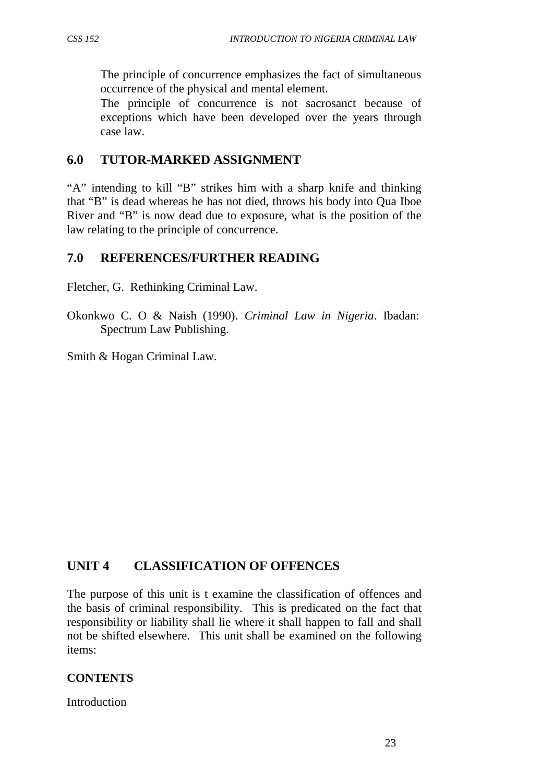The principle of concurrence emphasizes the fact of simultaneous occurrence of the physical and mental element.

The principle of concurrence is not sacrosanct because of exceptions which have been developed over the years through case law.

#### **6.0 TUTOR-MARKED ASSIGNMENT**

"A" intending to kill "B" strikes him with a sharp knife and thinking that "B" is dead whereas he has not died, throws his body into Qua Iboe River and "B" is now dead due to exposure, what is the position of the law relating to the principle of concurrence.

#### **7.0 REFERENCES/FURTHER READING**

Fletcher, G. Rethinking Criminal Law.

Okonkwo C. O & Naish (1990). *Criminal Law in Nigeria*. Ibadan: Spectrum Law Publishing.

Smith & Hogan Criminal Law.

### **UNIT 4 CLASSIFICATION OF OFFENCES**

The purpose of this unit is t examine the classification of offences and the basis of criminal responsibility. This is predicated on the fact that responsibility or liability shall lie where it shall happen to fall and shall not be shifted elsewhere. This unit shall be examined on the following items:

#### **CONTENTS**

**Introduction**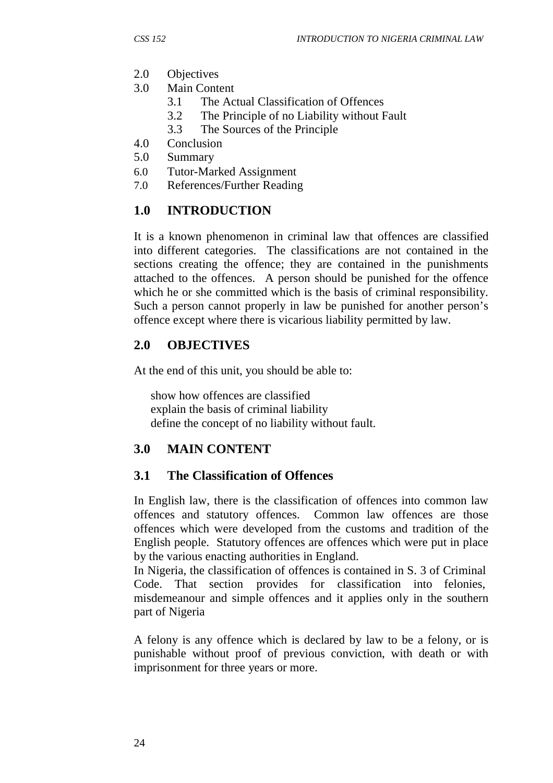- 2.0 Objectives
- 3.0 Main Content
	- 3.1 The Actual Classification of Offences
	- 3.2 The Principle of no Liability without Fault
	- 3.3 The Sources of the Principle
- 4.0 Conclusion
- 5.0 Summary
- 6.0 Tutor-Marked Assignment
- 7.0 References/Further Reading

## **1.0 INTRODUCTION**

It is a known phenomenon in criminal law that offences are classified into different categories. The classifications are not contained in the sections creating the offence; they are contained in the punishments attached to the offences. A person should be punished for the offence which he or she committed which is the basis of criminal responsibility. Such a person cannot properly in law be punished for another person's offence except where there is vicarious liability permitted by law.

### **2.0 OBJECTIVES**

At the end of this unit, you should be able to:

show how offences are classified explain the basis of criminal liability define the concept of no liability without fault.

## **3.0 MAIN CONTENT**

## **3.1 The Classification of Offences**

In English law, there is the classification of offences into common law offences and statutory offences. Common law offences are those offences which were developed from the customs and tradition of the English people. Statutory offences are offences which were put in place by the various enacting authorities in England.

In Nigeria, the classification of offences is contained in S. 3 of Criminal Code. That section provides for classification into felonies, misdemeanour and simple offences and it applies only in the southern part of Nigeria

A felony is any offence which is declared by law to be a felony, or is punishable without proof of previous conviction, with death or with imprisonment for three years or more.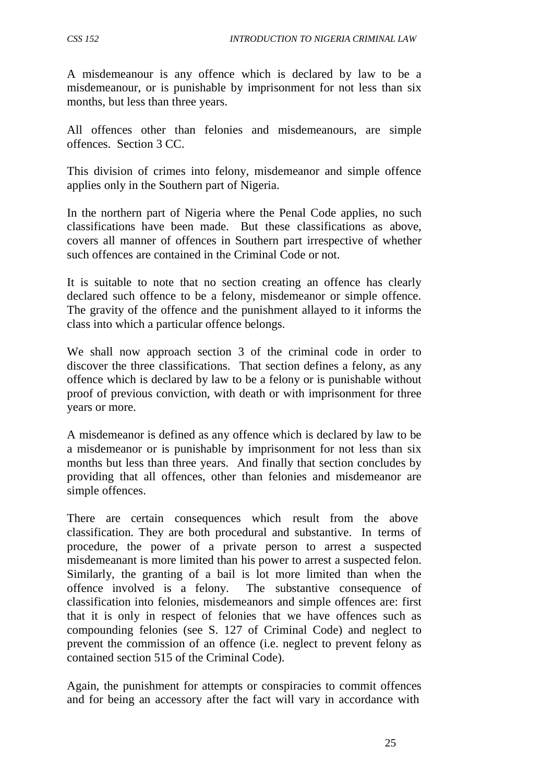A misdemeanour is any offence which is declared by law to be a misdemeanour, or is punishable by imprisonment for not less than six months, but less than three years.

All offences other than felonies and misdemeanours, are simple offences. Section 3 CC.

This division of crimes into felony, misdemeanor and simple offence applies only in the Southern part of Nigeria.

In the northern part of Nigeria where the Penal Code applies, no such classifications have been made. But these classifications as above, covers all manner of offences in Southern part irrespective of whether such offences are contained in the Criminal Code or not.

It is suitable to note that no section creating an offence has clearly declared such offence to be a felony, misdemeanor or simple offence. The gravity of the offence and the punishment allayed to it informs the class into which a particular offence belongs.

We shall now approach section 3 of the criminal code in order to discover the three classifications. That section defines a felony, as any offence which is declared by law to be a felony or is punishable without proof of previous conviction, with death or with imprisonment for three years or more.

A misdemeanor is defined as any offence which is declared by law to be a misdemeanor or is punishable by imprisonment for not less than six months but less than three years. And finally that section concludes by providing that all offences, other than felonies and misdemeanor are simple offences.

There are certain consequences which result from the above classification. They are both procedural and substantive. In terms of procedure, the power of a private person to arrest a suspected misdemeanant is more limited than his power to arrest a suspected felon. Similarly, the granting of a bail is lot more limited than when the offence involved is a felony. The substantive consequence of classification into felonies, misdemeanors and simple offences are: first that it is only in respect of felonies that we have offences such as compounding felonies (see S. 127 of Criminal Code) and neglect to prevent the commission of an offence (i.e. neglect to prevent felony as contained section 515 of the Criminal Code).

Again, the punishment for attempts or conspiracies to commit offences and for being an accessory after the fact will vary in accordance with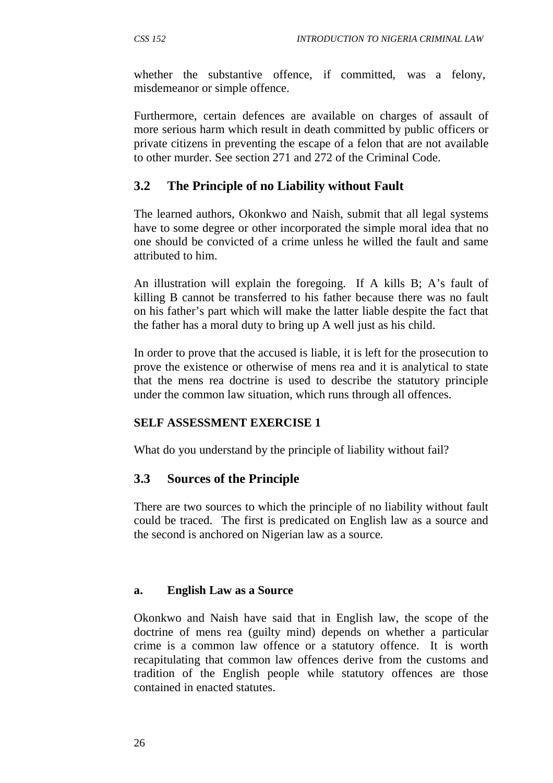whether the substantive offence, if committed, was a felony, misdemeanor or simple offence.

Furthermore, certain defences are available on charges of assault of more serious harm which result in death committed by public officers or private citizens in preventing the escape of a felon that are not available to other murder. See section 271 and 272 of the Criminal Code.

### **3.2 The Principle of no Liability without Fault**

The learned authors, Okonkwo and Naish, submit that all legal systems have to some degree or other incorporated the simple moral idea that no one should be convicted of a crime unless he willed the fault and same attributed to him.

An illustration will explain the foregoing. If A kills B; A's fault of killing B cannot be transferred to his father because there was no fault on his father's part which will make the latter liable despite the fact that the father has a moral duty to bring up A well just as his child.

In order to prove that the accused is liable, it is left for the prosecution to prove the existence or otherwise of mens rea and it is analytical to state that the mens rea doctrine is used to describe the statutory principle under the common law situation, which runs through all offences.

#### **SELF ASSESSMENT EXERCISE 1**

What do you understand by the principle of liability without fail?

### **3.3 Sources of the Principle**

There are two sources to which the principle of no liability without fault could be traced. The first is predicated on English law as a source and the second is anchored on Nigerian law as a source.

#### **a. English Law as a Source**

Okonkwo and Naish have said that in English law, the scope of the doctrine of mens rea (guilty mind) depends on whether a particular crime is a common law offence or a statutory offence. It is worth recapitulating that common law offences derive from the customs and tradition of the English people while statutory offences are those contained in enacted statutes.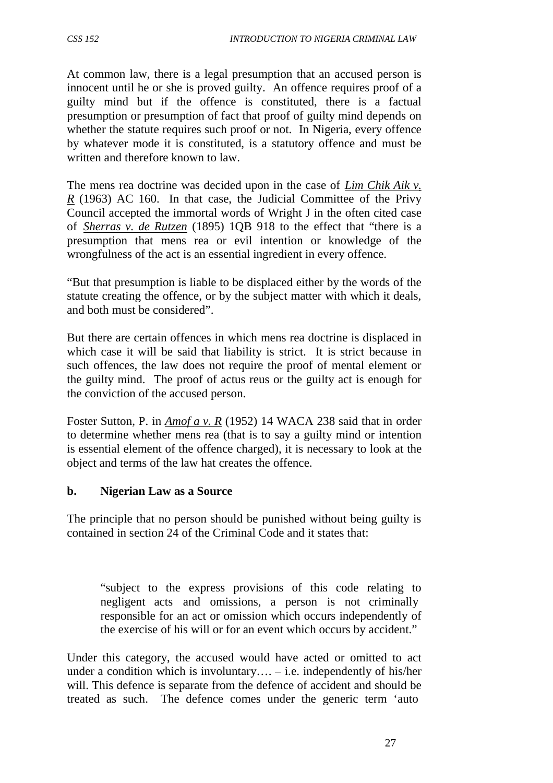At common law, there is a legal presumption that an accused person is innocent until he or she is proved guilty. An offence requires proof of a guilty mind but if the offence is constituted, there is a factual presumption or presumption of fact that proof of guilty mind depends on whether the statute requires such proof or not. In Nigeria, every offence by whatever mode it is constituted, is a statutory offence and must be written and therefore known to law.

The mens rea doctrine was decided upon in the case of *Lim Chik Aik v. R* (1963) AC 160. In that case, the Judicial Committee of the Privy Council accepted the immortal words of Wright J in the often cited case of *Sherras v. de Rutzen* (1895) 1QB 918 to the effect that "there is a presumption that mens rea or evil intention or knowledge of the wrongfulness of the act is an essential ingredient in every offence.

"But that presumption is liable to be displaced either by the words of the statute creating the offence, or by the subject matter with which it deals, and both must be considered".

But there are certain offences in which mens rea doctrine is displaced in which case it will be said that liability is strict. It is strict because in such offences, the law does not require the proof of mental element or the guilty mind. The proof of actus reus or the guilty act is enough for the conviction of the accused person.

Foster Sutton, P. in *Amof a v. R* (1952) 14 WACA 238 said that in order to determine whether mens rea (that is to say a guilty mind or intention is essential element of the offence charged), it is necessary to look at the object and terms of the law hat creates the offence.

#### **b. Nigerian Law as a Source**

The principle that no person should be punished without being guilty is contained in section 24 of the Criminal Code and it states that:

"subject to the express provisions of this code relating to negligent acts and omissions, a person is not criminally responsible for an act or omission which occurs independently of the exercise of his will or for an event which occurs by accident."

Under this category, the accused would have acted or omitted to act under a condition which is involuntary.... – i.e. independently of his/her will. This defence is separate from the defence of accident and should be treated as such. The defence comes under the generic term 'auto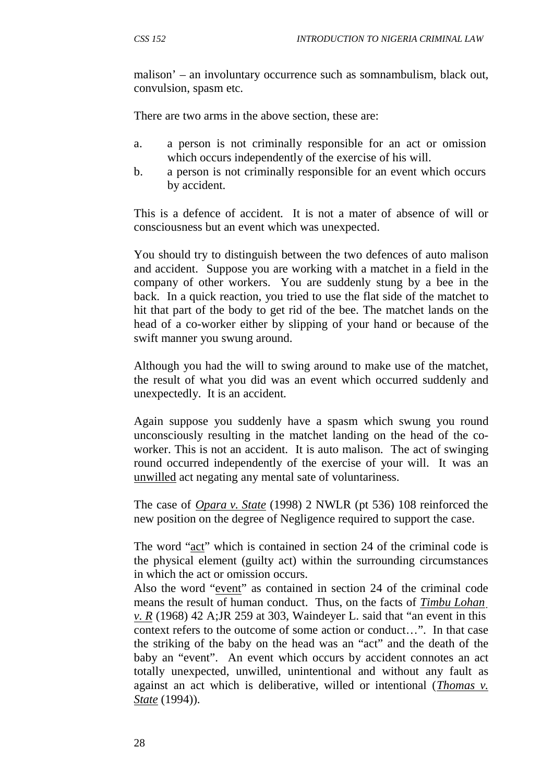malison' – an involuntary occurrence such as somnambulism, black out, convulsion, spasm etc.

There are two arms in the above section, these are:

- a. a person is not criminally responsible for an act or omission which occurs independently of the exercise of his will.
- b. a person is not criminally responsible for an event which occurs by accident.

This is a defence of accident. It is not a mater of absence of will or consciousness but an event which was unexpected.

You should try to distinguish between the two defences of auto malison and accident. Suppose you are working with a matchet in a field in the company of other workers. You are suddenly stung by a bee in the back. In a quick reaction, you tried to use the flat side of the matchet to hit that part of the body to get rid of the bee. The matchet lands on the head of a co-worker either by slipping of your hand or because of the swift manner you swung around.

Although you had the will to swing around to make use of the matchet, the result of what you did was an event which occurred suddenly and unexpectedly. It is an accident.

Again suppose you suddenly have a spasm which swung you round unconsciously resulting in the matchet landing on the head of the coworker. This is not an accident. It is auto malison. The act of swinging round occurred independently of the exercise of your will. It was an unwilled act negating any mental sate of voluntariness.

The case of *Opara v. State* (1998) 2 NWLR (pt 536) 108 reinforced the new position on the degree of Negligence required to support the case.

The word "act" which is contained in section 24 of the criminal code is the physical element (guilty act) within the surrounding circumstances in which the act or omission occurs.

Also the word "event" as contained in section 24 of the criminal code means the result of human conduct. Thus, on the facts of *Timbu Lohan v. R* (1968) 42 A;JR 259 at 303, Waindeyer L. said that "an event in this context refers to the outcome of some action or conduct…". In that case the striking of the baby on the head was an "act" and the death of the baby an "event". An event which occurs by accident connotes an act totally unexpected, unwilled, unintentional and without any fault as against an act which is deliberative, willed or intentional (*Thomas v. State* (1994)).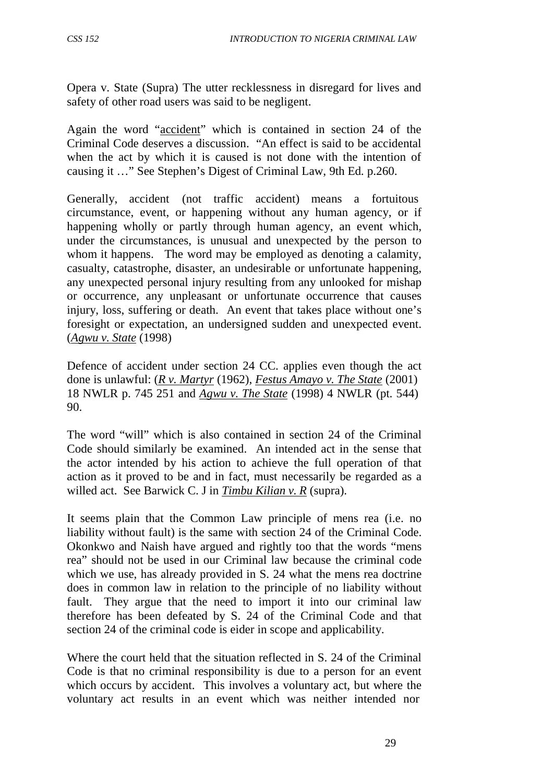Opera v. State (Supra) The utter recklessness in disregard for lives and safety of other road users was said to be negligent.

Again the word "accident" which is contained in section 24 of the Criminal Code deserves a discussion. "An effect is said to be accidental when the act by which it is caused is not done with the intention of causing it …" See Stephen's Digest of Criminal Law, 9th Ed. p.260.

Generally, accident (not traffic accident) means a fortuitous circumstance, event, or happening without any human agency, or if happening wholly or partly through human agency, an event which, under the circumstances, is unusual and unexpected by the person to whom it happens. The word may be employed as denoting a calamity, casualty, catastrophe, disaster, an undesirable or unfortunate happening, any unexpected personal injury resulting from any unlooked for mishap or occurrence, any unpleasant or unfortunate occurrence that causes injury, loss, suffering or death. An event that takes place without one's foresight or expectation, an undersigned sudden and unexpected event. (*Agwu v. State* (1998)

Defence of accident under section 24 CC. applies even though the act done is unlawful: (*R v. Martyr* (1962), *Festus Amayo v. The State* (2001) 18 NWLR p. 745 251 and *Agwu v. The State* (1998) 4 NWLR (pt. 544) 90.

The word "will" which is also contained in section 24 of the Criminal Code should similarly be examined. An intended act in the sense that the actor intended by his action to achieve the full operation of that action as it proved to be and in fact, must necessarily be regarded as a willed act. See Barwick C. J in *Timbu Kilian v. R* (supra).

It seems plain that the Common Law principle of mens rea (i.e. no liability without fault) is the same with section 24 of the Criminal Code. Okonkwo and Naish have argued and rightly too that the words "mens rea" should not be used in our Criminal law because the criminal code which we use, has already provided in S. 24 what the mens rea doctrine does in common law in relation to the principle of no liability without fault. They argue that the need to import it into our criminal law therefore has been defeated by S. 24 of the Criminal Code and that section 24 of the criminal code is eider in scope and applicability.

Where the court held that the situation reflected in S. 24 of the Criminal Code is that no criminal responsibility is due to a person for an event which occurs by accident. This involves a voluntary act, but where the voluntary act results in an event which was neither intended nor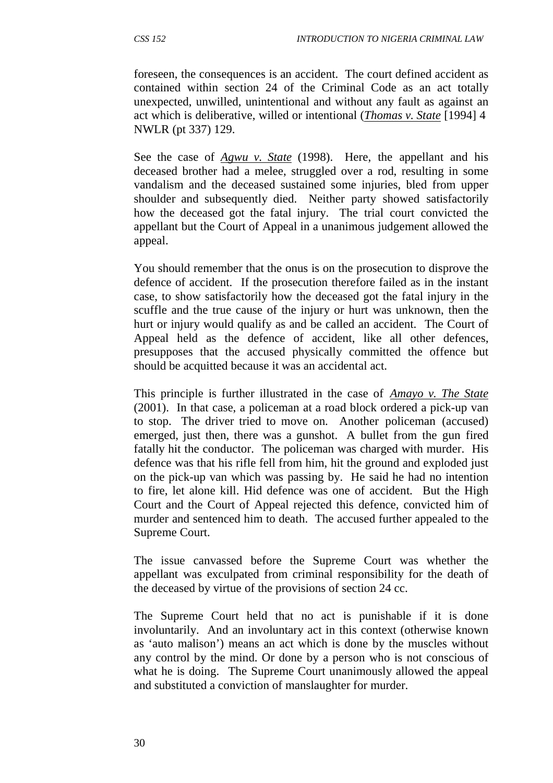foreseen, the consequences is an accident. The court defined accident as contained within section 24 of the Criminal Code as an act totally unexpected, unwilled, unintentional and without any fault as against an act which is deliberative, willed or intentional (*Thomas v. State* [1994] 4 NWLR (pt 337) 129.

See the case of *Agwu v. State* (1998). Here, the appellant and his deceased brother had a melee, struggled over a rod, resulting in some vandalism and the deceased sustained some injuries, bled from upper shoulder and subsequently died. Neither party showed satisfactorily how the deceased got the fatal injury. The trial court convicted the appellant but the Court of Appeal in a unanimous judgement allowed the appeal.

You should remember that the onus is on the prosecution to disprove the defence of accident. If the prosecution therefore failed as in the instant case, to show satisfactorily how the deceased got the fatal injury in the scuffle and the true cause of the injury or hurt was unknown, then the hurt or injury would qualify as and be called an accident. The Court of Appeal held as the defence of accident, like all other defences, presupposes that the accused physically committed the offence but should be acquitted because it was an accidental act.

This principle is further illustrated in the case of *Amayo v. The State* (2001). In that case, a policeman at a road block ordered a pick-up van to stop. The driver tried to move on. Another policeman (accused) emerged, just then, there was a gunshot. A bullet from the gun fired fatally hit the conductor. The policeman was charged with murder. His defence was that his rifle fell from him, hit the ground and exploded just on the pick-up van which was passing by. He said he had no intention to fire, let alone kill. Hid defence was one of accident. But the High Court and the Court of Appeal rejected this defence, convicted him of murder and sentenced him to death. The accused further appealed to the Supreme Court.

The issue canvassed before the Supreme Court was whether the appellant was exculpated from criminal responsibility for the death of the deceased by virtue of the provisions of section 24 cc.

The Supreme Court held that no act is punishable if it is done involuntarily. And an involuntary act in this context (otherwise known as 'auto malison') means an act which is done by the muscles without any control by the mind. Or done by a person who is not conscious of what he is doing. The Supreme Court unanimously allowed the appeal and substituted a conviction of manslaughter for murder.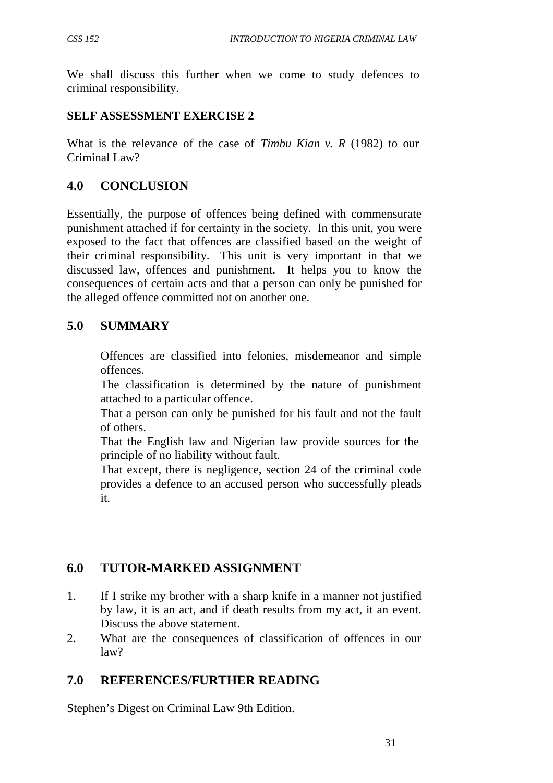We shall discuss this further when we come to study defences to criminal responsibility.

### **SELF ASSESSMENT EXERCISE 2**

What is the relevance of the case of *Timbu Kian v. R* (1982) to our Criminal Law?

## **4.0 CONCLUSION**

Essentially, the purpose of offences being defined with commensurate punishment attached if for certainty in the society. In this unit, you were exposed to the fact that offences are classified based on the weight of their criminal responsibility. This unit is very important in that we discussed law, offences and punishment. It helps you to know the consequences of certain acts and that a person can only be punished for the alleged offence committed not on another one.

## **5.0 SUMMARY**

Offences are classified into felonies, misdemeanor and simple offences.

The classification is determined by the nature of punishment attached to a particular offence.

That a person can only be punished for his fault and not the fault of others.

That the English law and Nigerian law provide sources for the principle of no liability without fault.

That except, there is negligence, section 24 of the criminal code provides a defence to an accused person who successfully pleads it.

## **6.0 TUTOR-MARKED ASSIGNMENT**

- 1. If I strike my brother with a sharp knife in a manner not justified by law, it is an act, and if death results from my act, it an event. Discuss the above statement.
- 2. What are the consequences of classification of offences in our law?

## **7.0 REFERENCES/FURTHER READING**

Stephen's Digest on Criminal Law 9th Edition.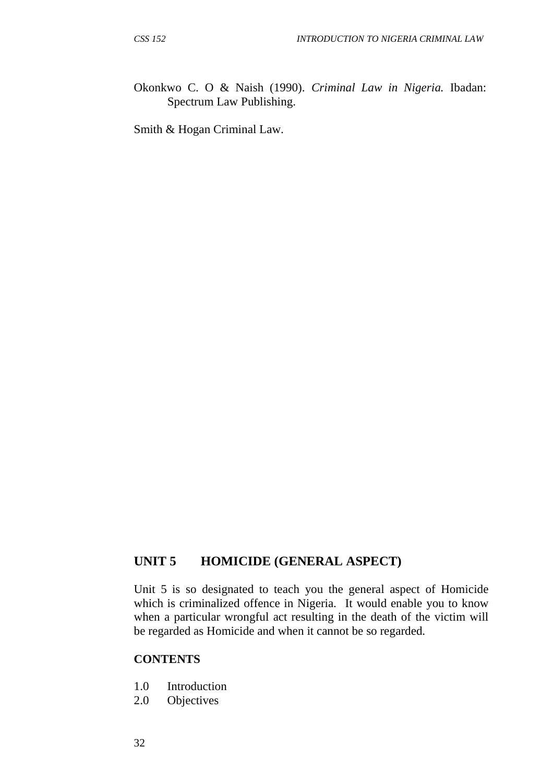Okonkwo C. O & Naish (1990). *Criminal Law in Nigeria.* Ibadan: Spectrum Law Publishing.

Smith & Hogan Criminal Law.

#### **UNIT 5 HOMICIDE (GENERAL ASPECT)**

Unit 5 is so designated to teach you the general aspect of Homicide which is criminalized offence in Nigeria. It would enable you to know when a particular wrongful act resulting in the death of the victim will be regarded as Homicide and when it cannot be so regarded.

#### **CONTENTS**

- 1.0 Introduction
- 2.0 Objectives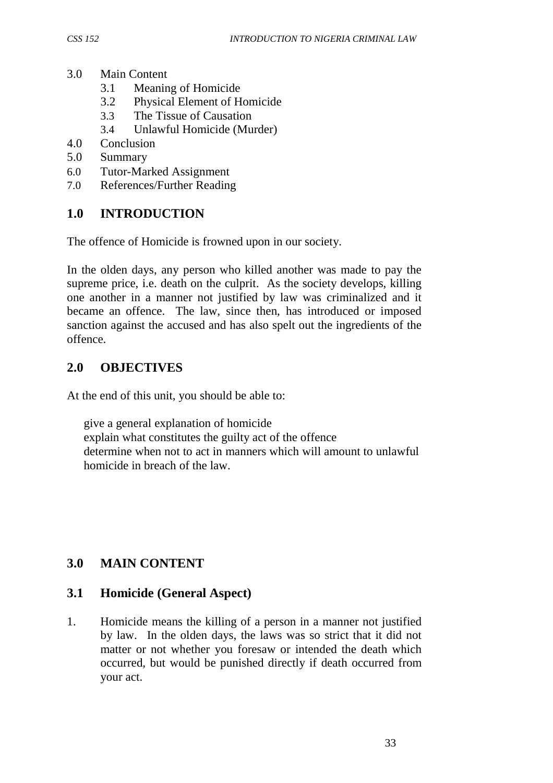- 3.0 Main Content
	- 3.1 Meaning of Homicide
	- 3.2 Physical Element of Homicide
	- 3.3 The Tissue of Causation
	- 3.4 Unlawful Homicide (Murder)
- 4.0 Conclusion
- 5.0 Summary
- 6.0 Tutor-Marked Assignment
- 7.0 References/Further Reading

## **1.0 INTRODUCTION**

The offence of Homicide is frowned upon in our society.

In the olden days, any person who killed another was made to pay the supreme price, i.e. death on the culprit. As the society develops, killing one another in a manner not justified by law was criminalized and it became an offence. The law, since then, has introduced or imposed sanction against the accused and has also spelt out the ingredients of the offence.

### **2.0 OBJECTIVES**

At the end of this unit, you should be able to:

give a general explanation of homicide explain what constitutes the guilty act of the offence determine when not to act in manners which will amount to unlawful homicide in breach of the law.

## **3.0 MAIN CONTENT**

### **3.1 Homicide (General Aspect)**

1. Homicide means the killing of a person in a manner not justified by law. In the olden days, the laws was so strict that it did not matter or not whether you foresaw or intended the death which occurred, but would be punished directly if death occurred from your act.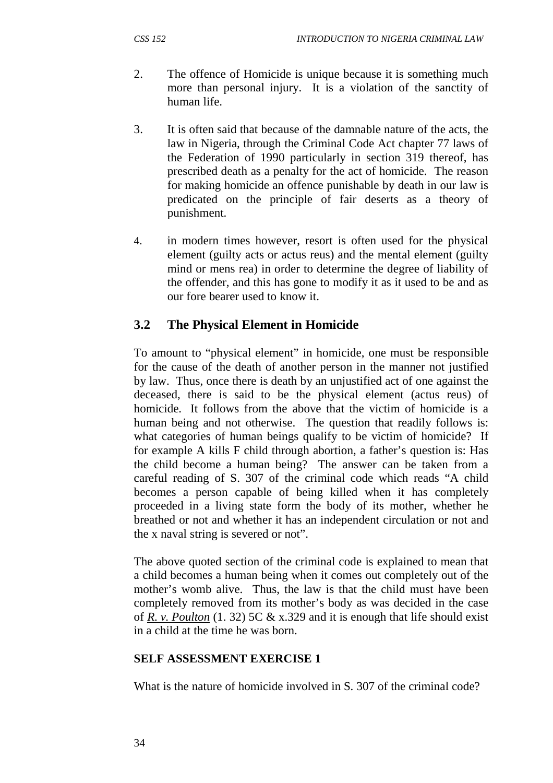- 2. The offence of Homicide is unique because it is something much more than personal injury. It is a violation of the sanctity of human life.
- 3. It is often said that because of the damnable nature of the acts, the law in Nigeria, through the Criminal Code Act chapter 77 laws of the Federation of 1990 particularly in section 319 thereof, has prescribed death as a penalty for the act of homicide. The reason for making homicide an offence punishable by death in our law is predicated on the principle of fair deserts as a theory of punishment.
- 4. in modern times however, resort is often used for the physical element (guilty acts or actus reus) and the mental element (guilty mind or mens rea) in order to determine the degree of liability of the offender, and this has gone to modify it as it used to be and as our fore bearer used to know it.

### **3.2 The Physical Element in Homicide**

To amount to "physical element" in homicide, one must be responsible for the cause of the death of another person in the manner not justified by law. Thus, once there is death by an unjustified act of one against the deceased, there is said to be the physical element (actus reus) of homicide. It follows from the above that the victim of homicide is a human being and not otherwise. The question that readily follows is: what categories of human beings qualify to be victim of homicide? If for example A kills F child through abortion, a father's question is: Has the child become a human being? The answer can be taken from a careful reading of S. 307 of the criminal code which reads "A child becomes a person capable of being killed when it has completely proceeded in a living state form the body of its mother, whether he breathed or not and whether it has an independent circulation or not and the x naval string is severed or not".

The above quoted section of the criminal code is explained to mean that a child becomes a human being when it comes out completely out of the mother's womb alive. Thus, the law is that the child must have been completely removed from its mother's body as was decided in the case of *R. v. Poulton* (1. 32) 5C & x.329 and it is enough that life should exist in a child at the time he was born.

#### **SELF ASSESSMENT EXERCISE 1**

What is the nature of homicide involved in S. 307 of the criminal code?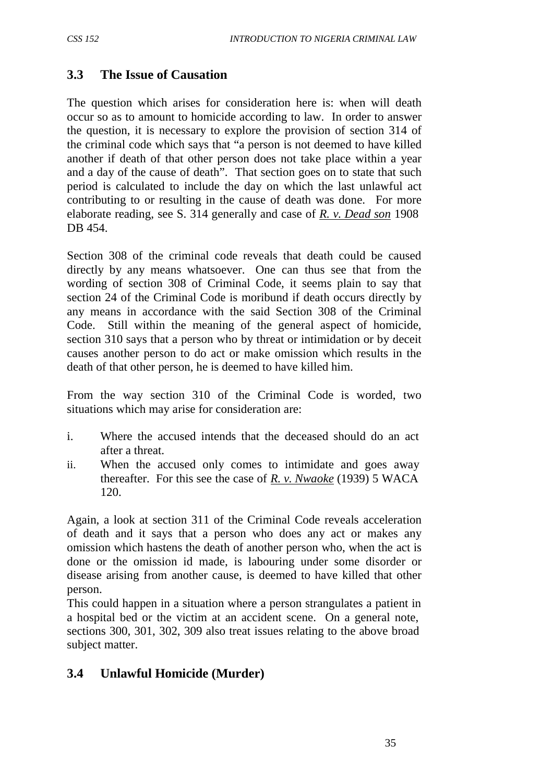### **3.3 The Issue of Causation**

The question which arises for consideration here is: when will death occur so as to amount to homicide according to law. In order to answer the question, it is necessary to explore the provision of section 314 of the criminal code which says that "a person is not deemed to have killed another if death of that other person does not take place within a year and a day of the cause of death". That section goes on to state that such period is calculated to include the day on which the last unlawful act contributing to or resulting in the cause of death was done. For more elaborate reading, see S. 314 generally and case of *R. v. Dead son* 1908 DB 454.

Section 308 of the criminal code reveals that death could be caused directly by any means whatsoever. One can thus see that from the wording of section 308 of Criminal Code, it seems plain to say that section 24 of the Criminal Code is moribund if death occurs directly by any means in accordance with the said Section 308 of the Criminal Code. Still within the meaning of the general aspect of homicide, section 310 says that a person who by threat or intimidation or by deceit causes another person to do act or make omission which results in the death of that other person, he is deemed to have killed him.

From the way section 310 of the Criminal Code is worded, two situations which may arise for consideration are:

- i. Where the accused intends that the deceased should do an act after a threat.
- ii. When the accused only comes to intimidate and goes away thereafter. For this see the case of *R. v. Nwaoke* (1939) 5 WACA 120.

Again, a look at section 311 of the Criminal Code reveals acceleration of death and it says that a person who does any act or makes any omission which hastens the death of another person who, when the act is done or the omission id made, is labouring under some disorder or disease arising from another cause, is deemed to have killed that other person.

This could happen in a situation where a person strangulates a patient in a hospital bed or the victim at an accident scene. On a general note, sections 300, 301, 302, 309 also treat issues relating to the above broad subject matter.

## **3.4 Unlawful Homicide (Murder)**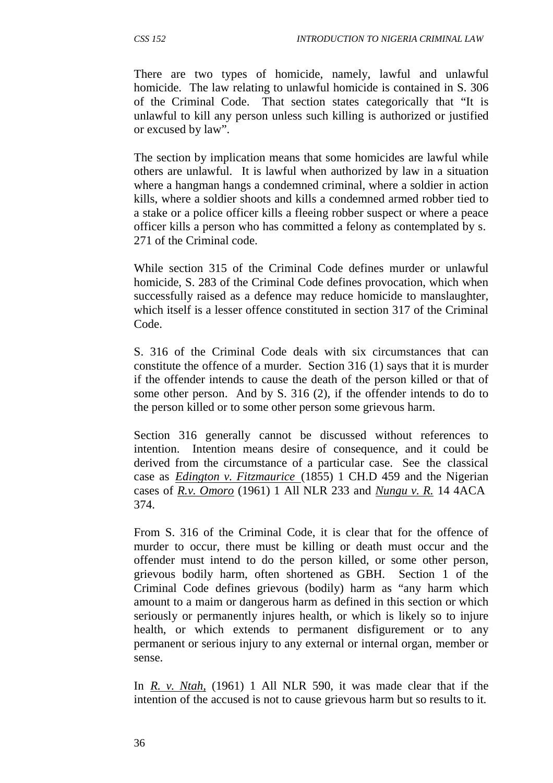There are two types of homicide, namely, lawful and unlawful homicide. The law relating to unlawful homicide is contained in S. 306 of the Criminal Code. That section states categorically that "It is unlawful to kill any person unless such killing is authorized or justified or excused by law".

The section by implication means that some homicides are lawful while others are unlawful. It is lawful when authorized by law in a situation where a hangman hangs a condemned criminal, where a soldier in action kills, where a soldier shoots and kills a condemned armed robber tied to a stake or a police officer kills a fleeing robber suspect or where a peace officer kills a person who has committed a felony as contemplated by s. 271 of the Criminal code.

While section 315 of the Criminal Code defines murder or unlawful homicide, S. 283 of the Criminal Code defines provocation, which when successfully raised as a defence may reduce homicide to manslaughter, which itself is a lesser offence constituted in section 317 of the Criminal Code.

S. 316 of the Criminal Code deals with six circumstances that can constitute the offence of a murder. Section 316 (1) says that it is murder if the offender intends to cause the death of the person killed or that of some other person. And by S. 316 (2), if the offender intends to do to the person killed or to some other person some grievous harm.

Section 316 generally cannot be discussed without references to intention. Intention means desire of consequence, and it could be derived from the circumstance of a particular case. See the classical case as *Edington v. Fitzmaurice* (1855) 1 CH.D 459 and the Nigerian cases of *R.v. Omoro* (1961) 1 All NLR 233 and *Nungu v. R.* 14 4ACA 374.

From S. 316 of the Criminal Code, it is clear that for the offence of murder to occur, there must be killing or death must occur and the offender must intend to do the person killed, or some other person, grievous bodily harm, often shortened as GBH. Section 1 of the Criminal Code defines grievous (bodily) harm as "any harm which amount to a maim or dangerous harm as defined in this section or which seriously or permanently injures health, or which is likely so to injure health, or which extends to permanent disfigurement or to any permanent or serious injury to any external or internal organ, member or sense.

In *R. v. Ntah,* (1961) 1 All NLR 590, it was made clear that if the intention of the accused is not to cause grievous harm but so results to it.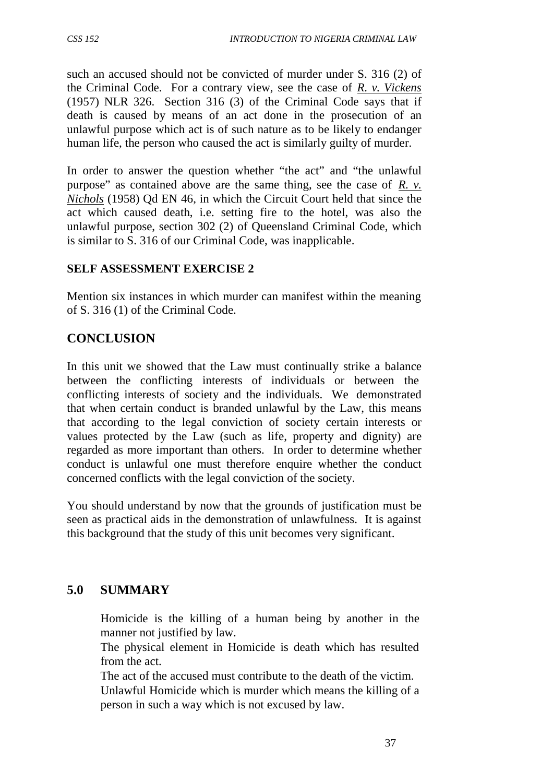such an accused should not be convicted of murder under S. 316 (2) of the Criminal Code. For a contrary view, see the case of *R. v. Vickens* (1957) NLR 326. Section 316 (3) of the Criminal Code says that if death is caused by means of an act done in the prosecution of an unlawful purpose which act is of such nature as to be likely to endanger human life, the person who caused the act is similarly guilty of murder.

In order to answer the question whether "the act" and "the unlawful purpose" as contained above are the same thing, see the case of *R. v. Nichols* (1958) Qd EN 46, in which the Circuit Court held that since the act which caused death, i.e. setting fire to the hotel, was also the unlawful purpose, section 302 (2) of Queensland Criminal Code, which is similar to S. 316 of our Criminal Code, was inapplicable.

#### **SELF ASSESSMENT EXERCISE 2**

Mention six instances in which murder can manifest within the meaning of S. 316 (1) of the Criminal Code.

### **CONCLUSION**

In this unit we showed that the Law must continually strike a balance between the conflicting interests of individuals or between the conflicting interests of society and the individuals. We demonstrated that when certain conduct is branded unlawful by the Law, this means that according to the legal conviction of society certain interests or values protected by the Law (such as life, property and dignity) are regarded as more important than others. In order to determine whether conduct is unlawful one must therefore enquire whether the conduct concerned conflicts with the legal conviction of the society.

You should understand by now that the grounds of justification must be seen as practical aids in the demonstration of unlawfulness. It is against this background that the study of this unit becomes very significant.

### **5.0 SUMMARY**

Homicide is the killing of a human being by another in the manner not justified by law.

The physical element in Homicide is death which has resulted from the act.

The act of the accused must contribute to the death of the victim.

Unlawful Homicide which is murder which means the killing of a person in such a way which is not excused by law.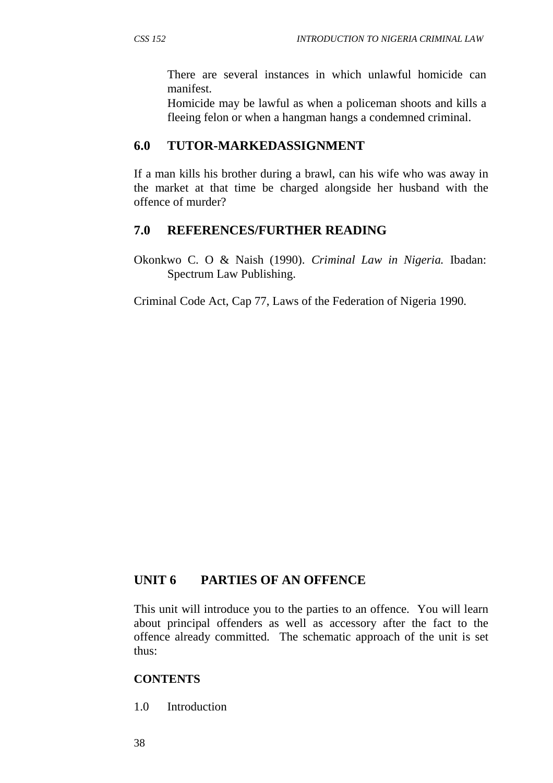There are several instances in which unlawful homicide can manifest.

Homicide may be lawful as when a policeman shoots and kills a fleeing felon or when a hangman hangs a condemned criminal.

### **6.0 TUTOR-MARKEDASSIGNMENT**

If a man kills his brother during a brawl, can his wife who was away in the market at that time be charged alongside her husband with the offence of murder?

#### **7.0 REFERENCES/FURTHER READING**

Okonkwo C. O & Naish (1990). *Criminal Law in Nigeria.* Ibadan: Spectrum Law Publishing.

Criminal Code Act, Cap 77, Laws of the Federation of Nigeria 1990.

#### **UNIT 6 PARTIES OF AN OFFENCE**

This unit will introduce you to the parties to an offence. You will learn about principal offenders as well as accessory after the fact to the offence already committed. The schematic approach of the unit is set thus:

#### **CONTENTS**

1.0 Introduction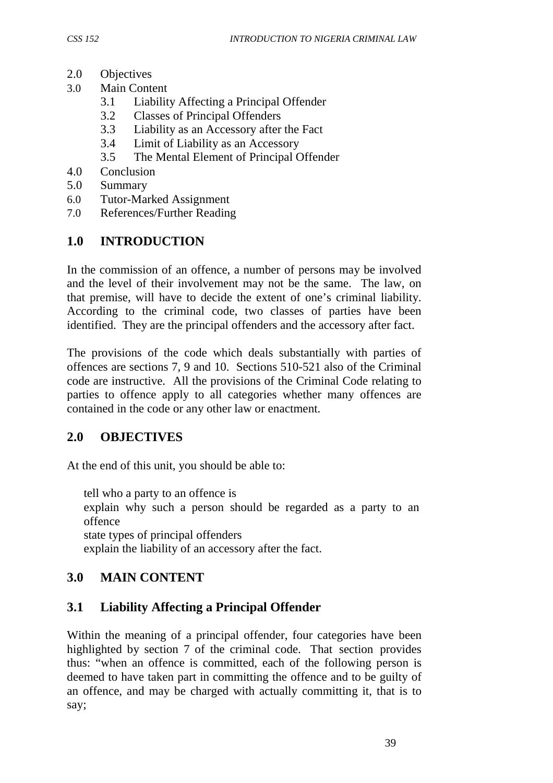- 2.0 Objectives
- 3.0 Main Content
	- 3.1 Liability Affecting a Principal Offender
	- 3.2 Classes of Principal Offenders
	- 3.3 Liability as an Accessory after the Fact
	- 3.4 Limit of Liability as an Accessory
	- 3.5 The Mental Element of Principal Offender
- 4.0 Conclusion
- 5.0 Summary
- 6.0 Tutor-Marked Assignment
- 7.0 References/Further Reading

## **1.0 INTRODUCTION**

In the commission of an offence, a number of persons may be involved and the level of their involvement may not be the same. The law, on that premise, will have to decide the extent of one's criminal liability. According to the criminal code, two classes of parties have been identified. They are the principal offenders and the accessory after fact.

The provisions of the code which deals substantially with parties of offences are sections 7, 9 and 10. Sections 510-521 also of the Criminal code are instructive. All the provisions of the Criminal Code relating to parties to offence apply to all categories whether many offences are contained in the code or any other law or enactment.

## **2.0 OBJECTIVES**

At the end of this unit, you should be able to:

tell who a party to an offence is explain why such a person should be regarded as a party to an offence state types of principal offenders explain the liability of an accessory after the fact.

## **3.0 MAIN CONTENT**

## **3.1 Liability Affecting a Principal Offender**

Within the meaning of a principal offender, four categories have been highlighted by section 7 of the criminal code. That section provides thus: "when an offence is committed, each of the following person is deemed to have taken part in committing the offence and to be guilty of an offence, and may be charged with actually committing it, that is to say;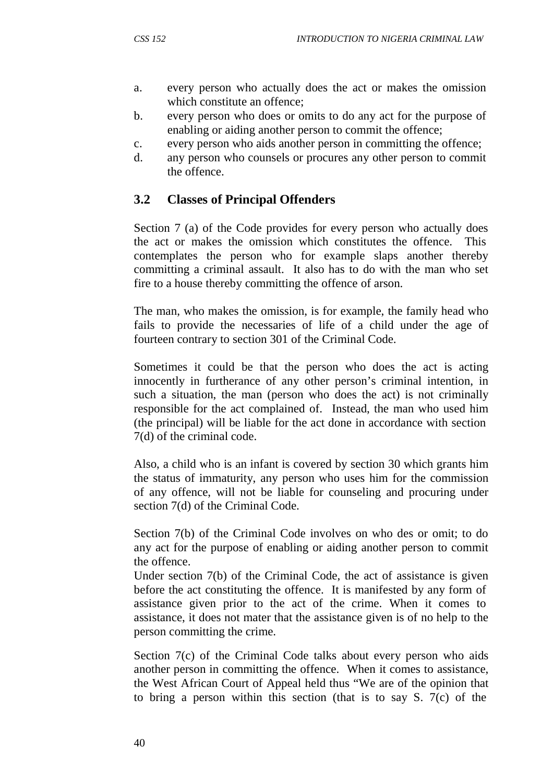- a. every person who actually does the act or makes the omission which constitute an offence;
- b. every person who does or omits to do any act for the purpose of enabling or aiding another person to commit the offence;
- c. every person who aids another person in committing the offence;
- d. any person who counsels or procures any other person to commit the offence.

## **3.2 Classes of Principal Offenders**

Section 7 (a) of the Code provides for every person who actually does the act or makes the omission which constitutes the offence. This contemplates the person who for example slaps another thereby committing a criminal assault. It also has to do with the man who set fire to a house thereby committing the offence of arson.

The man, who makes the omission, is for example, the family head who fails to provide the necessaries of life of a child under the age of fourteen contrary to section 301 of the Criminal Code.

Sometimes it could be that the person who does the act is acting innocently in furtherance of any other person's criminal intention, in such a situation, the man (person who does the act) is not criminally responsible for the act complained of. Instead, the man who used him (the principal) will be liable for the act done in accordance with section 7(d) of the criminal code.

Also, a child who is an infant is covered by section 30 which grants him the status of immaturity, any person who uses him for the commission of any offence, will not be liable for counseling and procuring under section 7(d) of the Criminal Code.

Section 7(b) of the Criminal Code involves on who des or omit; to do any act for the purpose of enabling or aiding another person to commit the offence.

Under section 7(b) of the Criminal Code, the act of assistance is given before the act constituting the offence. It is manifested by any form of assistance given prior to the act of the crime. When it comes to assistance, it does not mater that the assistance given is of no help to the person committing the crime.

Section 7(c) of the Criminal Code talks about every person who aids another person in committing the offence. When it comes to assistance, the West African Court of Appeal held thus "We are of the opinion that to bring a person within this section (that is to say S. 7(c) of the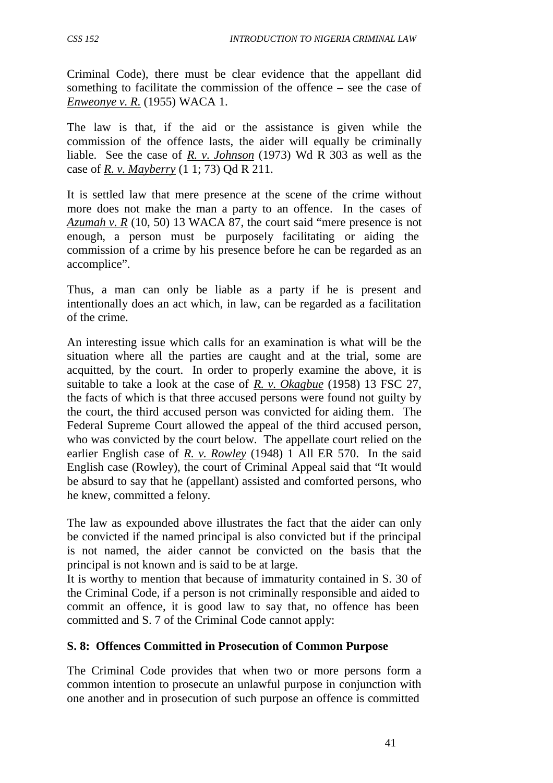Criminal Code), there must be clear evidence that the appellant did something to facilitate the commission of the offence – see the case of *Enweonye v. R.* (1955) WACA 1.

The law is that, if the aid or the assistance is given while the commission of the offence lasts, the aider will equally be criminally liable. See the case of *R. v. Johnson* (1973) Wd R 303 as well as the case of *R. v. Mayberry* (1 1; 73) Qd R 211.

It is settled law that mere presence at the scene of the crime without more does not make the man a party to an offence. In the cases of *Azumah v. R* (10, 50) 13 WACA 87, the court said "mere presence is not enough, a person must be purposely facilitating or aiding the commission of a crime by his presence before he can be regarded as an accomplice".

Thus, a man can only be liable as a party if he is present and intentionally does an act which, in law, can be regarded as a facilitation of the crime.

An interesting issue which calls for an examination is what will be the situation where all the parties are caught and at the trial, some are acquitted, by the court. In order to properly examine the above, it is suitable to take a look at the case of *R. v. Okagbue* (1958) 13 FSC 27, the facts of which is that three accused persons were found not guilty by the court, the third accused person was convicted for aiding them. The Federal Supreme Court allowed the appeal of the third accused person, who was convicted by the court below. The appellate court relied on the earlier English case of *R. v. Rowley* (1948) 1 All ER 570. In the said English case (Rowley), the court of Criminal Appeal said that "It would be absurd to say that he (appellant) assisted and comforted persons, who he knew, committed a felony.

The law as expounded above illustrates the fact that the aider can only be convicted if the named principal is also convicted but if the principal is not named, the aider cannot be convicted on the basis that the principal is not known and is said to be at large.

It is worthy to mention that because of immaturity contained in S. 30 of the Criminal Code, if a person is not criminally responsible and aided to commit an offence, it is good law to say that, no offence has been committed and S. 7 of the Criminal Code cannot apply:

#### **S. 8: Offences Committed in Prosecution of Common Purpose**

The Criminal Code provides that when two or more persons form a common intention to prosecute an unlawful purpose in conjunction with one another and in prosecution of such purpose an offence is committed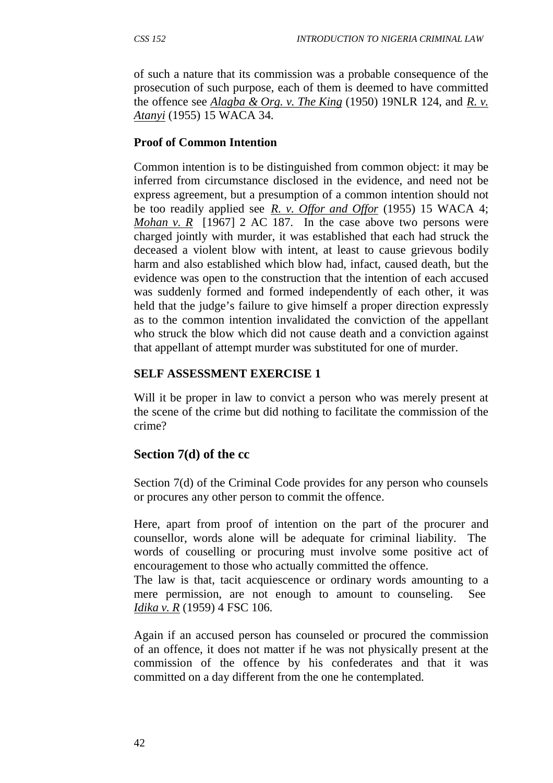of such a nature that its commission was a probable consequence of the prosecution of such purpose, each of them is deemed to have committed the offence see *Alagba & Org. v. The King* (1950) 19NLR 124, and *R. v. Atanyi* (1955) 15 WACA 34.

#### **Proof of Common Intention**

Common intention is to be distinguished from common object: it may be inferred from circumstance disclosed in the evidence, and need not be express agreement, but a presumption of a common intention should not be too readily applied see *R. v. Offor and Offor* (1955) 15 WACA 4; *Mohan v. R* [1967] 2 AC 187. In the case above two persons were charged jointly with murder, it was established that each had struck the deceased a violent blow with intent, at least to cause grievous bodily harm and also established which blow had, infact, caused death, but the evidence was open to the construction that the intention of each accused was suddenly formed and formed independently of each other, it was held that the judge's failure to give himself a proper direction expressly as to the common intention invalidated the conviction of the appellant who struck the blow which did not cause death and a conviction against that appellant of attempt murder was substituted for one of murder.

#### **SELF ASSESSMENT EXERCISE 1**

Will it be proper in law to convict a person who was merely present at the scene of the crime but did nothing to facilitate the commission of the crime?

### **Section 7(d) of the cc**

Section 7(d) of the Criminal Code provides for any person who counsels or procures any other person to commit the offence.

Here, apart from proof of intention on the part of the procurer and counsellor, words alone will be adequate for criminal liability. The words of couselling or procuring must involve some positive act of encouragement to those who actually committed the offence.

The law is that, tacit acquiescence or ordinary words amounting to a mere permission, are not enough to amount to counseling. See *Idika v. R* (1959) 4 FSC 106.

Again if an accused person has counseled or procured the commission of an offence, it does not matter if he was not physically present at the commission of the offence by his confederates and that it was committed on a day different from the one he contemplated.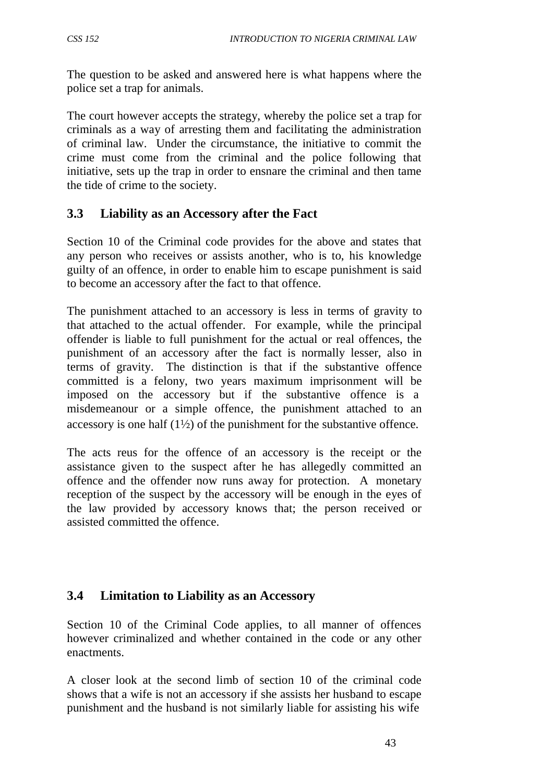The question to be asked and answered here is what happens where the police set a trap for animals.

The court however accepts the strategy, whereby the police set a trap for criminals as a way of arresting them and facilitating the administration of criminal law. Under the circumstance, the initiative to commit the crime must come from the criminal and the police following that initiative, sets up the trap in order to ensnare the criminal and then tame the tide of crime to the society.

### **3.3 Liability as an Accessory after the Fact**

Section 10 of the Criminal code provides for the above and states that any person who receives or assists another, who is to, his knowledge guilty of an offence, in order to enable him to escape punishment is said to become an accessory after the fact to that offence.

The punishment attached to an accessory is less in terms of gravity to that attached to the actual offender. For example, while the principal offender is liable to full punishment for the actual or real offences, the punishment of an accessory after the fact is normally lesser, also in terms of gravity. The distinction is that if the substantive offence committed is a felony, two years maximum imprisonment will be imposed on the accessory but if the substantive offence is a misdemeanour or a simple offence, the punishment attached to an accessory is one half  $(1\frac{1}{2})$  of the punishment for the substantive offence.

The acts reus for the offence of an accessory is the receipt or the assistance given to the suspect after he has allegedly committed an offence and the offender now runs away for protection. A monetary reception of the suspect by the accessory will be enough in the eyes of the law provided by accessory knows that; the person received or assisted committed the offence.

## **3.4 Limitation to Liability as an Accessory**

Section 10 of the Criminal Code applies, to all manner of offences however criminalized and whether contained in the code or any other enactments.

A closer look at the second limb of section 10 of the criminal code shows that a wife is not an accessory if she assists her husband to escape punishment and the husband is not similarly liable for assisting his wife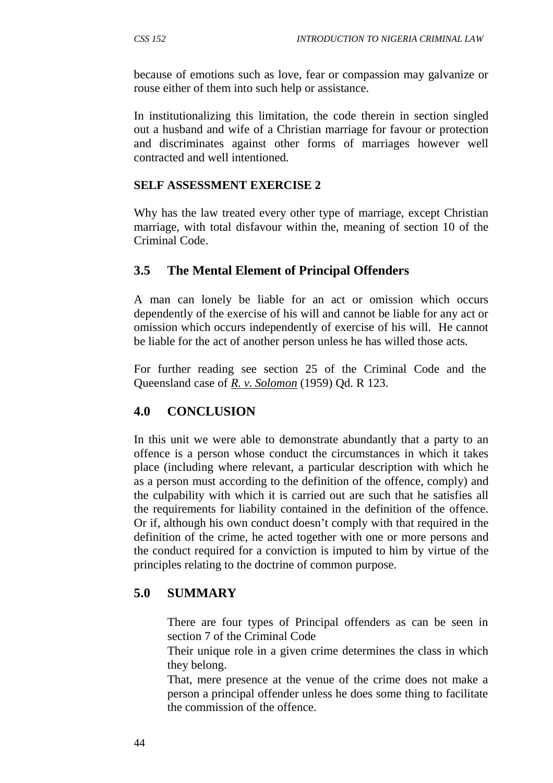because of emotions such as love, fear or compassion may galvanize or rouse either of them into such help or assistance.

In institutionalizing this limitation, the code therein in section singled out a husband and wife of a Christian marriage for favour or protection and discriminates against other forms of marriages however well contracted and well intentioned.

#### **SELF ASSESSMENT EXERCISE 2**

Why has the law treated every other type of marriage, except Christian marriage, with total disfavour within the, meaning of section 10 of the Criminal Code.

### **3.5 The Mental Element of Principal Offenders**

A man can lonely be liable for an act or omission which occurs dependently of the exercise of his will and cannot be liable for any act or omission which occurs independently of exercise of his will. He cannot be liable for the act of another person unless he has willed those acts.

For further reading see section 25 of the Criminal Code and the Queensland case of *R. v. Solomon* (1959) Qd. R 123.

### **4.0 CONCLUSION**

In this unit we were able to demonstrate abundantly that a party to an offence is a person whose conduct the circumstances in which it takes place (including where relevant, a particular description with which he as a person must according to the definition of the offence, comply) and the culpability with which it is carried out are such that he satisfies all the requirements for liability contained in the definition of the offence. Or if, although his own conduct doesn't comply with that required in the definition of the crime, he acted together with one or more persons and the conduct required for a conviction is imputed to him by virtue of the principles relating to the doctrine of common purpose.

### **5.0 SUMMARY**

There are four types of Principal offenders as can be seen in section 7 of the Criminal Code

Their unique role in a given crime determines the class in which they belong.

That, mere presence at the venue of the crime does not make a person a principal offender unless he does some thing to facilitate the commission of the offence.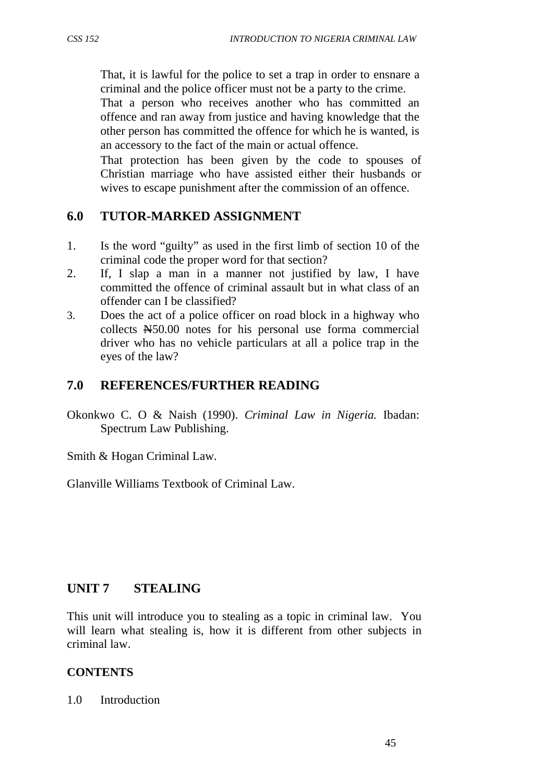That, it is lawful for the police to set a trap in order to ensnare a criminal and the police officer must not be a party to the crime.

That a person who receives another who has committed an offence and ran away from justice and having knowledge that the other person has committed the offence for which he is wanted, is an accessory to the fact of the main or actual offence.

That protection has been given by the code to spouses of Christian marriage who have assisted either their husbands or wives to escape punishment after the commission of an offence.

#### **6.0 TUTOR-MARKED ASSIGNMENT**

- 1. Is the word "guilty" as used in the first limb of section 10 of the criminal code the proper word for that section?
- 2. If, I slap a man in a manner not justified by law, I have committed the offence of criminal assault but in what class of an offender can I be classified?
- 3. Does the act of a police officer on road block in a highway who collects N50.00 notes for his personal use forma commercial driver who has no vehicle particulars at all a police trap in the eyes of the law?

#### **7.0 REFERENCES/FURTHER READING**

Okonkwo C. O & Naish (1990). *Criminal Law in Nigeria.* Ibadan: Spectrum Law Publishing.

Smith & Hogan Criminal Law.

Glanville Williams Textbook of Criminal Law.

### **UNIT 7 STEALING**

This unit will introduce you to stealing as a topic in criminal law. You will learn what stealing is, how it is different from other subjects in criminal law.

#### **CONTENTS**

1.0 Introduction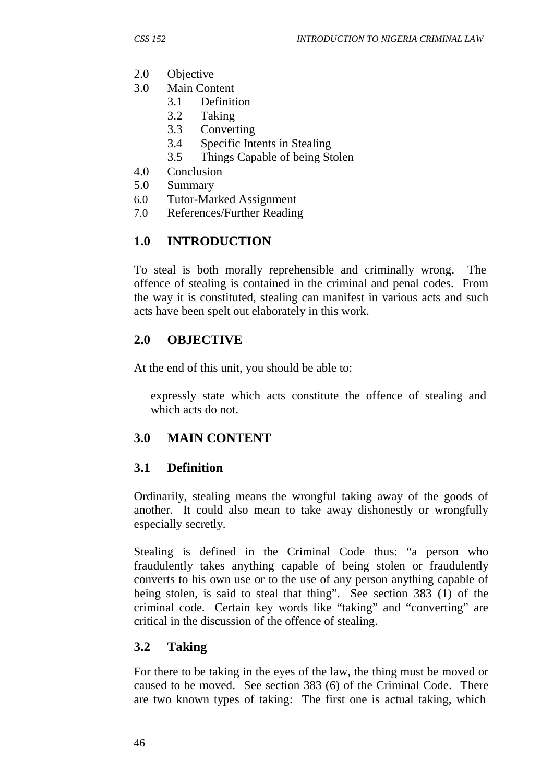- 2.0 Objective
- 3.0 Main Content
	- 3.1 Definition
		- 3.2 Taking
	- 3.3 Converting
	- 3.4 Specific Intents in Stealing
	- 3.5 Things Capable of being Stolen
- 4.0 Conclusion
- 5.0 Summary
- 6.0 Tutor-Marked Assignment
- 7.0 References/Further Reading

## **1.0 INTRODUCTION**

To steal is both morally reprehensible and criminally wrong. The offence of stealing is contained in the criminal and penal codes. From the way it is constituted, stealing can manifest in various acts and such acts have been spelt out elaborately in this work.

## **2.0 OBJECTIVE**

At the end of this unit, you should be able to:

expressly state which acts constitute the offence of stealing and which acts do not.

## **3.0 MAIN CONTENT**

### **3.1 Definition**

Ordinarily, stealing means the wrongful taking away of the goods of another. It could also mean to take away dishonestly or wrongfully especially secretly.

Stealing is defined in the Criminal Code thus: "a person who fraudulently takes anything capable of being stolen or fraudulently converts to his own use or to the use of any person anything capable of being stolen, is said to steal that thing". See section 383 (1) of the criminal code. Certain key words like "taking" and "converting" are critical in the discussion of the offence of stealing.

### **3.2 Taking**

For there to be taking in the eyes of the law, the thing must be moved or caused to be moved. See section 383 (6) of the Criminal Code. There are two known types of taking: The first one is actual taking, which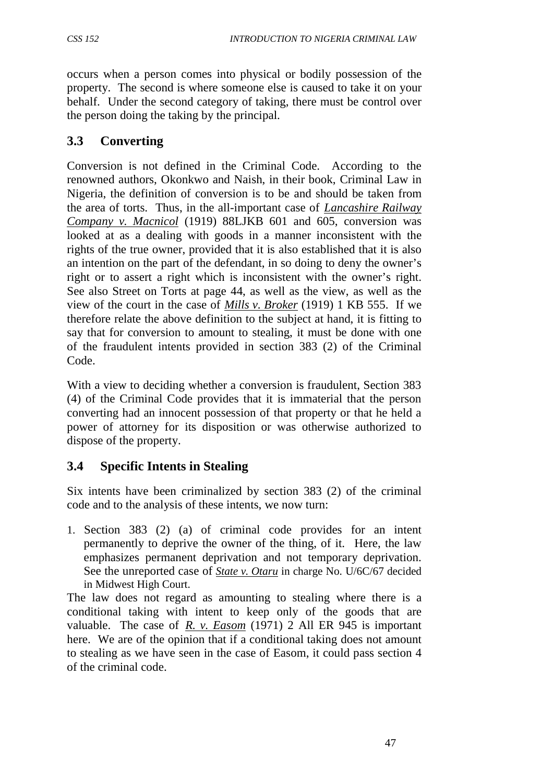occurs when a person comes into physical or bodily possession of the property. The second is where someone else is caused to take it on your behalf. Under the second category of taking, there must be control over the person doing the taking by the principal.

### **3.3 Converting**

Conversion is not defined in the Criminal Code. According to the renowned authors, Okonkwo and Naish, in their book, Criminal Law in Nigeria, the definition of conversion is to be and should be taken from the area of torts. Thus, in the all-important case of *Lancashire Railway Company v. Macnicol* (1919) 88LJKB 601 and 605, conversion was looked at as a dealing with goods in a manner inconsistent with the rights of the true owner, provided that it is also established that it is also an intention on the part of the defendant, in so doing to deny the owner's right or to assert a right which is inconsistent with the owner's right. See also Street on Torts at page 44, as well as the view, as well as the view of the court in the case of *Mills v. Broker* (1919) 1 KB 555. If we therefore relate the above definition to the subject at hand, it is fitting to say that for conversion to amount to stealing, it must be done with one of the fraudulent intents provided in section 383 (2) of the Criminal Code.

With a view to deciding whether a conversion is fraudulent, Section 383 (4) of the Criminal Code provides that it is immaterial that the person converting had an innocent possession of that property or that he held a power of attorney for its disposition or was otherwise authorized to dispose of the property.

## **3.4 Specific Intents in Stealing**

Six intents have been criminalized by section 383 (2) of the criminal code and to the analysis of these intents, we now turn:

1. Section 383 (2) (a) of criminal code provides for an intent permanently to deprive the owner of the thing, of it. Here, the law emphasizes permanent deprivation and not temporary deprivation. See the unreported case of *State v. Otaru* in charge No. U/6C/67 decided in Midwest High Court.

The law does not regard as amounting to stealing where there is a conditional taking with intent to keep only of the goods that are valuable. The case of *R. v. Easom* (1971) 2 All ER 945 is important here. We are of the opinion that if a conditional taking does not amount to stealing as we have seen in the case of Easom, it could pass section 4 of the criminal code.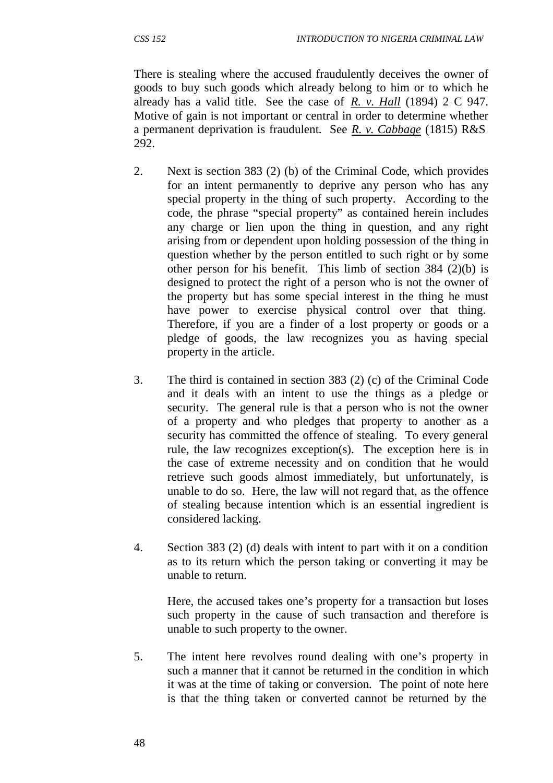There is stealing where the accused fraudulently deceives the owner of goods to buy such goods which already belong to him or to which he already has a valid title. See the case of *R. v. Hall* (1894) 2 C 947. Motive of gain is not important or central in order to determine whether a permanent deprivation is fraudulent. See *R. v. Cabbage* (1815) R&S 292.

- 2. Next is section 383 (2) (b) of the Criminal Code, which provides for an intent permanently to deprive any person who has any special property in the thing of such property. According to the code, the phrase "special property" as contained herein includes any charge or lien upon the thing in question, and any right arising from or dependent upon holding possession of the thing in question whether by the person entitled to such right or by some other person for his benefit. This limb of section 384 (2)(b) is designed to protect the right of a person who is not the owner of the property but has some special interest in the thing he must have power to exercise physical control over that thing. Therefore, if you are a finder of a lost property or goods or a pledge of goods, the law recognizes you as having special property in the article.
- 3. The third is contained in section 383 (2) (c) of the Criminal Code and it deals with an intent to use the things as a pledge or security. The general rule is that a person who is not the owner of a property and who pledges that property to another as a security has committed the offence of stealing. To every general rule, the law recognizes exception(s). The exception here is in the case of extreme necessity and on condition that he would retrieve such goods almost immediately, but unfortunately, is unable to do so. Here, the law will not regard that, as the offence of stealing because intention which is an essential ingredient is considered lacking.
- 4. Section 383 (2) (d) deals with intent to part with it on a condition as to its return which the person taking or converting it may be unable to return.

Here, the accused takes one's property for a transaction but loses such property in the cause of such transaction and therefore is unable to such property to the owner.

5. The intent here revolves round dealing with one's property in such a manner that it cannot be returned in the condition in which it was at the time of taking or conversion. The point of note here is that the thing taken or converted cannot be returned by the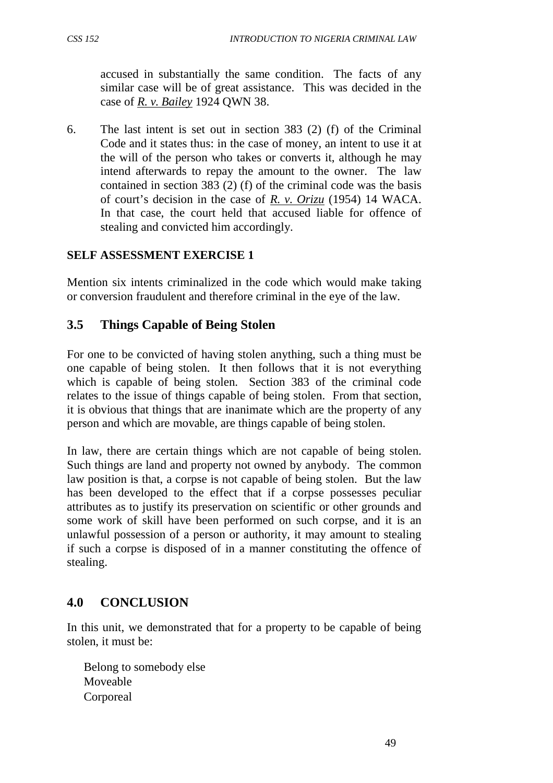accused in substantially the same condition. The facts of any similar case will be of great assistance. This was decided in the case of *R. v. Bailey* 1924 QWN 38.

6. The last intent is set out in section 383 (2) (f) of the Criminal Code and it states thus: in the case of money, an intent to use it at the will of the person who takes or converts it, although he may intend afterwards to repay the amount to the owner. The law contained in section 383 (2) (f) of the criminal code was the basis of court's decision in the case of *R. v. Orizu* (1954) 14 WACA. In that case, the court held that accused liable for offence of stealing and convicted him accordingly.

### **SELF ASSESSMENT EXERCISE 1**

Mention six intents criminalized in the code which would make taking or conversion fraudulent and therefore criminal in the eye of the law.

### **3.5 Things Capable of Being Stolen**

For one to be convicted of having stolen anything, such a thing must be one capable of being stolen. It then follows that it is not everything which is capable of being stolen. Section 383 of the criminal code relates to the issue of things capable of being stolen. From that section, it is obvious that things that are inanimate which are the property of any person and which are movable, are things capable of being stolen.

In law, there are certain things which are not capable of being stolen. Such things are land and property not owned by anybody. The common law position is that, a corpse is not capable of being stolen. But the law has been developed to the effect that if a corpse possesses peculiar attributes as to justify its preservation on scientific or other grounds and some work of skill have been performed on such corpse, and it is an unlawful possession of a person or authority, it may amount to stealing if such a corpse is disposed of in a manner constituting the offence of stealing.

### **4.0 CONCLUSION**

In this unit, we demonstrated that for a property to be capable of being stolen, it must be:

Belong to somebody else Moveable Corporeal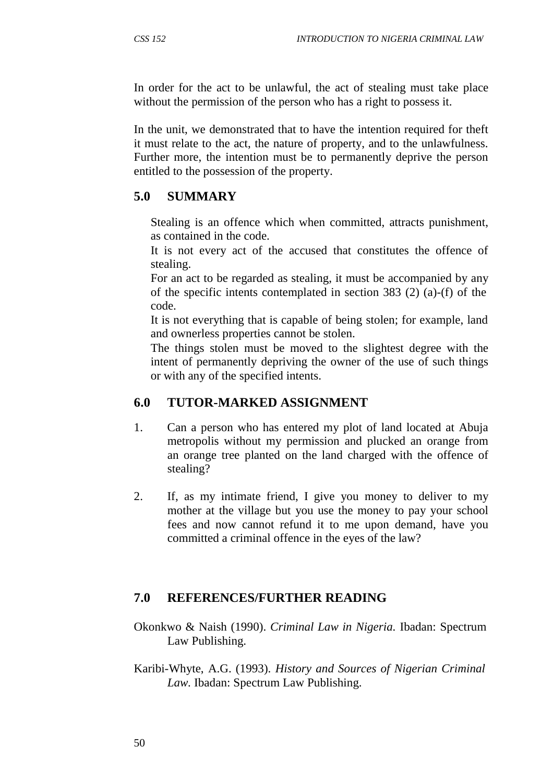In order for the act to be unlawful, the act of stealing must take place without the permission of the person who has a right to possess it.

In the unit, we demonstrated that to have the intention required for theft it must relate to the act, the nature of property, and to the unlawfulness. Further more, the intention must be to permanently deprive the person entitled to the possession of the property.

### **5.0 SUMMARY**

Stealing is an offence which when committed, attracts punishment, as contained in the code.

It is not every act of the accused that constitutes the offence of stealing.

For an act to be regarded as stealing, it must be accompanied by any of the specific intents contemplated in section 383 (2) (a)-(f) of the code.

It is not everything that is capable of being stolen; for example, land and ownerless properties cannot be stolen.

The things stolen must be moved to the slightest degree with the intent of permanently depriving the owner of the use of such things or with any of the specified intents.

## **6.0 TUTOR-MARKED ASSIGNMENT**

- 1. Can a person who has entered my plot of land located at Abuja metropolis without my permission and plucked an orange from an orange tree planted on the land charged with the offence of stealing?
- 2. If, as my intimate friend, I give you money to deliver to my mother at the village but you use the money to pay your school fees and now cannot refund it to me upon demand, have you committed a criminal offence in the eyes of the law?

## **7.0 REFERENCES/FURTHER READING**

Okonkwo & Naish (1990). *Criminal Law in Nigeria.* Ibadan: Spectrum Law Publishing.

Karibi-Whyte, A.G. (1993). *History and Sources of Nigerian Criminal Law.* Ibadan: Spectrum Law Publishing.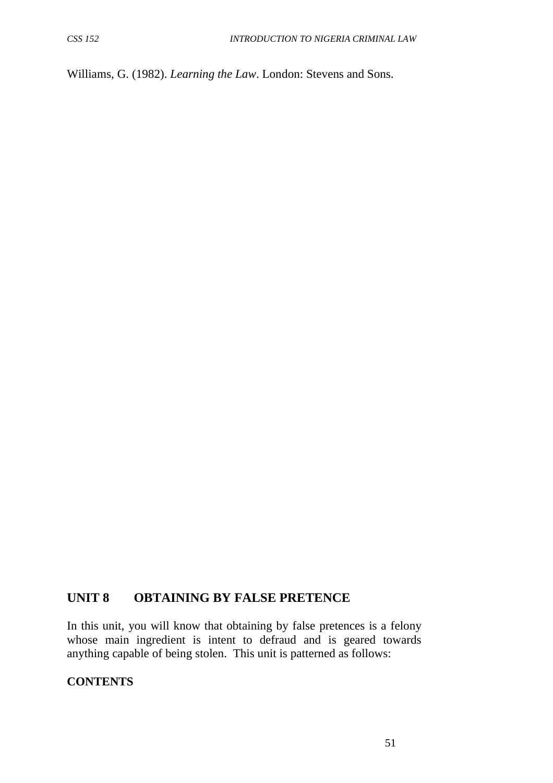Williams, G. (1982). *Learning the Law*. London: Stevens and Sons.

### **UNIT 8 OBTAINING BY FALSE PRETENCE**

In this unit, you will know that obtaining by false pretences is a felony whose main ingredient is intent to defraud and is geared towards anything capable of being stolen. This unit is patterned as follows:

#### **CONTENTS**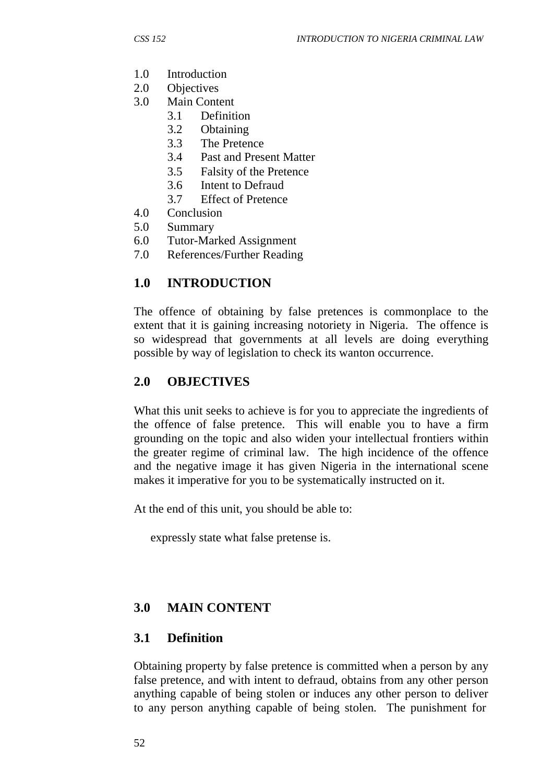- 1.0 Introduction
- 2.0 Objectives
- 3.0 Main Content
	- 3.1 Definition
	- 3.2 Obtaining
	- 3.3 The Pretence
	- 3.4 Past and Present Matter
	- 3.5 Falsity of the Pretence
	- 3.6 Intent to Defraud
	- 3.7 Effect of Pretence
- 4.0 Conclusion
- 5.0 Summary
- 6.0 Tutor-Marked Assignment
- 7.0 References/Further Reading

## **1.0 INTRODUCTION**

The offence of obtaining by false pretences is commonplace to the extent that it is gaining increasing notoriety in Nigeria. The offence is so widespread that governments at all levels are doing everything possible by way of legislation to check its wanton occurrence.

### **2.0 OBJECTIVES**

What this unit seeks to achieve is for you to appreciate the ingredients of the offence of false pretence. This will enable you to have a firm grounding on the topic and also widen your intellectual frontiers within the greater regime of criminal law. The high incidence of the offence and the negative image it has given Nigeria in the international scene makes it imperative for you to be systematically instructed on it.

At the end of this unit, you should be able to:

expressly state what false pretense is.

## **3.0 MAIN CONTENT**

### **3.1 Definition**

Obtaining property by false pretence is committed when a person by any false pretence, and with intent to defraud, obtains from any other person anything capable of being stolen or induces any other person to deliver to any person anything capable of being stolen. The punishment for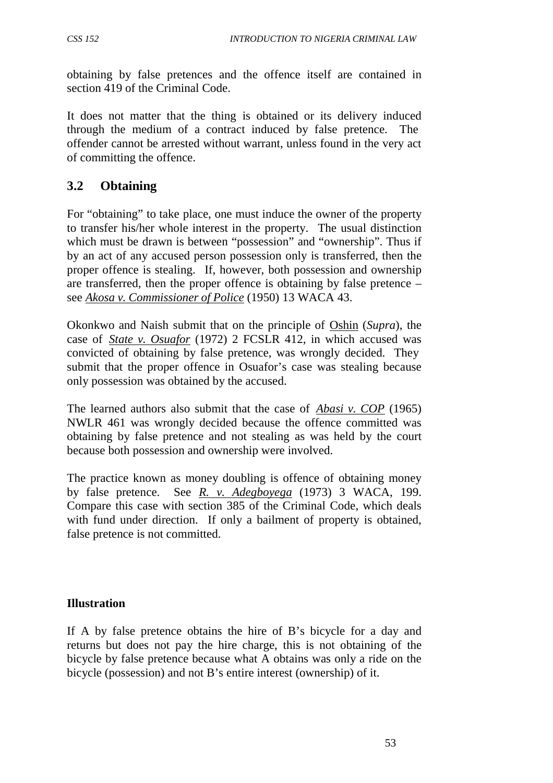obtaining by false pretences and the offence itself are contained in section 419 of the Criminal Code.

It does not matter that the thing is obtained or its delivery induced through the medium of a contract induced by false pretence. The offender cannot be arrested without warrant, unless found in the very act of committing the offence.

# **3.2 Obtaining**

For "obtaining" to take place, one must induce the owner of the property to transfer his/her whole interest in the property. The usual distinction which must be drawn is between "possession" and "ownership". Thus if by an act of any accused person possession only is transferred, then the proper offence is stealing. If, however, both possession and ownership are transferred, then the proper offence is obtaining by false pretence – see *Akosa v. Commissioner of Police* (1950) 13 WACA 43.

Okonkwo and Naish submit that on the principle of Oshin (*Supra*), the case of *State v. Osuafor* (1972) 2 FCSLR 412, in which accused was convicted of obtaining by false pretence, was wrongly decided. They submit that the proper offence in Osuafor's case was stealing because only possession was obtained by the accused.

The learned authors also submit that the case of *Abasi v. COP* (1965) NWLR 461 was wrongly decided because the offence committed was obtaining by false pretence and not stealing as was held by the court because both possession and ownership were involved.

The practice known as money doubling is offence of obtaining money by false pretence. See *R. v. Adegboyega* (1973) 3 WACA, 199. Compare this case with section 385 of the Criminal Code, which deals with fund under direction. If only a bailment of property is obtained, false pretence is not committed.

### **Illustration**

If A by false pretence obtains the hire of B's bicycle for a day and returns but does not pay the hire charge, this is not obtaining of the bicycle by false pretence because what A obtains was only a ride on the bicycle (possession) and not B's entire interest (ownership) of it.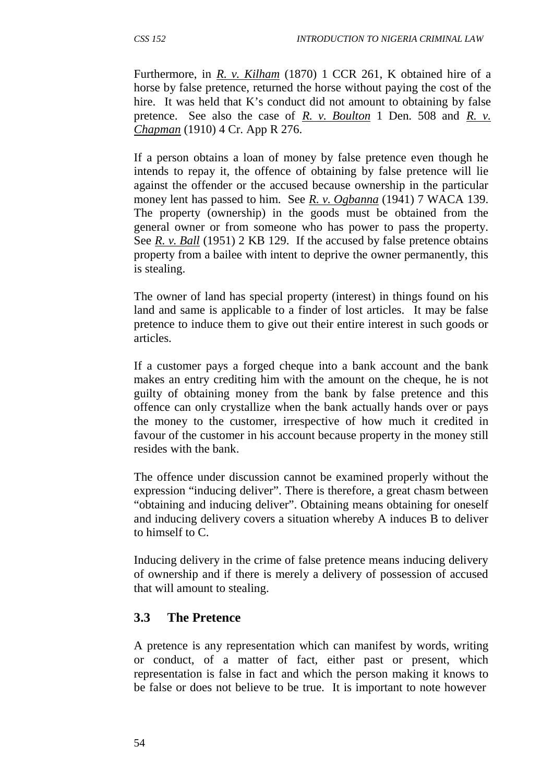Furthermore, in *R. v. Kilham* (1870) 1 CCR 261, K obtained hire of a horse by false pretence, returned the horse without paying the cost of the hire. It was held that K's conduct did not amount to obtaining by false pretence. See also the case of *R. v. Boulton* 1 Den. 508 and *R. v. Chapman* (1910) 4 Cr. App R 276.

If a person obtains a loan of money by false pretence even though he intends to repay it, the offence of obtaining by false pretence will lie against the offender or the accused because ownership in the particular money lent has passed to him. See *R. v. Ogbanna* (1941) 7 WACA 139. The property (ownership) in the goods must be obtained from the general owner or from someone who has power to pass the property. See *R. v. Ball* (1951) 2 KB 129. If the accused by false pretence obtains property from a bailee with intent to deprive the owner permanently, this is stealing.

The owner of land has special property (interest) in things found on his land and same is applicable to a finder of lost articles. It may be false pretence to induce them to give out their entire interest in such goods or articles.

If a customer pays a forged cheque into a bank account and the bank makes an entry crediting him with the amount on the cheque, he is not guilty of obtaining money from the bank by false pretence and this offence can only crystallize when the bank actually hands over or pays the money to the customer, irrespective of how much it credited in favour of the customer in his account because property in the money still resides with the bank.

The offence under discussion cannot be examined properly without the expression "inducing deliver". There is therefore, a great chasm between "obtaining and inducing deliver". Obtaining means obtaining for oneself and inducing delivery covers a situation whereby A induces B to deliver to himself to C.

Inducing delivery in the crime of false pretence means inducing delivery of ownership and if there is merely a delivery of possession of accused that will amount to stealing.

### **3.3 The Pretence**

A pretence is any representation which can manifest by words, writing or conduct, of a matter of fact, either past or present, which representation is false in fact and which the person making it knows to be false or does not believe to be true. It is important to note however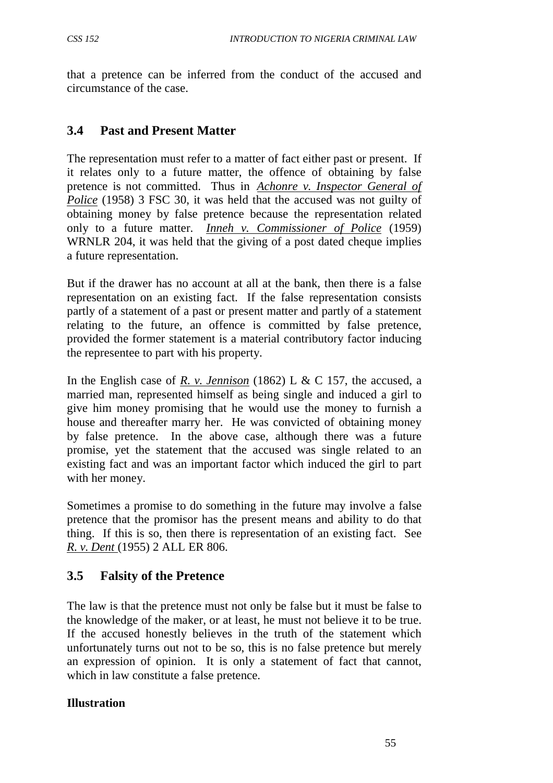that a pretence can be inferred from the conduct of the accused and circumstance of the case.

### **3.4 Past and Present Matter**

The representation must refer to a matter of fact either past or present. If it relates only to a future matter, the offence of obtaining by false pretence is not committed. Thus in *Achonre v. Inspector General of Police* (1958) 3 FSC 30, it was held that the accused was not guilty of obtaining money by false pretence because the representation related only to a future matter. *Inneh v. Commissioner of Police* (1959) WRNLR 204, it was held that the giving of a post dated cheque implies a future representation.

But if the drawer has no account at all at the bank, then there is a false representation on an existing fact. If the false representation consists partly of a statement of a past or present matter and partly of a statement relating to the future, an offence is committed by false pretence, provided the former statement is a material contributory factor inducing the representee to part with his property.

In the English case of *R. v. Jennison* (1862) L & C 157, the accused, a married man, represented himself as being single and induced a girl to give him money promising that he would use the money to furnish a house and thereafter marry her. He was convicted of obtaining money by false pretence. In the above case, although there was a future promise, yet the statement that the accused was single related to an existing fact and was an important factor which induced the girl to part with her money.

Sometimes a promise to do something in the future may involve a false pretence that the promisor has the present means and ability to do that thing. If this is so, then there is representation of an existing fact. See *R. v. Dent* (1955) 2 ALL ER 806.

## **3.5 Falsity of the Pretence**

The law is that the pretence must not only be false but it must be false to the knowledge of the maker, or at least, he must not believe it to be true. If the accused honestly believes in the truth of the statement which unfortunately turns out not to be so, this is no false pretence but merely an expression of opinion. It is only a statement of fact that cannot, which in law constitute a false pretence.

### **Illustration**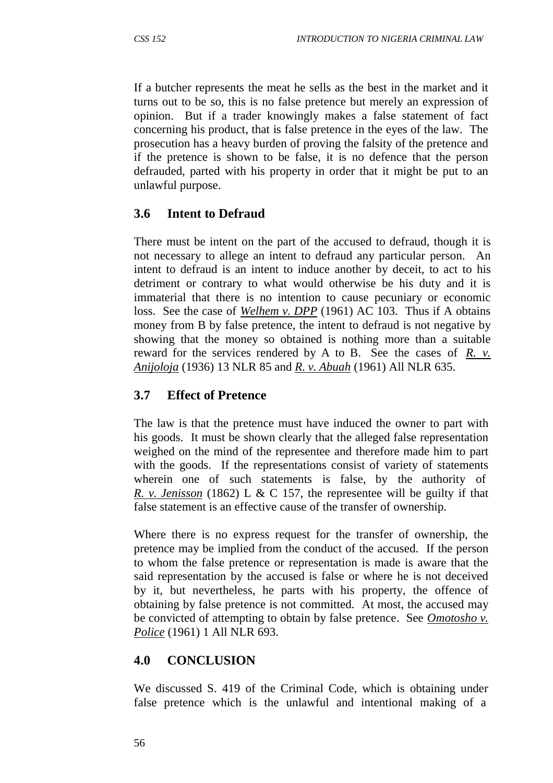If a butcher represents the meat he sells as the best in the market and it turns out to be so, this is no false pretence but merely an expression of opinion. But if a trader knowingly makes a false statement of fact concerning his product, that is false pretence in the eyes of the law. The prosecution has a heavy burden of proving the falsity of the pretence and if the pretence is shown to be false, it is no defence that the person defrauded, parted with his property in order that it might be put to an unlawful purpose.

### **3.6 Intent to Defraud**

There must be intent on the part of the accused to defraud, though it is not necessary to allege an intent to defraud any particular person. An intent to defraud is an intent to induce another by deceit, to act to his detriment or contrary to what would otherwise be his duty and it is immaterial that there is no intention to cause pecuniary or economic loss. See the case of *Welhem v. DPP* (1961) AC 103. Thus if A obtains money from B by false pretence, the intent to defraud is not negative by showing that the money so obtained is nothing more than a suitable reward for the services rendered by A to B. See the cases of *R. v. Anijoloja* (1936) 13 NLR 85 and *R. v. Abuah* (1961) All NLR 635.

### **3.7 Effect of Pretence**

The law is that the pretence must have induced the owner to part with his goods. It must be shown clearly that the alleged false representation weighed on the mind of the representee and therefore made him to part with the goods. If the representations consist of variety of statements wherein one of such statements is false, by the authority of *R. v. Jenisson* (1862) L & C 157, the representee will be guilty if that false statement is an effective cause of the transfer of ownership.

Where there is no express request for the transfer of ownership, the pretence may be implied from the conduct of the accused. If the person to whom the false pretence or representation is made is aware that the said representation by the accused is false or where he is not deceived by it, but nevertheless, he parts with his property, the offence of obtaining by false pretence is not committed. At most, the accused may be convicted of attempting to obtain by false pretence. See *Omotosho v. Police* (1961) 1 All NLR 693.

## **4.0 CONCLUSION**

We discussed S. 419 of the Criminal Code, which is obtaining under false pretence which is the unlawful and intentional making of a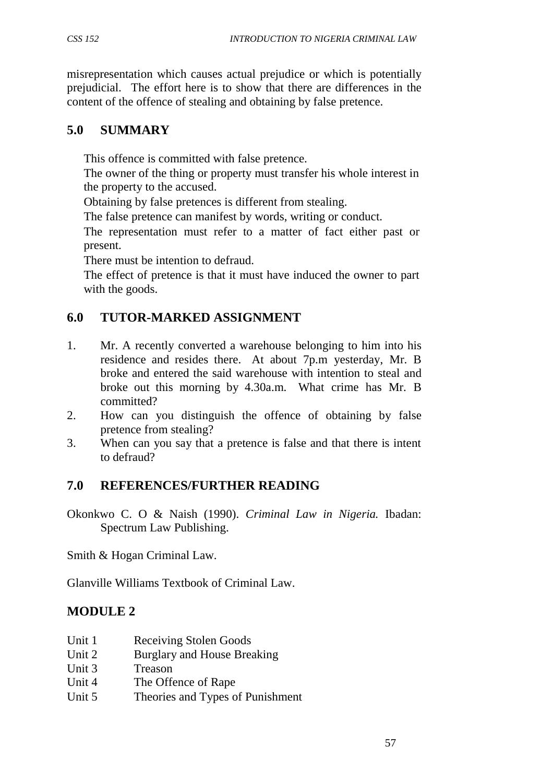misrepresentation which causes actual prejudice or which is potentially prejudicial. The effort here is to show that there are differences in the content of the offence of stealing and obtaining by false pretence.

# **5.0 SUMMARY**

This offence is committed with false pretence.

The owner of the thing or property must transfer his whole interest in the property to the accused.

Obtaining by false pretences is different from stealing.

The false pretence can manifest by words, writing or conduct.

The representation must refer to a matter of fact either past or present.

There must be intention to defraud.

The effect of pretence is that it must have induced the owner to part with the goods.

# **6.0 TUTOR-MARKED ASSIGNMENT**

- 1. Mr. A recently converted a warehouse belonging to him into his residence and resides there. At about 7p.m yesterday, Mr. B broke and entered the said warehouse with intention to steal and broke out this morning by 4.30a.m. What crime has Mr. B committed?
- 2. How can you distinguish the offence of obtaining by false pretence from stealing?
- 3. When can you say that a pretence is false and that there is intent to defraud?

## **7.0 REFERENCES/FURTHER READING**

Okonkwo C. O & Naish (1990). *Criminal Law in Nigeria.* Ibadan: Spectrum Law Publishing.

Smith & Hogan Criminal Law.

Glanville Williams Textbook of Criminal Law.

# **MODULE 2**

- Unit 1 Receiving Stolen Goods
- Unit 2 Burglary and House Breaking
- Unit 3 Treason
- Unit 4 The Offence of Rape
- Unit 5 Theories and Types of Punishment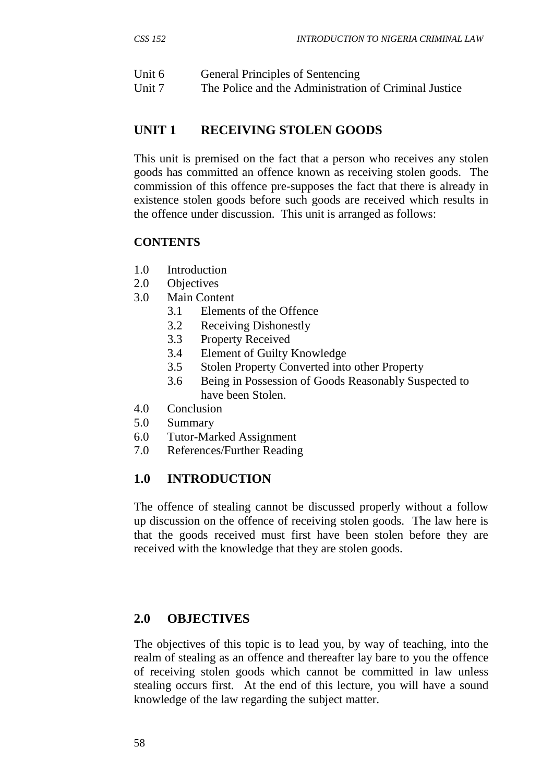| <b>General Principles of Sentencing</b> |
|-----------------------------------------|
|                                         |

Unit 7 The Police and the Administration of Criminal Justice

### **UNIT 1 RECEIVING STOLEN GOODS**

This unit is premised on the fact that a person who receives any stolen goods has committed an offence known as receiving stolen goods. The commission of this offence pre-supposes the fact that there is already in existence stolen goods before such goods are received which results in the offence under discussion. This unit is arranged as follows:

#### **CONTENTS**

- 1.0 Introduction
- 2.0 Objectives
- 3.0 Main Content
	- 3.1 Elements of the Offence
	- 3.2 Receiving Dishonestly
	- 3.3 Property Received
	- 3.4 Element of Guilty Knowledge
	- 3.5 Stolen Property Converted into other Property
	- 3.6 Being in Possession of Goods Reasonably Suspected to have been Stolen.
- 4.0 Conclusion
- 5.0 Summary
- 6.0 Tutor-Marked Assignment
- 7.0 References/Further Reading

### **1.0 INTRODUCTION**

The offence of stealing cannot be discussed properly without a follow up discussion on the offence of receiving stolen goods. The law here is that the goods received must first have been stolen before they are received with the knowledge that they are stolen goods.

### **2.0 OBJECTIVES**

The objectives of this topic is to lead you, by way of teaching, into the realm of stealing as an offence and thereafter lay bare to you the offence of receiving stolen goods which cannot be committed in law unless stealing occurs first. At the end of this lecture, you will have a sound knowledge of the law regarding the subject matter.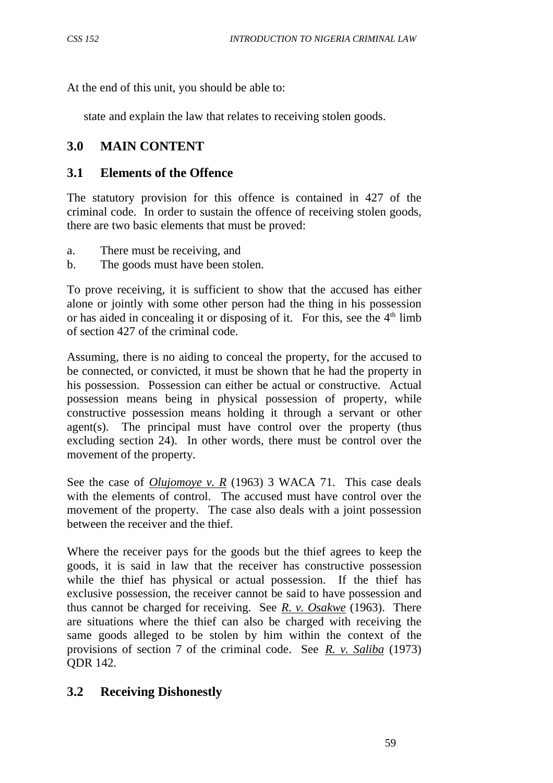At the end of this unit, you should be able to:

state and explain the law that relates to receiving stolen goods.

### **3.0 MAIN CONTENT**

#### **3.1 Elements of the Offence**

The statutory provision for this offence is contained in 427 of the criminal code. In order to sustain the offence of receiving stolen goods, there are two basic elements that must be proved:

- a. There must be receiving, and
- b. The goods must have been stolen.

To prove receiving, it is sufficient to show that the accused has either alone or jointly with some other person had the thing in his possession or has aided in concealing it or disposing of it. For this, see the  $4<sup>th</sup>$  limb of section 427 of the criminal code.

Assuming, there is no aiding to conceal the property, for the accused to be connected, or convicted, it must be shown that he had the property in his possession. Possession can either be actual or constructive. Actual possession means being in physical possession of property, while constructive possession means holding it through a servant or other agent(s). The principal must have control over the property (thus excluding section 24). In other words, there must be control over the movement of the property.

See the case of *Olujomoye v. R* (1963) 3 WACA 71. This case deals with the elements of control. The accused must have control over the movement of the property. The case also deals with a joint possession between the receiver and the thief.

Where the receiver pays for the goods but the thief agrees to keep the goods, it is said in law that the receiver has constructive possession while the thief has physical or actual possession. If the thief has exclusive possession, the receiver cannot be said to have possession and thus cannot be charged for receiving. See *R. v. Osakwe* (1963). There are situations where the thief can also be charged with receiving the same goods alleged to be stolen by him within the context of the provisions of section 7 of the criminal code. See *R. v. Saliba* (1973) QDR 142.

### **3.2 Receiving Dishonestly**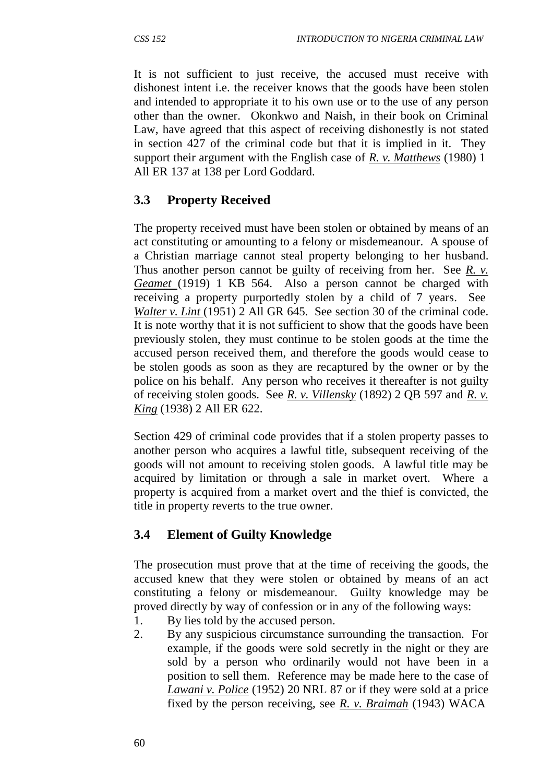It is not sufficient to just receive, the accused must receive with dishonest intent i.e. the receiver knows that the goods have been stolen and intended to appropriate it to his own use or to the use of any person other than the owner. Okonkwo and Naish, in their book on Criminal Law, have agreed that this aspect of receiving dishonestly is not stated in section 427 of the criminal code but that it is implied in it. They support their argument with the English case of *R. v. Matthews* (1980) 1 All ER 137 at 138 per Lord Goddard.

# **3.3 Property Received**

The property received must have been stolen or obtained by means of an act constituting or amounting to a felony or misdemeanour. A spouse of a Christian marriage cannot steal property belonging to her husband. Thus another person cannot be guilty of receiving from her. See *R. v. Geamet* (1919) 1 KB 564. Also a person cannot be charged with receiving a property purportedly stolen by a child of 7 years. See *Walter v. Lint* (1951) 2 All GR 645. See section 30 of the criminal code. It is note worthy that it is not sufficient to show that the goods have been previously stolen, they must continue to be stolen goods at the time the accused person received them, and therefore the goods would cease to be stolen goods as soon as they are recaptured by the owner or by the police on his behalf. Any person who receives it thereafter is not guilty of receiving stolen goods. See *R. v. Villensky* (1892) 2 QB 597 and *R. v. King* (1938) 2 All ER 622.

Section 429 of criminal code provides that if a stolen property passes to another person who acquires a lawful title, subsequent receiving of the goods will not amount to receiving stolen goods. A lawful title may be acquired by limitation or through a sale in market overt. Where a property is acquired from a market overt and the thief is convicted, the title in property reverts to the true owner.

# **3.4 Element of Guilty Knowledge**

The prosecution must prove that at the time of receiving the goods, the accused knew that they were stolen or obtained by means of an act constituting a felony or misdemeanour. Guilty knowledge may be proved directly by way of confession or in any of the following ways:

- 1. By lies told by the accused person.
- 2. By any suspicious circumstance surrounding the transaction. For example, if the goods were sold secretly in the night or they are sold by a person who ordinarily would not have been in a position to sell them. Reference may be made here to the case of *Lawani v. Police* (1952) 20 NRL 87 or if they were sold at a price fixed by the person receiving, see *R. v. Braimah* (1943) WACA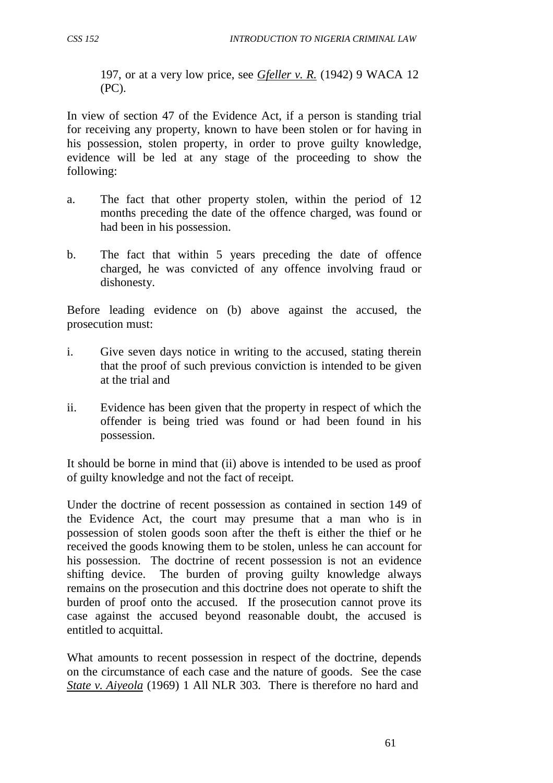197, or at a very low price, see *Gfeller v. R.* (1942) 9 WACA 12 (PC).

In view of section 47 of the Evidence Act, if a person is standing trial for receiving any property, known to have been stolen or for having in his possession, stolen property, in order to prove guilty knowledge, evidence will be led at any stage of the proceeding to show the following:

- a. The fact that other property stolen, within the period of 12 months preceding the date of the offence charged, was found or had been in his possession.
- b. The fact that within 5 years preceding the date of offence charged, he was convicted of any offence involving fraud or dishonesty.

Before leading evidence on (b) above against the accused, the prosecution must:

- i. Give seven days notice in writing to the accused, stating therein that the proof of such previous conviction is intended to be given at the trial and
- ii. Evidence has been given that the property in respect of which the offender is being tried was found or had been found in his possession.

It should be borne in mind that (ii) above is intended to be used as proof of guilty knowledge and not the fact of receipt.

Under the doctrine of recent possession as contained in section 149 of the Evidence Act, the court may presume that a man who is in possession of stolen goods soon after the theft is either the thief or he received the goods knowing them to be stolen, unless he can account for his possession. The doctrine of recent possession is not an evidence shifting device. The burden of proving guilty knowledge always remains on the prosecution and this doctrine does not operate to shift the burden of proof onto the accused. If the prosecution cannot prove its case against the accused beyond reasonable doubt, the accused is entitled to acquittal.

What amounts to recent possession in respect of the doctrine, depends on the circumstance of each case and the nature of goods. See the case *State v. Aiyeola* (1969) 1 All NLR 303. There is therefore no hard and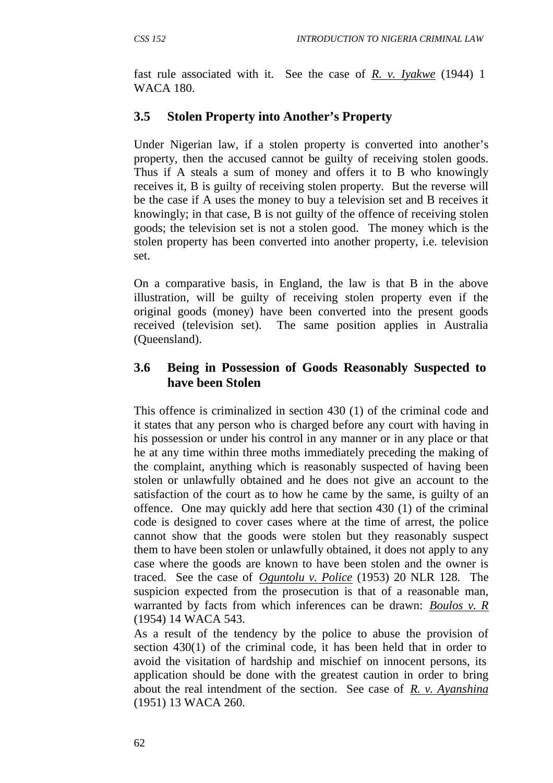fast rule associated with it. See the case of *R. v. Iyakwe* (1944) 1 WACA 180.

# **3.5 Stolen Property into Another's Property**

Under Nigerian law, if a stolen property is converted into another's property, then the accused cannot be guilty of receiving stolen goods. Thus if A steals a sum of money and offers it to B who knowingly receives it, B is guilty of receiving stolen property. But the reverse will be the case if A uses the money to buy a television set and B receives it knowingly; in that case, B is not guilty of the offence of receiving stolen goods; the television set is not a stolen good. The money which is the stolen property has been converted into another property, i.e. television set.

On a comparative basis, in England, the law is that B in the above illustration, will be guilty of receiving stolen property even if the original goods (money) have been converted into the present goods received (television set). The same position applies in Australia (Queensland).

### **3.6 Being in Possession of Goods Reasonably Suspected to have been Stolen**

This offence is criminalized in section 430 (1) of the criminal code and it states that any person who is charged before any court with having in his possession or under his control in any manner or in any place or that he at any time within three moths immediately preceding the making of the complaint, anything which is reasonably suspected of having been stolen or unlawfully obtained and he does not give an account to the satisfaction of the court as to how he came by the same, is guilty of an offence. One may quickly add here that section 430 (1) of the criminal code is designed to cover cases where at the time of arrest, the police cannot show that the goods were stolen but they reasonably suspect them to have been stolen or unlawfully obtained, it does not apply to any case where the goods are known to have been stolen and the owner is traced. See the case of *Oguntolu v. Police* (1953) 20 NLR 128. The suspicion expected from the prosecution is that of a reasonable man, warranted by facts from which inferences can be drawn: *Boulos v. R* (1954) 14 WACA 543.

As a result of the tendency by the police to abuse the provision of section 430(1) of the criminal code, it has been held that in order to avoid the visitation of hardship and mischief on innocent persons, its application should be done with the greatest caution in order to bring about the real intendment of the section. See case of *R. v. Ayanshina* (1951) 13 WACA 260.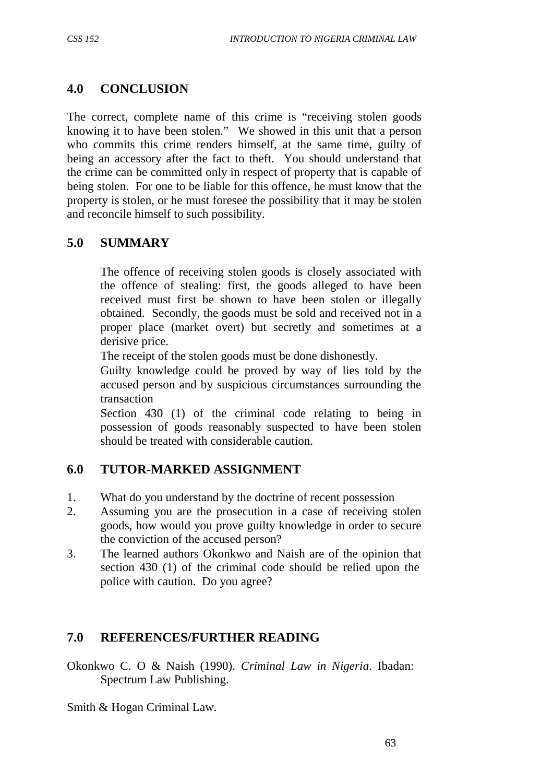### **4.0 CONCLUSION**

The correct, complete name of this crime is "receiving stolen goods knowing it to have been stolen." We showed in this unit that a person who commits this crime renders himself, at the same time, guilty of being an accessory after the fact to theft. You should understand that the crime can be committed only in respect of property that is capable of being stolen. For one to be liable for this offence, he must know that the property is stolen, or he must foresee the possibility that it may be stolen and reconcile himself to such possibility.

### **5.0 SUMMARY**

The offence of receiving stolen goods is closely associated with the offence of stealing: first, the goods alleged to have been received must first be shown to have been stolen or illegally obtained. Secondly, the goods must be sold and received not in a proper place (market overt) but secretly and sometimes at a derisive price.

The receipt of the stolen goods must be done dishonestly.

Guilty knowledge could be proved by way of lies told by the accused person and by suspicious circumstances surrounding the transaction

Section 430 (1) of the criminal code relating to being in possession of goods reasonably suspected to have been stolen should be treated with considerable caution.

### **6.0 TUTOR-MARKED ASSIGNMENT**

- 1. What do you understand by the doctrine of recent possession
- 2. Assuming you are the prosecution in a case of receiving stolen goods, how would you prove guilty knowledge in order to secure the conviction of the accused person?
- 3. The learned authors Okonkwo and Naish are of the opinion that section 430 (1) of the criminal code should be relied upon the police with caution. Do you agree?

### **7.0 REFERENCES/FURTHER READING**

Okonkwo C. O & Naish (1990). *Criminal Law in Nigeria*. Ibadan: Spectrum Law Publishing.

Smith & Hogan Criminal Law.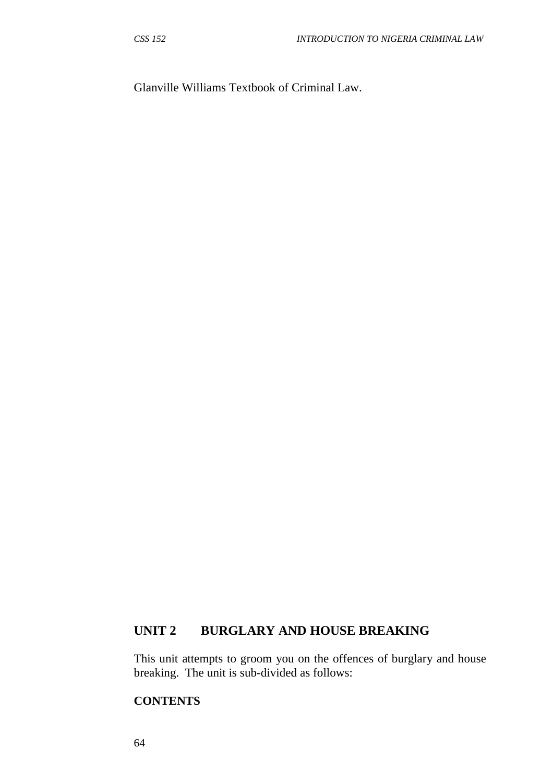Glanville Williams Textbook of Criminal Law.

### **UNIT 2 BURGLARY AND HOUSE BREAKING**

This unit attempts to groom you on the offences of burglary and house breaking. The unit is sub-divided as follows:

#### **CONTENTS**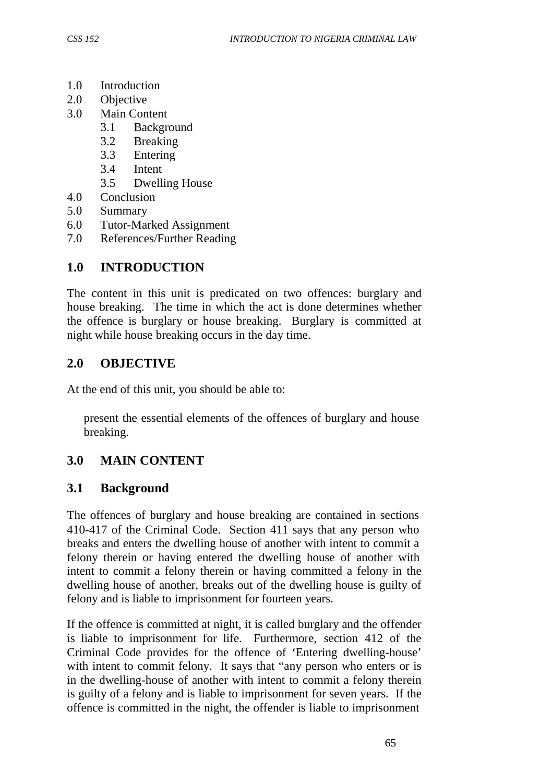- 1.0 Introduction
- 2.0 Objective
- 3.0 Main Content
	- 3.1 Background
	- 3.2 Breaking
	- 3.3 Entering
	- 3.4 Intent
	- 3.5 Dwelling House
- 4.0 Conclusion
- 5.0 Summary
- 6.0 Tutor-Marked Assignment
- 7.0 References/Further Reading

# **1.0 INTRODUCTION**

The content in this unit is predicated on two offences: burglary and house breaking. The time in which the act is done determines whether the offence is burglary or house breaking. Burglary is committed at night while house breaking occurs in the day time.

# **2.0 OBJECTIVE**

At the end of this unit, you should be able to:

present the essential elements of the offences of burglary and house breaking.

# **3.0 MAIN CONTENT**

### **3.1 Background**

The offences of burglary and house breaking are contained in sections 410-417 of the Criminal Code. Section 411 says that any person who breaks and enters the dwelling house of another with intent to commit a felony therein or having entered the dwelling house of another with intent to commit a felony therein or having committed a felony in the dwelling house of another, breaks out of the dwelling house is guilty of felony and is liable to imprisonment for fourteen years.

If the offence is committed at night, it is called burglary and the offender is liable to imprisonment for life. Furthermore, section 412 of the Criminal Code provides for the offence of 'Entering dwelling-house' with intent to commit felony. It says that "any person who enters or is in the dwelling-house of another with intent to commit a felony therein is guilty of a felony and is liable to imprisonment for seven years. If the offence is committed in the night, the offender is liable to imprisonment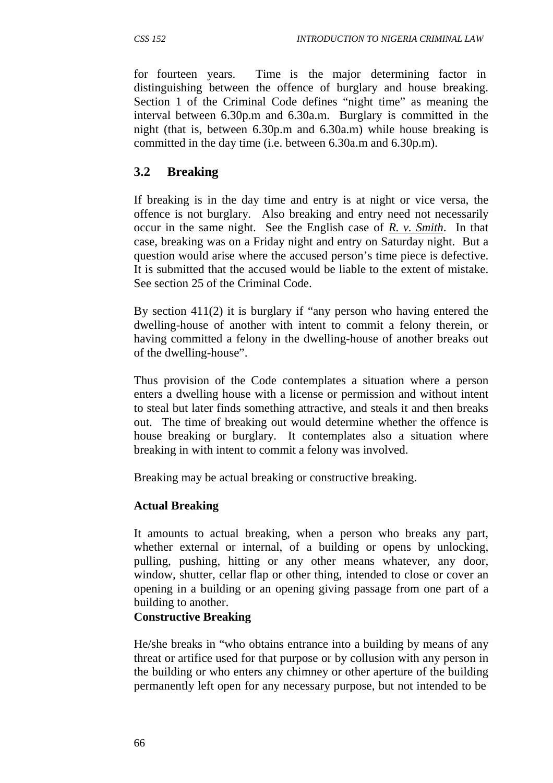for fourteen years. Time is the major determining factor in distinguishing between the offence of burglary and house breaking. Section 1 of the Criminal Code defines "night time" as meaning the interval between 6.30p.m and 6.30a.m. Burglary is committed in the night (that is, between 6.30p.m and 6.30a.m) while house breaking is committed in the day time (i.e. between 6.30a.m and 6.30p.m).

### **3.2 Breaking**

If breaking is in the day time and entry is at night or vice versa, the offence is not burglary. Also breaking and entry need not necessarily occur in the same night. See the English case of *R. v. Smith*. In that case, breaking was on a Friday night and entry on Saturday night. But a question would arise where the accused person's time piece is defective. It is submitted that the accused would be liable to the extent of mistake. See section 25 of the Criminal Code.

By section 411(2) it is burglary if "any person who having entered the dwelling-house of another with intent to commit a felony therein, or having committed a felony in the dwelling-house of another breaks out of the dwelling-house".

Thus provision of the Code contemplates a situation where a person enters a dwelling house with a license or permission and without intent to steal but later finds something attractive, and steals it and then breaks out. The time of breaking out would determine whether the offence is house breaking or burglary. It contemplates also a situation where breaking in with intent to commit a felony was involved.

Breaking may be actual breaking or constructive breaking.

### **Actual Breaking**

It amounts to actual breaking, when a person who breaks any part, whether external or internal, of a building or opens by unlocking, pulling, pushing, hitting or any other means whatever, any door, window, shutter, cellar flap or other thing, intended to close or cover an opening in a building or an opening giving passage from one part of a building to another.

#### **Constructive Breaking**

He/she breaks in "who obtains entrance into a building by means of any threat or artifice used for that purpose or by collusion with any person in the building or who enters any chimney or other aperture of the building permanently left open for any necessary purpose, but not intended to be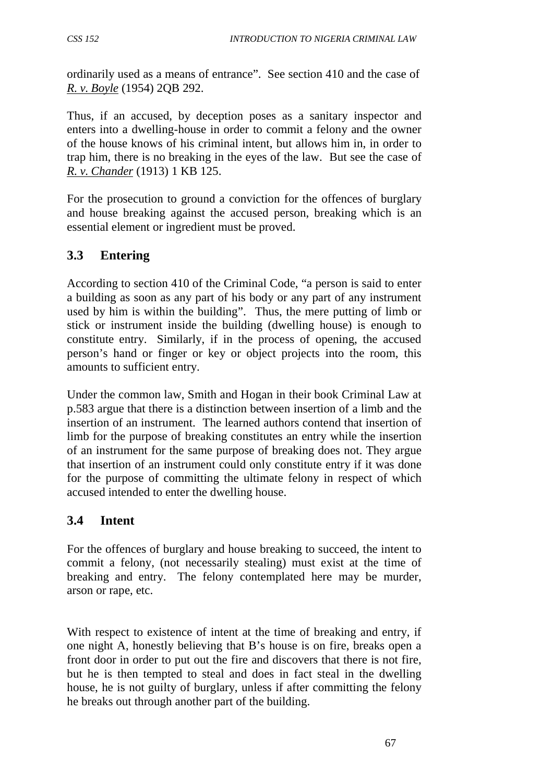ordinarily used as a means of entrance". See section 410 and the case of *R. v. Boyle* (1954) 2QB 292.

Thus, if an accused, by deception poses as a sanitary inspector and enters into a dwelling-house in order to commit a felony and the owner of the house knows of his criminal intent, but allows him in, in order to trap him, there is no breaking in the eyes of the law. But see the case of *R. v. Chander* (1913) 1 KB 125.

For the prosecution to ground a conviction for the offences of burglary and house breaking against the accused person, breaking which is an essential element or ingredient must be proved.

# **3.3 Entering**

According to section 410 of the Criminal Code, "a person is said to enter a building as soon as any part of his body or any part of any instrument used by him is within the building". Thus, the mere putting of limb or stick or instrument inside the building (dwelling house) is enough to constitute entry. Similarly, if in the process of opening, the accused person's hand or finger or key or object projects into the room, this amounts to sufficient entry.

Under the common law, Smith and Hogan in their book Criminal Law at p.583 argue that there is a distinction between insertion of a limb and the insertion of an instrument. The learned authors contend that insertion of limb for the purpose of breaking constitutes an entry while the insertion of an instrument for the same purpose of breaking does not. They argue that insertion of an instrument could only constitute entry if it was done for the purpose of committing the ultimate felony in respect of which accused intended to enter the dwelling house.

# **3.4 Intent**

For the offences of burglary and house breaking to succeed, the intent to commit a felony, (not necessarily stealing) must exist at the time of breaking and entry. The felony contemplated here may be murder, arson or rape, etc.

With respect to existence of intent at the time of breaking and entry, if one night A, honestly believing that B's house is on fire, breaks open a front door in order to put out the fire and discovers that there is not fire, but he is then tempted to steal and does in fact steal in the dwelling house, he is not guilty of burglary, unless if after committing the felony he breaks out through another part of the building.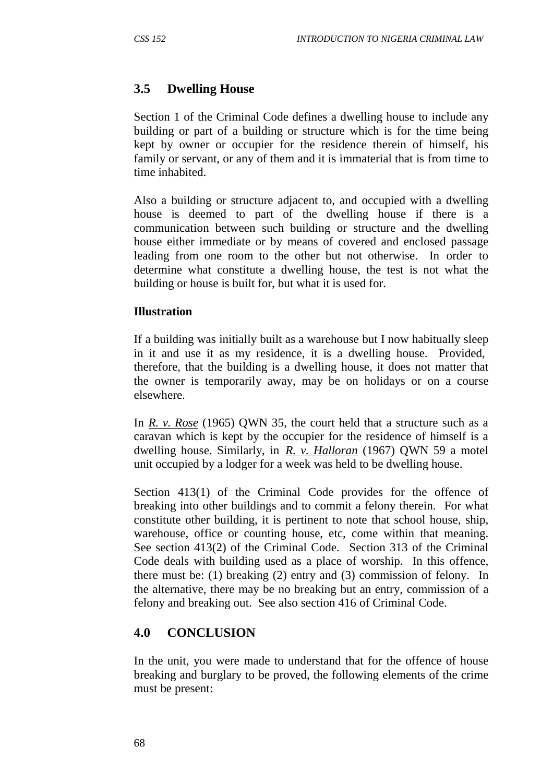### **3.5 Dwelling House**

Section 1 of the Criminal Code defines a dwelling house to include any building or part of a building or structure which is for the time being kept by owner or occupier for the residence therein of himself, his family or servant, or any of them and it is immaterial that is from time to time inhabited.

Also a building or structure adjacent to, and occupied with a dwelling house is deemed to part of the dwelling house if there is a communication between such building or structure and the dwelling house either immediate or by means of covered and enclosed passage leading from one room to the other but not otherwise. In order to determine what constitute a dwelling house, the test is not what the building or house is built for, but what it is used for.

#### **Illustration**

If a building was initially built as a warehouse but I now habitually sleep in it and use it as my residence, it is a dwelling house. Provided, therefore, that the building is a dwelling house, it does not matter that the owner is temporarily away, may be on holidays or on a course elsewhere.

In *R. v. Rose* (1965) QWN 35, the court held that a structure such as a caravan which is kept by the occupier for the residence of himself is a dwelling house. Similarly, in *R. v. Halloran* (1967) QWN 59 a motel unit occupied by a lodger for a week was held to be dwelling house.

Section 413(1) of the Criminal Code provides for the offence of breaking into other buildings and to commit a felony therein. For what constitute other building, it is pertinent to note that school house, ship, warehouse, office or counting house, etc, come within that meaning. See section 413(2) of the Criminal Code. Section 313 of the Criminal Code deals with building used as a place of worship. In this offence, there must be: (1) breaking (2) entry and (3) commission of felony. In the alternative, there may be no breaking but an entry, commission of a felony and breaking out. See also section 416 of Criminal Code.

# **4.0 CONCLUSION**

In the unit, you were made to understand that for the offence of house breaking and burglary to be proved, the following elements of the crime must be present: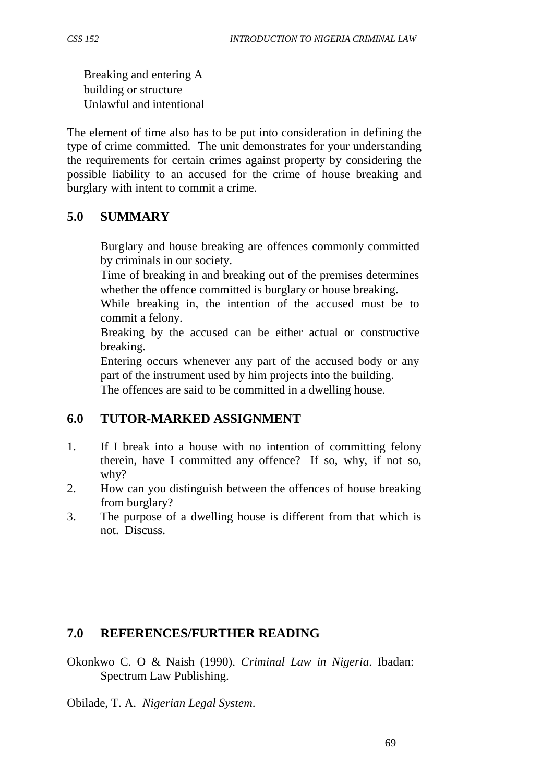Breaking and entering A building or structure Unlawful and intentional

The element of time also has to be put into consideration in defining the type of crime committed. The unit demonstrates for your understanding the requirements for certain crimes against property by considering the possible liability to an accused for the crime of house breaking and burglary with intent to commit a crime.

### **5.0 SUMMARY**

Burglary and house breaking are offences commonly committed by criminals in our society.

Time of breaking in and breaking out of the premises determines whether the offence committed is burglary or house breaking.

While breaking in, the intention of the accused must be to commit a felony.

Breaking by the accused can be either actual or constructive breaking.

Entering occurs whenever any part of the accused body or any part of the instrument used by him projects into the building.

The offences are said to be committed in a dwelling house.

### **6.0 TUTOR-MARKED ASSIGNMENT**

- 1. If I break into a house with no intention of committing felony therein, have I committed any offence? If so, why, if not so, why?
- 2. How can you distinguish between the offences of house breaking from burglary?
- 3. The purpose of a dwelling house is different from that which is not. Discuss.

### **7.0 REFERENCES/FURTHER READING**

Okonkwo C. O & Naish (1990). *Criminal Law in Nigeria*. Ibadan: Spectrum Law Publishing.

Obilade, T. A. *Nigerian Legal System*.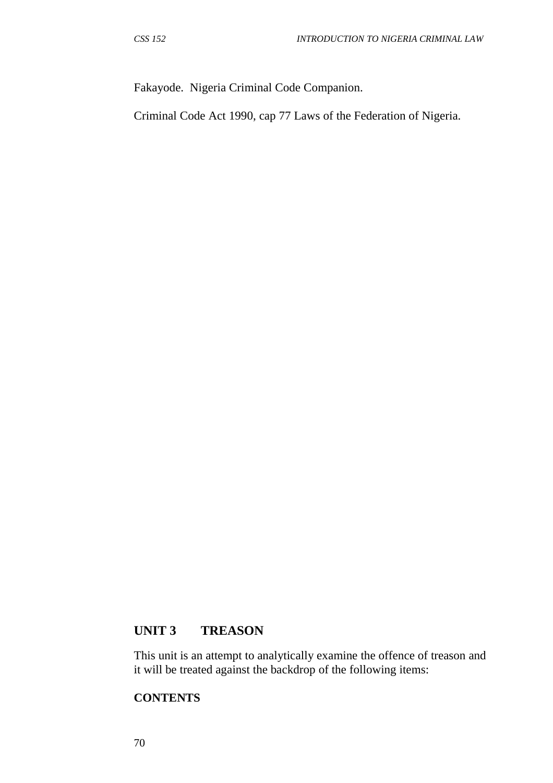Fakayode. Nigeria Criminal Code Companion.

Criminal Code Act 1990, cap 77 Laws of the Federation of Nigeria.

### **UNIT 3 TREASON**

This unit is an attempt to analytically examine the offence of treason and it will be treated against the backdrop of the following items:

#### **CONTENTS**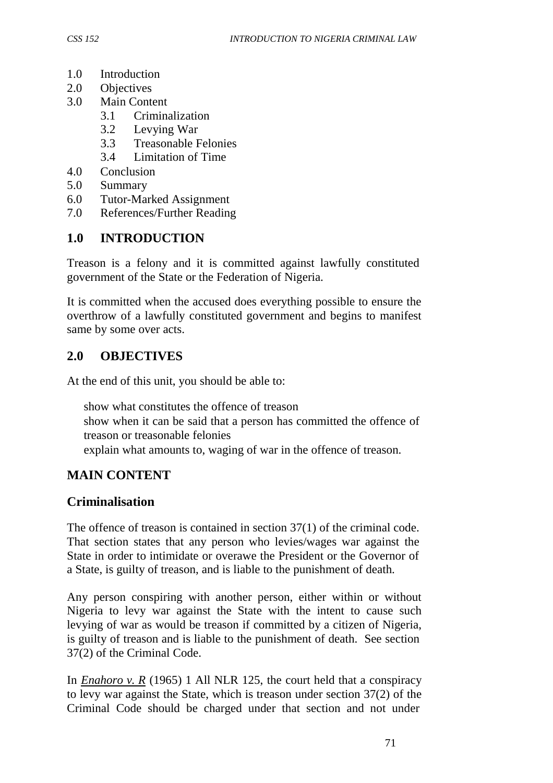- 1.0 Introduction
- 2.0 Objectives
- 3.0 Main Content
	- 3.1 Criminalization
	- 3.2 Levying War
	- 3.3 Treasonable Felonies
	- 3.4 Limitation of Time
- 4.0 Conclusion
- 5.0 Summary
- 6.0 Tutor-Marked Assignment
- 7.0 References/Further Reading

#### **1.0 INTRODUCTION**

Treason is a felony and it is committed against lawfully constituted government of the State or the Federation of Nigeria.

It is committed when the accused does everything possible to ensure the overthrow of a lawfully constituted government and begins to manifest same by some over acts.

#### **2.0 OBJECTIVES**

At the end of this unit, you should be able to:

show what constitutes the offence of treason show when it can be said that a person has committed the offence of treason or treasonable felonies explain what amounts to, waging of war in the offence of treason.

### **MAIN CONTENT**

#### **Criminalisation**

The offence of treason is contained in section 37(1) of the criminal code. That section states that any person who levies/wages war against the State in order to intimidate or overawe the President or the Governor of a State, is guilty of treason, and is liable to the punishment of death.

Any person conspiring with another person, either within or without Nigeria to levy war against the State with the intent to cause such levying of war as would be treason if committed by a citizen of Nigeria, is guilty of treason and is liable to the punishment of death. See section 37(2) of the Criminal Code.

In *Enahoro v. R* (1965) 1 All NLR 125, the court held that a conspiracy to levy war against the State, which is treason under section 37(2) of the Criminal Code should be charged under that section and not under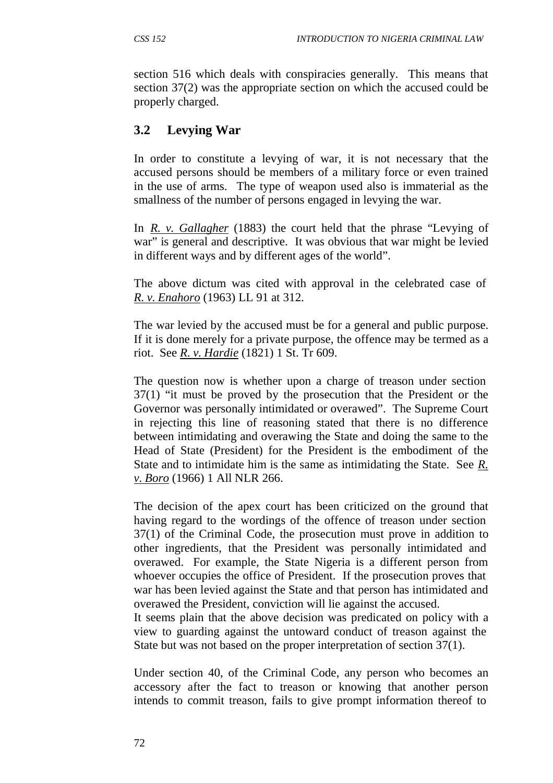section 516 which deals with conspiracies generally. This means that section 37(2) was the appropriate section on which the accused could be properly charged.

# **3.2 Levying War**

In order to constitute a levying of war, it is not necessary that the accused persons should be members of a military force or even trained in the use of arms. The type of weapon used also is immaterial as the smallness of the number of persons engaged in levying the war.

In *R. v. Gallagher* (1883) the court held that the phrase "Levying of war" is general and descriptive. It was obvious that war might be levied in different ways and by different ages of the world".

The above dictum was cited with approval in the celebrated case of *R. v. Enahoro* (1963) LL 91 at 312.

The war levied by the accused must be for a general and public purpose. If it is done merely for a private purpose, the offence may be termed as a riot. See *R. v. Hardie* (1821) 1 St. Tr 609.

The question now is whether upon a charge of treason under section 37(1) "it must be proved by the prosecution that the President or the Governor was personally intimidated or overawed". The Supreme Court in rejecting this line of reasoning stated that there is no difference between intimidating and overawing the State and doing the same to the Head of State (President) for the President is the embodiment of the State and to intimidate him is the same as intimidating the State. See *R. v. Boro* (1966) 1 All NLR 266.

The decision of the apex court has been criticized on the ground that having regard to the wordings of the offence of treason under section 37(1) of the Criminal Code, the prosecution must prove in addition to other ingredients, that the President was personally intimidated and overawed. For example, the State Nigeria is a different person from whoever occupies the office of President. If the prosecution proves that war has been levied against the State and that person has intimidated and overawed the President, conviction will lie against the accused.

It seems plain that the above decision was predicated on policy with a view to guarding against the untoward conduct of treason against the State but was not based on the proper interpretation of section 37(1).

Under section 40, of the Criminal Code, any person who becomes an accessory after the fact to treason or knowing that another person intends to commit treason, fails to give prompt information thereof to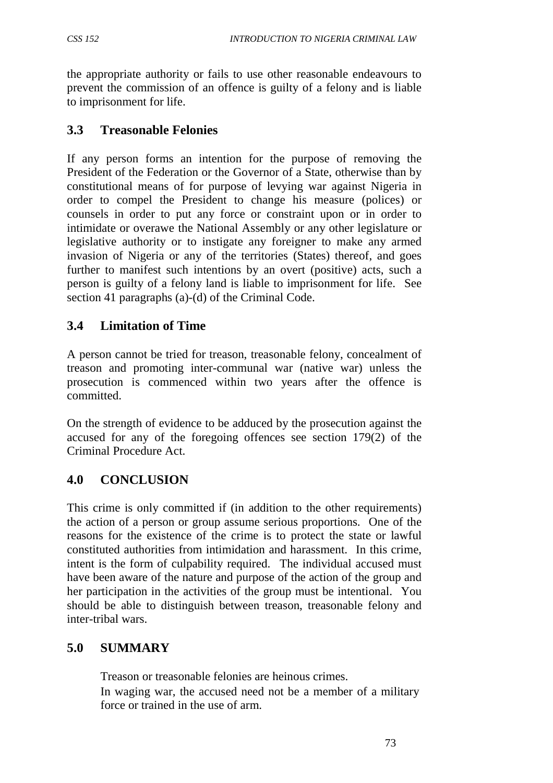the appropriate authority or fails to use other reasonable endeavours to prevent the commission of an offence is guilty of a felony and is liable to imprisonment for life.

### **3.3 Treasonable Felonies**

If any person forms an intention for the purpose of removing the President of the Federation or the Governor of a State, otherwise than by constitutional means of for purpose of levying war against Nigeria in order to compel the President to change his measure (polices) or counsels in order to put any force or constraint upon or in order to intimidate or overawe the National Assembly or any other legislature or legislative authority or to instigate any foreigner to make any armed invasion of Nigeria or any of the territories (States) thereof, and goes further to manifest such intentions by an overt (positive) acts, such a person is guilty of a felony land is liable to imprisonment for life. See section 41 paragraphs (a)-(d) of the Criminal Code.

# **3.4 Limitation of Time**

A person cannot be tried for treason, treasonable felony, concealment of treason and promoting inter-communal war (native war) unless the prosecution is commenced within two years after the offence is committed.

On the strength of evidence to be adduced by the prosecution against the accused for any of the foregoing offences see section 179(2) of the Criminal Procedure Act.

# **4.0 CONCLUSION**

This crime is only committed if (in addition to the other requirements) the action of a person or group assume serious proportions. One of the reasons for the existence of the crime is to protect the state or lawful constituted authorities from intimidation and harassment. In this crime, intent is the form of culpability required. The individual accused must have been aware of the nature and purpose of the action of the group and her participation in the activities of the group must be intentional. You should be able to distinguish between treason, treasonable felony and inter-tribal wars.

# **5.0 SUMMARY**

Treason or treasonable felonies are heinous crimes.

In waging war, the accused need not be a member of a military force or trained in the use of arm.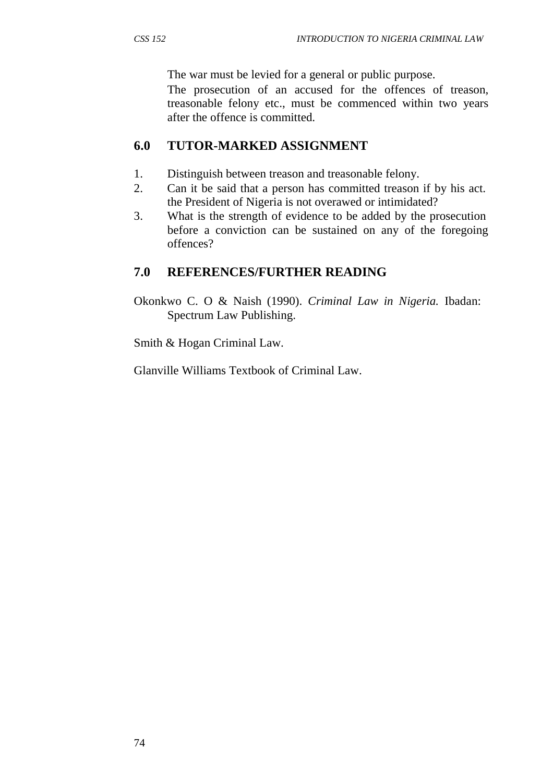The war must be levied for a general or public purpose.

The prosecution of an accused for the offences of treason, treasonable felony etc., must be commenced within two years after the offence is committed.

# **6.0 TUTOR-MARKED ASSIGNMENT**

- 1. Distinguish between treason and treasonable felony.
- 2. Can it be said that a person has committed treason if by his act. the President of Nigeria is not overawed or intimidated?
- 3. What is the strength of evidence to be added by the prosecution before a conviction can be sustained on any of the foregoing offences?

### **7.0 REFERENCES/FURTHER READING**

Okonkwo C. O & Naish (1990). *Criminal Law in Nigeria.* Ibadan: Spectrum Law Publishing.

Smith & Hogan Criminal Law.

Glanville Williams Textbook of Criminal Law.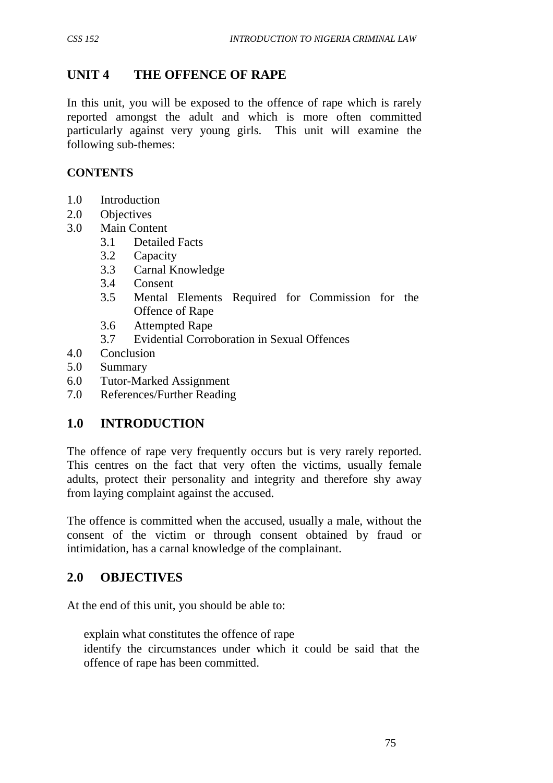### **UNIT 4 THE OFFENCE OF RAPE**

In this unit, you will be exposed to the offence of rape which is rarely reported amongst the adult and which is more often committed particularly against very young girls. This unit will examine the following sub-themes:

#### **CONTENTS**

- 1.0 Introduction
- 2.0 Objectives
- 3.0 Main Content
	- 3.1 Detailed Facts
	- 3.2 Capacity
	- 3.3 Carnal Knowledge
	- 3.4 Consent
	- 3.5 Mental Elements Required for Commission for the Offence of Rape
	- 3.6 Attempted Rape
	- 3.7 Evidential Corroboration in Sexual Offences
- 4.0 Conclusion
- 5.0 Summary
- 6.0 Tutor-Marked Assignment
- 7.0 References/Further Reading

### **1.0 INTRODUCTION**

The offence of rape very frequently occurs but is very rarely reported. This centres on the fact that very often the victims, usually female adults, protect their personality and integrity and therefore shy away from laying complaint against the accused.

The offence is committed when the accused, usually a male, without the consent of the victim or through consent obtained by fraud or intimidation, has a carnal knowledge of the complainant.

### **2.0 OBJECTIVES**

At the end of this unit, you should be able to:

explain what constitutes the offence of rape identify the circumstances under which it could be said that the offence of rape has been committed.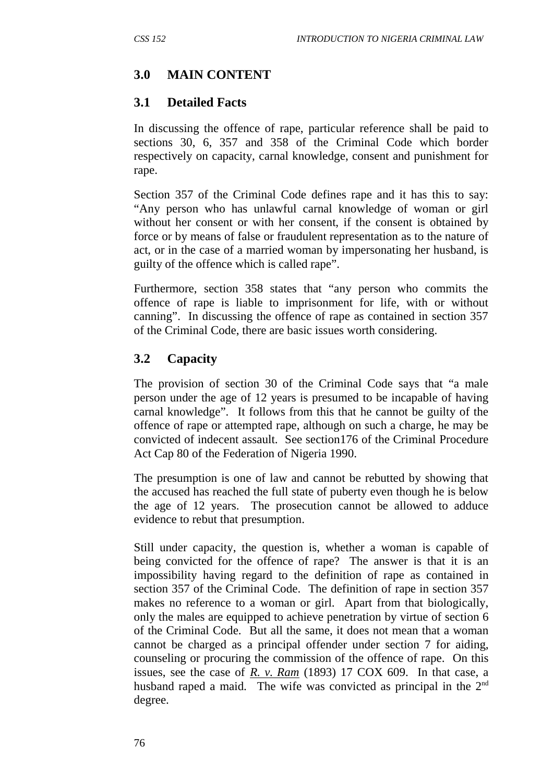### **3.0 MAIN CONTENT**

#### **3.1 Detailed Facts**

In discussing the offence of rape, particular reference shall be paid to sections 30, 6, 357 and 358 of the Criminal Code which border respectively on capacity, carnal knowledge, consent and punishment for rape.

Section 357 of the Criminal Code defines rape and it has this to say: "Any person who has unlawful carnal knowledge of woman or girl without her consent or with her consent, if the consent is obtained by force or by means of false or fraudulent representation as to the nature of act, or in the case of a married woman by impersonating her husband, is guilty of the offence which is called rape".

Furthermore, section 358 states that "any person who commits the offence of rape is liable to imprisonment for life, with or without canning". In discussing the offence of rape as contained in section 357 of the Criminal Code, there are basic issues worth considering.

#### **3.2 Capacity**

The provision of section 30 of the Criminal Code says that "a male person under the age of 12 years is presumed to be incapable of having carnal knowledge". It follows from this that he cannot be guilty of the offence of rape or attempted rape, although on such a charge, he may be convicted of indecent assault. See section176 of the Criminal Procedure Act Cap 80 of the Federation of Nigeria 1990.

The presumption is one of law and cannot be rebutted by showing that the accused has reached the full state of puberty even though he is below the age of 12 years. The prosecution cannot be allowed to adduce evidence to rebut that presumption.

Still under capacity, the question is, whether a woman is capable of being convicted for the offence of rape? The answer is that it is an impossibility having regard to the definition of rape as contained in section 357 of the Criminal Code. The definition of rape in section 357 makes no reference to a woman or girl. Apart from that biologically, only the males are equipped to achieve penetration by virtue of section 6 of the Criminal Code. But all the same, it does not mean that a woman cannot be charged as a principal offender under section 7 for aiding, counseling or procuring the commission of the offence of rape. On this issues, see the case of *R. v. Ram* (1893) 17 COX 609. In that case, a husband raped a maid. The wife was convicted as principal in the 2<sup>nd</sup> degree.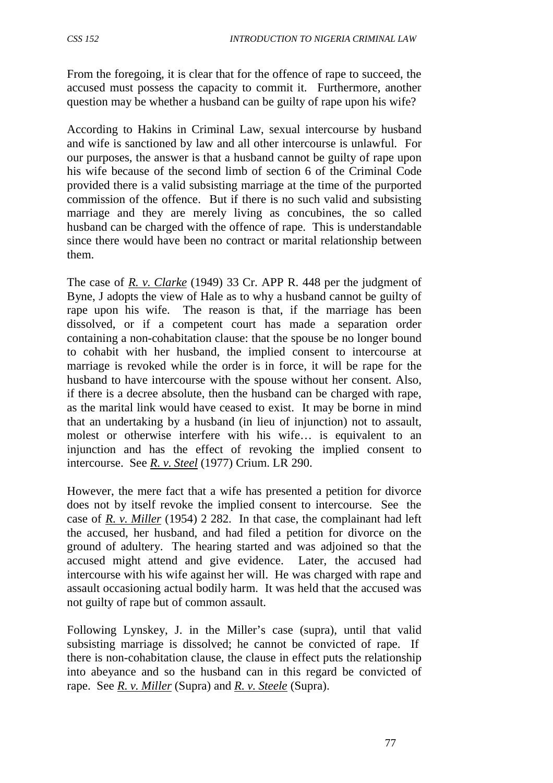From the foregoing, it is clear that for the offence of rape to succeed, the accused must possess the capacity to commit it. Furthermore, another question may be whether a husband can be guilty of rape upon his wife?

According to Hakins in Criminal Law, sexual intercourse by husband and wife is sanctioned by law and all other intercourse is unlawful. For our purposes, the answer is that a husband cannot be guilty of rape upon his wife because of the second limb of section 6 of the Criminal Code provided there is a valid subsisting marriage at the time of the purported commission of the offence. But if there is no such valid and subsisting marriage and they are merely living as concubines, the so called husband can be charged with the offence of rape. This is understandable since there would have been no contract or marital relationship between them.

The case of *R. v. Clarke* (1949) 33 Cr. APP R. 448 per the judgment of Byne, J adopts the view of Hale as to why a husband cannot be guilty of rape upon his wife. The reason is that, if the marriage has been dissolved, or if a competent court has made a separation order containing a non-cohabitation clause: that the spouse be no longer bound to cohabit with her husband, the implied consent to intercourse at marriage is revoked while the order is in force, it will be rape for the husband to have intercourse with the spouse without her consent. Also, if there is a decree absolute, then the husband can be charged with rape, as the marital link would have ceased to exist. It may be borne in mind that an undertaking by a husband (in lieu of injunction) not to assault, molest or otherwise interfere with his wife… is equivalent to an injunction and has the effect of revoking the implied consent to intercourse. See *R. v. Steel* (1977) Crium. LR 290.

However, the mere fact that a wife has presented a petition for divorce does not by itself revoke the implied consent to intercourse. See the case of *R. v. Miller* (1954) 2 282. In that case, the complainant had left the accused, her husband, and had filed a petition for divorce on the ground of adultery. The hearing started and was adjoined so that the accused might attend and give evidence. Later, the accused had intercourse with his wife against her will. He was charged with rape and assault occasioning actual bodily harm. It was held that the accused was not guilty of rape but of common assault.

Following Lynskey, J. in the Miller's case (supra), until that valid subsisting marriage is dissolved; he cannot be convicted of rape. If there is non-cohabitation clause, the clause in effect puts the relationship into abeyance and so the husband can in this regard be convicted of rape. See *R. v. Miller* (Supra) and *R. v. Steele* (Supra).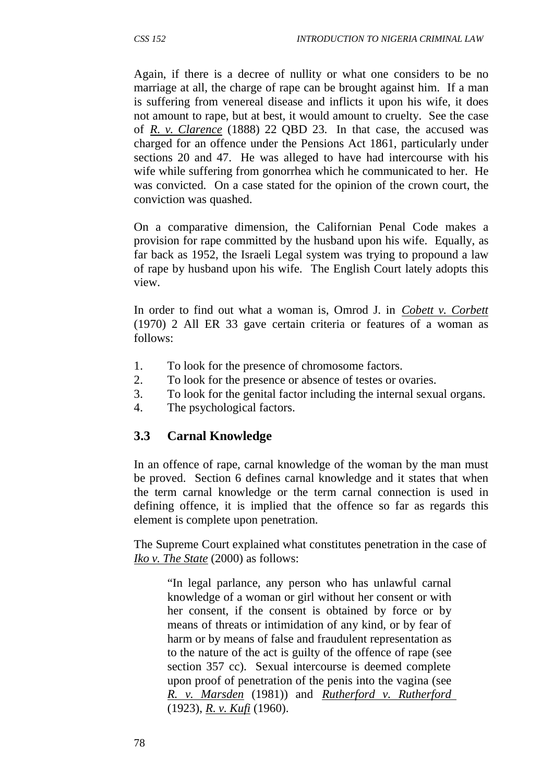Again, if there is a decree of nullity or what one considers to be no marriage at all, the charge of rape can be brought against him. If a man is suffering from venereal disease and inflicts it upon his wife, it does not amount to rape, but at best, it would amount to cruelty. See the case of *R. v. Clarence* (1888) 22 QBD 23. In that case, the accused was charged for an offence under the Pensions Act 1861, particularly under sections 20 and 47. He was alleged to have had intercourse with his wife while suffering from gonorrhea which he communicated to her. He was convicted. On a case stated for the opinion of the crown court, the conviction was quashed.

On a comparative dimension, the Californian Penal Code makes a provision for rape committed by the husband upon his wife. Equally, as far back as 1952, the Israeli Legal system was trying to propound a law of rape by husband upon his wife. The English Court lately adopts this view.

In order to find out what a woman is, Omrod J. in *Cobett v. Corbett* (1970) 2 All ER 33 gave certain criteria or features of a woman as follows:

- 1. To look for the presence of chromosome factors.
- 2. To look for the presence or absence of testes or ovaries.
- 3. To look for the genital factor including the internal sexual organs.
- 4. The psychological factors.

#### **3.3 Carnal Knowledge**

In an offence of rape, carnal knowledge of the woman by the man must be proved. Section 6 defines carnal knowledge and it states that when the term carnal knowledge or the term carnal connection is used in defining offence, it is implied that the offence so far as regards this element is complete upon penetration.

The Supreme Court explained what constitutes penetration in the case of *Iko v. The State* (2000) as follows:

"In legal parlance, any person who has unlawful carnal knowledge of a woman or girl without her consent or with her consent, if the consent is obtained by force or by means of threats or intimidation of any kind, or by fear of harm or by means of false and fraudulent representation as to the nature of the act is guilty of the offence of rape (see section 357 cc). Sexual intercourse is deemed complete upon proof of penetration of the penis into the vagina (see *R. v. Marsden* (1981)) and *Rutherford v. Rutherford*  (1923), *R. v. Kufi* (1960).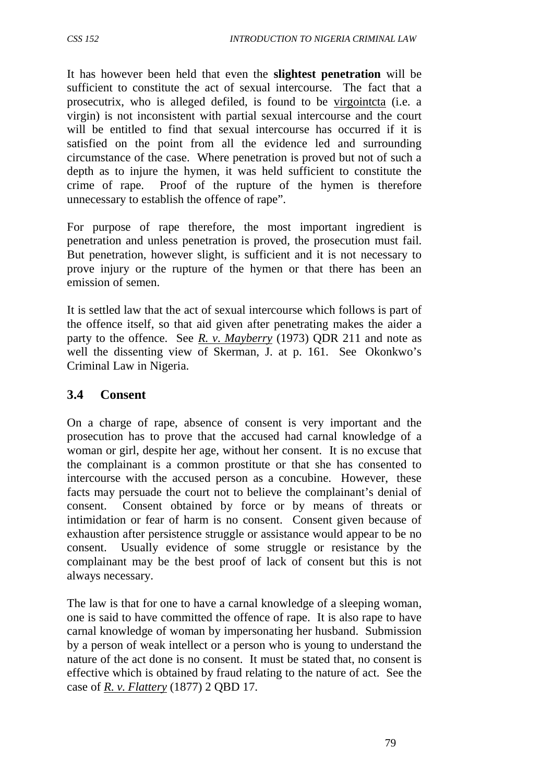It has however been held that even the **slightest penetration** will be sufficient to constitute the act of sexual intercourse. The fact that a prosecutrix, who is alleged defiled, is found to be virgointcta (i.e. a virgin) is not inconsistent with partial sexual intercourse and the court will be entitled to find that sexual intercourse has occurred if it is satisfied on the point from all the evidence led and surrounding circumstance of the case. Where penetration is proved but not of such a depth as to injure the hymen, it was held sufficient to constitute the crime of rape. Proof of the rupture of the hymen is therefore unnecessary to establish the offence of rape".

For purpose of rape therefore, the most important ingredient is penetration and unless penetration is proved, the prosecution must fail. But penetration, however slight, is sufficient and it is not necessary to prove injury or the rupture of the hymen or that there has been an emission of semen.

It is settled law that the act of sexual intercourse which follows is part of the offence itself, so that aid given after penetrating makes the aider a party to the offence. See *R. v. Mayberry* (1973) QDR 211 and note as well the dissenting view of Skerman, J. at p. 161. See Okonkwo's Criminal Law in Nigeria.

#### **3.4 Consent**

On a charge of rape, absence of consent is very important and the prosecution has to prove that the accused had carnal knowledge of a woman or girl, despite her age, without her consent. It is no excuse that the complainant is a common prostitute or that she has consented to intercourse with the accused person as a concubine. However, these facts may persuade the court not to believe the complainant's denial of consent. Consent obtained by force or by means of threats or intimidation or fear of harm is no consent. Consent given because of exhaustion after persistence struggle or assistance would appear to be no consent. Usually evidence of some struggle or resistance by the complainant may be the best proof of lack of consent but this is not always necessary.

The law is that for one to have a carnal knowledge of a sleeping woman, one is said to have committed the offence of rape. It is also rape to have carnal knowledge of woman by impersonating her husband. Submission by a person of weak intellect or a person who is young to understand the nature of the act done is no consent. It must be stated that, no consent is effective which is obtained by fraud relating to the nature of act. See the case of *R. v. Flattery* (1877) 2 QBD 17.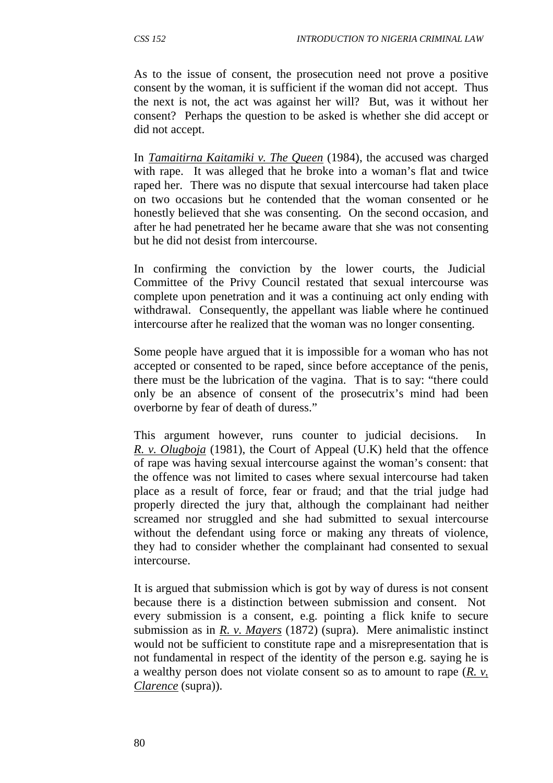As to the issue of consent, the prosecution need not prove a positive consent by the woman, it is sufficient if the woman did not accept. Thus the next is not, the act was against her will? But, was it without her consent? Perhaps the question to be asked is whether she did accept or did not accept.

In *Tamaitirna Kaitamiki v. The Queen* (1984), the accused was charged with rape. It was alleged that he broke into a woman's flat and twice raped her. There was no dispute that sexual intercourse had taken place on two occasions but he contended that the woman consented or he honestly believed that she was consenting. On the second occasion, and after he had penetrated her he became aware that she was not consenting but he did not desist from intercourse.

In confirming the conviction by the lower courts, the Judicial Committee of the Privy Council restated that sexual intercourse was complete upon penetration and it was a continuing act only ending with withdrawal. Consequently, the appellant was liable where he continued intercourse after he realized that the woman was no longer consenting.

Some people have argued that it is impossible for a woman who has not accepted or consented to be raped, since before acceptance of the penis, there must be the lubrication of the vagina. That is to say: "there could only be an absence of consent of the prosecutrix's mind had been overborne by fear of death of duress."

This argument however, runs counter to judicial decisions. In *R. v. Olugboja* (1981), the Court of Appeal (U.K) held that the offence of rape was having sexual intercourse against the woman's consent: that the offence was not limited to cases where sexual intercourse had taken place as a result of force, fear or fraud; and that the trial judge had properly directed the jury that, although the complainant had neither screamed nor struggled and she had submitted to sexual intercourse without the defendant using force or making any threats of violence, they had to consider whether the complainant had consented to sexual intercourse.

It is argued that submission which is got by way of duress is not consent because there is a distinction between submission and consent. Not every submission is a consent, e.g. pointing a flick knife to secure submission as in *R. v. Mayers* (1872) (supra). Mere animalistic instinct would not be sufficient to constitute rape and a misrepresentation that is not fundamental in respect of the identity of the person e.g. saying he is a wealthy person does not violate consent so as to amount to rape (*R. v. Clarence* (supra)).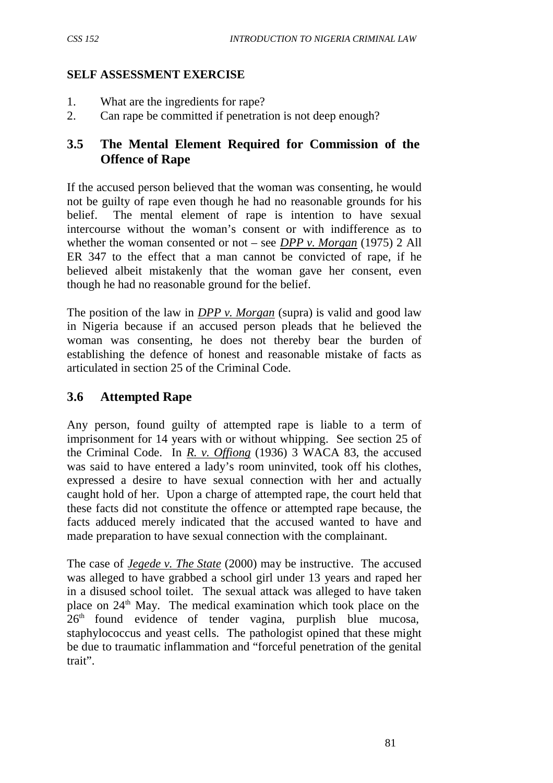### **SELF ASSESSMENT EXERCISE**

- 1. What are the ingredients for rape?
- 2. Can rape be committed if penetration is not deep enough?

### **3.5 The Mental Element Required for Commission of the Offence of Rape**

If the accused person believed that the woman was consenting, he would not be guilty of rape even though he had no reasonable grounds for his belief. The mental element of rape is intention to have sexual intercourse without the woman's consent or with indifference as to whether the woman consented or not – see *DPP v. Morgan* (1975) 2 All ER 347 to the effect that a man cannot be convicted of rape, if he believed albeit mistakenly that the woman gave her consent, even though he had no reasonable ground for the belief.

The position of the law in *DPP v. Morgan* (supra) is valid and good law in Nigeria because if an accused person pleads that he believed the woman was consenting, he does not thereby bear the burden of establishing the defence of honest and reasonable mistake of facts as articulated in section 25 of the Criminal Code.

### **3.6 Attempted Rape**

Any person, found guilty of attempted rape is liable to a term of imprisonment for 14 years with or without whipping. See section 25 of the Criminal Code. In *R. v. Offiong* (1936) 3 WACA 83, the accused was said to have entered a lady's room uninvited, took off his clothes, expressed a desire to have sexual connection with her and actually caught hold of her. Upon a charge of attempted rape, the court held that these facts did not constitute the offence or attempted rape because, the facts adduced merely indicated that the accused wanted to have and made preparation to have sexual connection with the complainant.

The case of *Jegede v. The State* (2000) may be instructive. The accused was alleged to have grabbed a school girl under 13 years and raped her in a disused school toilet. The sexual attack was alleged to have taken place on  $24<sup>th</sup>$  May. The medical examination which took place on the  $26<sup>th</sup>$  found evidence of tender vagina, purplish blue mucosa, staphylococcus and yeast cells. The pathologist opined that these might be due to traumatic inflammation and "forceful penetration of the genital trait".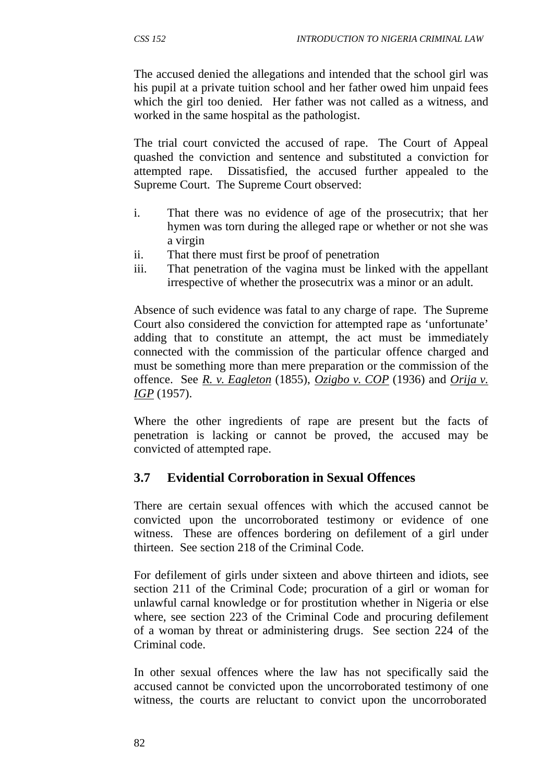The accused denied the allegations and intended that the school girl was his pupil at a private tuition school and her father owed him unpaid fees which the girl too denied. Her father was not called as a witness, and worked in the same hospital as the pathologist.

The trial court convicted the accused of rape. The Court of Appeal quashed the conviction and sentence and substituted a conviction for attempted rape. Dissatisfied, the accused further appealed to the Supreme Court. The Supreme Court observed:

- i. That there was no evidence of age of the prosecutrix; that her hymen was torn during the alleged rape or whether or not she was a virgin
- ii. That there must first be proof of penetration
- iii. That penetration of the vagina must be linked with the appellant irrespective of whether the prosecutrix was a minor or an adult.

Absence of such evidence was fatal to any charge of rape. The Supreme Court also considered the conviction for attempted rape as 'unfortunate' adding that to constitute an attempt, the act must be immediately connected with the commission of the particular offence charged and must be something more than mere preparation or the commission of the offence. See *R. v. Eagleton* (1855), *Ozigbo v. COP* (1936) and *Orija v. IGP* (1957).

Where the other ingredients of rape are present but the facts of penetration is lacking or cannot be proved, the accused may be convicted of attempted rape.

### **3.7 Evidential Corroboration in Sexual Offences**

There are certain sexual offences with which the accused cannot be convicted upon the uncorroborated testimony or evidence of one witness. These are offences bordering on defilement of a girl under thirteen. See section 218 of the Criminal Code.

For defilement of girls under sixteen and above thirteen and idiots, see section 211 of the Criminal Code; procuration of a girl or woman for unlawful carnal knowledge or for prostitution whether in Nigeria or else where, see section 223 of the Criminal Code and procuring defilement of a woman by threat or administering drugs. See section 224 of the Criminal code.

In other sexual offences where the law has not specifically said the accused cannot be convicted upon the uncorroborated testimony of one witness, the courts are reluctant to convict upon the uncorroborated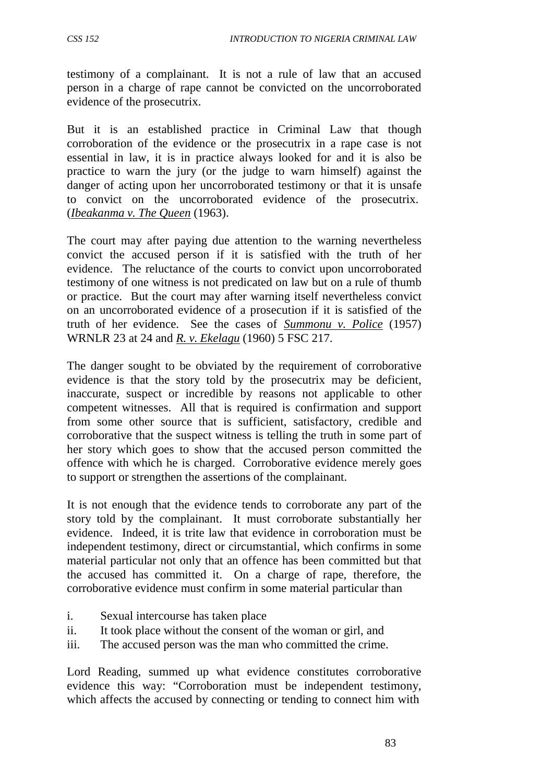testimony of a complainant. It is not a rule of law that an accused person in a charge of rape cannot be convicted on the uncorroborated evidence of the prosecutrix.

But it is an established practice in Criminal Law that though corroboration of the evidence or the prosecutrix in a rape case is not essential in law, it is in practice always looked for and it is also be practice to warn the jury (or the judge to warn himself) against the danger of acting upon her uncorroborated testimony or that it is unsafe to convict on the uncorroborated evidence of the prosecutrix. (*Ibeakanma v. The Queen* (1963).

The court may after paying due attention to the warning nevertheless convict the accused person if it is satisfied with the truth of her evidence. The reluctance of the courts to convict upon uncorroborated testimony of one witness is not predicated on law but on a rule of thumb or practice. But the court may after warning itself nevertheless convict on an uncorroborated evidence of a prosecution if it is satisfied of the truth of her evidence. See the cases of *Summonu v. Police* (1957) WRNLR 23 at 24 and *R. v. Ekelagu* (1960) 5 FSC 217.

The danger sought to be obviated by the requirement of corroborative evidence is that the story told by the prosecutrix may be deficient, inaccurate, suspect or incredible by reasons not applicable to other competent witnesses. All that is required is confirmation and support from some other source that is sufficient, satisfactory, credible and corroborative that the suspect witness is telling the truth in some part of her story which goes to show that the accused person committed the offence with which he is charged. Corroborative evidence merely goes to support or strengthen the assertions of the complainant.

It is not enough that the evidence tends to corroborate any part of the story told by the complainant. It must corroborate substantially her evidence. Indeed, it is trite law that evidence in corroboration must be independent testimony, direct or circumstantial, which confirms in some material particular not only that an offence has been committed but that the accused has committed it. On a charge of rape, therefore, the corroborative evidence must confirm in some material particular than

- i. Sexual intercourse has taken place
- ii. It took place without the consent of the woman or girl, and
- iii. The accused person was the man who committed the crime.

Lord Reading, summed up what evidence constitutes corroborative evidence this way: "Corroboration must be independent testimony, which affects the accused by connecting or tending to connect him with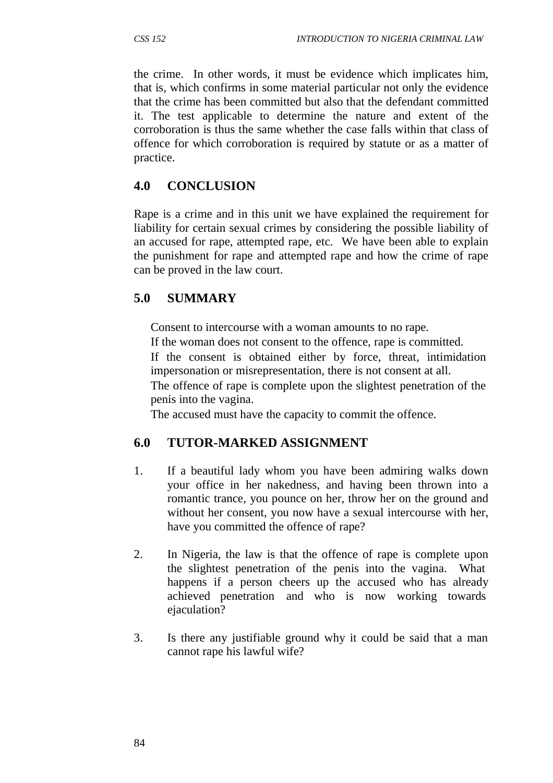the crime. In other words, it must be evidence which implicates him, that is, which confirms in some material particular not only the evidence that the crime has been committed but also that the defendant committed it. The test applicable to determine the nature and extent of the corroboration is thus the same whether the case falls within that class of offence for which corroboration is required by statute or as a matter of practice.

#### **4.0 CONCLUSION**

Rape is a crime and in this unit we have explained the requirement for liability for certain sexual crimes by considering the possible liability of an accused for rape, attempted rape, etc. We have been able to explain the punishment for rape and attempted rape and how the crime of rape can be proved in the law court.

#### **5.0 SUMMARY**

Consent to intercourse with a woman amounts to no rape.

If the woman does not consent to the offence, rape is committed.

If the consent is obtained either by force, threat, intimidation impersonation or misrepresentation, there is not consent at all.

The offence of rape is complete upon the slightest penetration of the penis into the vagina.

The accused must have the capacity to commit the offence.

### **6.0 TUTOR-MARKED ASSIGNMENT**

- 1. If a beautiful lady whom you have been admiring walks down your office in her nakedness, and having been thrown into a romantic trance, you pounce on her, throw her on the ground and without her consent, you now have a sexual intercourse with her, have you committed the offence of rape?
- 2. In Nigeria, the law is that the offence of rape is complete upon the slightest penetration of the penis into the vagina. What happens if a person cheers up the accused who has already achieved penetration and who is now working towards ejaculation?
- 3. Is there any justifiable ground why it could be said that a man cannot rape his lawful wife?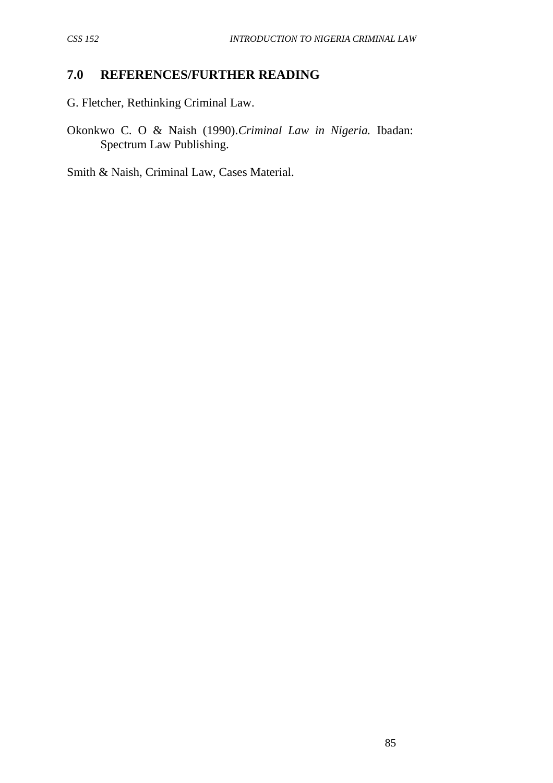#### **7.0 REFERENCES/FURTHER READING**

G. Fletcher, Rethinking Criminal Law.

Okonkwo C. O & Naish (1990).*Criminal Law in Nigeria.* Ibadan: Spectrum Law Publishing.

Smith & Naish, Criminal Law, Cases Material.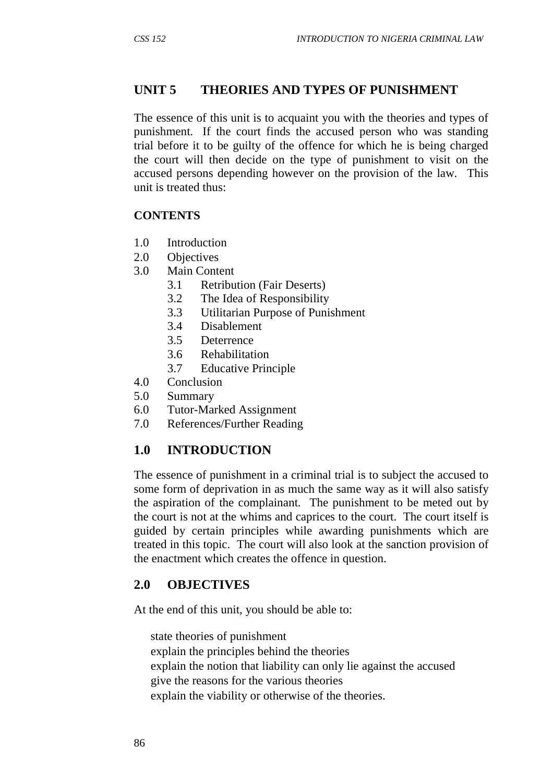#### **UNIT 5 THEORIES AND TYPES OF PUNISHMENT**

The essence of this unit is to acquaint you with the theories and types of punishment. If the court finds the accused person who was standing trial before it to be guilty of the offence for which he is being charged the court will then decide on the type of punishment to visit on the accused persons depending however on the provision of the law. This unit is treated thus:

#### **CONTENTS**

- 1.0 Introduction
- 2.0 Objectives
- 3.0 Main Content
	- 3.1 Retribution (Fair Deserts)
	- 3.2 The Idea of Responsibility
	- 3.3 Utilitarian Purpose of Punishment
	- 3.4 Disablement
	- 3.5 Deterrence
	- 3.6 Rehabilitation
	- 3.7 Educative Principle
- 4.0 Conclusion
- 5.0 Summary
- 6.0 Tutor-Marked Assignment
- 7.0 References/Further Reading

### **1.0 INTRODUCTION**

The essence of punishment in a criminal trial is to subject the accused to some form of deprivation in as much the same way as it will also satisfy the aspiration of the complainant. The punishment to be meted out by the court is not at the whims and caprices to the court. The court itself is guided by certain principles while awarding punishments which are treated in this topic. The court will also look at the sanction provision of the enactment which creates the offence in question.

#### **2.0 OBJECTIVES**

At the end of this unit, you should be able to:

state theories of punishment explain the principles behind the theories explain the notion that liability can only lie against the accused give the reasons for the various theories explain the viability or otherwise of the theories.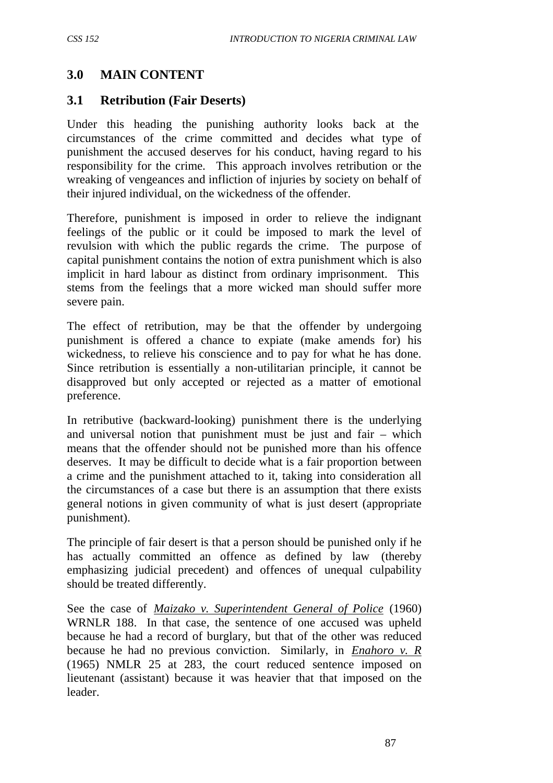### **3.0 MAIN CONTENT**

#### **3.1 Retribution (Fair Deserts)**

Under this heading the punishing authority looks back at the circumstances of the crime committed and decides what type of punishment the accused deserves for his conduct, having regard to his responsibility for the crime. This approach involves retribution or the wreaking of vengeances and infliction of injuries by society on behalf of their injured individual, on the wickedness of the offender.

Therefore, punishment is imposed in order to relieve the indignant feelings of the public or it could be imposed to mark the level of revulsion with which the public regards the crime. The purpose of capital punishment contains the notion of extra punishment which is also implicit in hard labour as distinct from ordinary imprisonment. This stems from the feelings that a more wicked man should suffer more severe pain.

The effect of retribution, may be that the offender by undergoing punishment is offered a chance to expiate (make amends for) his wickedness, to relieve his conscience and to pay for what he has done. Since retribution is essentially a non-utilitarian principle, it cannot be disapproved but only accepted or rejected as a matter of emotional preference.

In retributive (backward-looking) punishment there is the underlying and universal notion that punishment must be just and fair – which means that the offender should not be punished more than his offence deserves. It may be difficult to decide what is a fair proportion between a crime and the punishment attached to it, taking into consideration all the circumstances of a case but there is an assumption that there exists general notions in given community of what is just desert (appropriate punishment).

The principle of fair desert is that a person should be punished only if he has actually committed an offence as defined by law (thereby emphasizing judicial precedent) and offences of unequal culpability should be treated differently.

See the case of *Maizako v. Superintendent General of Police* (1960) WRNLR 188. In that case, the sentence of one accused was upheld because he had a record of burglary, but that of the other was reduced because he had no previous conviction. Similarly, in *Enahoro v. R* (1965) NMLR 25 at 283, the court reduced sentence imposed on lieutenant (assistant) because it was heavier that that imposed on the leader.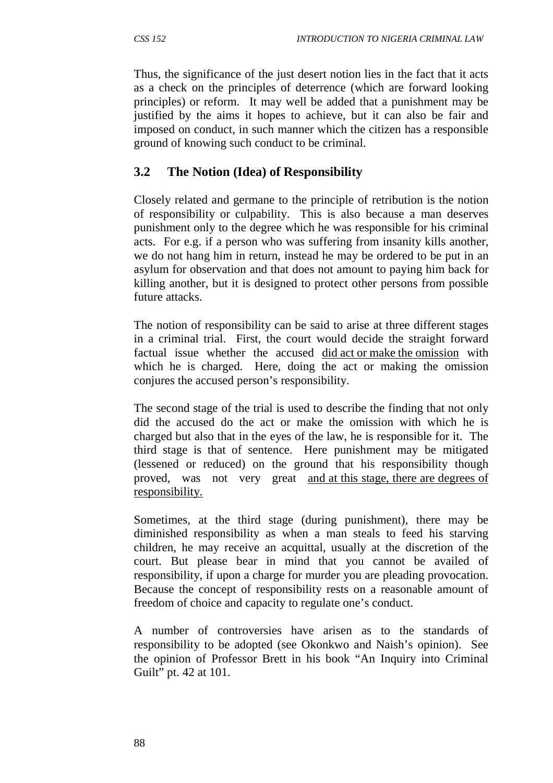Thus, the significance of the just desert notion lies in the fact that it acts as a check on the principles of deterrence (which are forward looking principles) or reform. It may well be added that a punishment may be justified by the aims it hopes to achieve, but it can also be fair and imposed on conduct, in such manner which the citizen has a responsible ground of knowing such conduct to be criminal.

### **3.2 The Notion (Idea) of Responsibility**

Closely related and germane to the principle of retribution is the notion of responsibility or culpability. This is also because a man deserves punishment only to the degree which he was responsible for his criminal acts. For e.g. if a person who was suffering from insanity kills another, we do not hang him in return, instead he may be ordered to be put in an asylum for observation and that does not amount to paying him back for killing another, but it is designed to protect other persons from possible future attacks.

The notion of responsibility can be said to arise at three different stages in a criminal trial. First, the court would decide the straight forward factual issue whether the accused did act or make the omission with which he is charged. Here, doing the act or making the omission conjures the accused person's responsibility.

The second stage of the trial is used to describe the finding that not only did the accused do the act or make the omission with which he is charged but also that in the eyes of the law, he is responsible for it. The third stage is that of sentence. Here punishment may be mitigated (lessened or reduced) on the ground that his responsibility though proved, was not very great and at this stage, there are degrees of responsibility.

Sometimes, at the third stage (during punishment), there may be diminished responsibility as when a man steals to feed his starving children, he may receive an acquittal, usually at the discretion of the court. But please bear in mind that you cannot be availed of responsibility, if upon a charge for murder you are pleading provocation. Because the concept of responsibility rests on a reasonable amount of freedom of choice and capacity to regulate one's conduct.

A number of controversies have arisen as to the standards of responsibility to be adopted (see Okonkwo and Naish's opinion). See the opinion of Professor Brett in his book "An Inquiry into Criminal Guilt" pt. 42 at 101.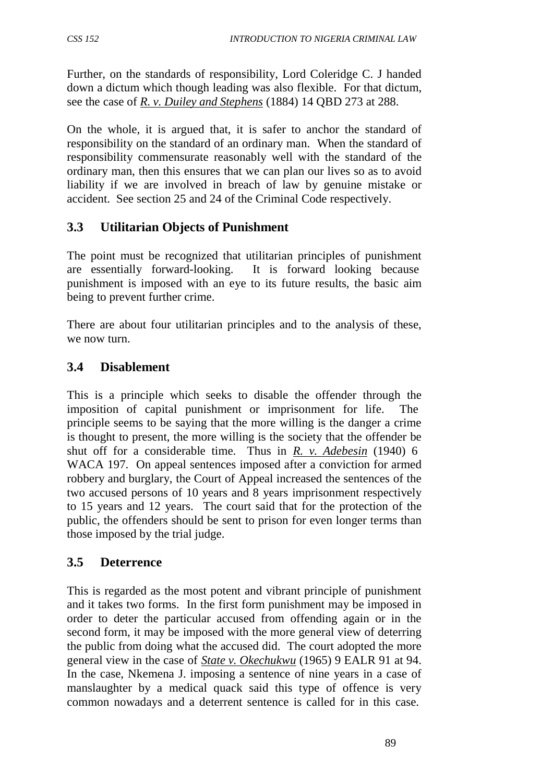Further, on the standards of responsibility, Lord Coleridge C. J handed down a dictum which though leading was also flexible. For that dictum, see the case of *R. v. Duiley and Stephens* (1884) 14 QBD 273 at 288.

On the whole, it is argued that, it is safer to anchor the standard of responsibility on the standard of an ordinary man. When the standard of responsibility commensurate reasonably well with the standard of the ordinary man, then this ensures that we can plan our lives so as to avoid liability if we are involved in breach of law by genuine mistake or accident. See section 25 and 24 of the Criminal Code respectively.

# **3.3 Utilitarian Objects of Punishment**

The point must be recognized that utilitarian principles of punishment are essentially forward-looking. It is forward looking because punishment is imposed with an eye to its future results, the basic aim being to prevent further crime.

There are about four utilitarian principles and to the analysis of these, we now turn.

# **3.4 Disablement**

This is a principle which seeks to disable the offender through the imposition of capital punishment or imprisonment for life. The principle seems to be saying that the more willing is the danger a crime is thought to present, the more willing is the society that the offender be shut off for a considerable time. Thus in *R. v. Adebesin* (1940) 6 WACA 197. On appeal sentences imposed after a conviction for armed robbery and burglary, the Court of Appeal increased the sentences of the two accused persons of 10 years and 8 years imprisonment respectively to 15 years and 12 years. The court said that for the protection of the public, the offenders should be sent to prison for even longer terms than those imposed by the trial judge.

# **3.5 Deterrence**

This is regarded as the most potent and vibrant principle of punishment and it takes two forms. In the first form punishment may be imposed in order to deter the particular accused from offending again or in the second form, it may be imposed with the more general view of deterring the public from doing what the accused did. The court adopted the more general view in the case of *State v. Okechukwu* (1965) 9 EALR 91 at 94. In the case, Nkemena J. imposing a sentence of nine years in a case of manslaughter by a medical quack said this type of offence is very common nowadays and a deterrent sentence is called for in this case.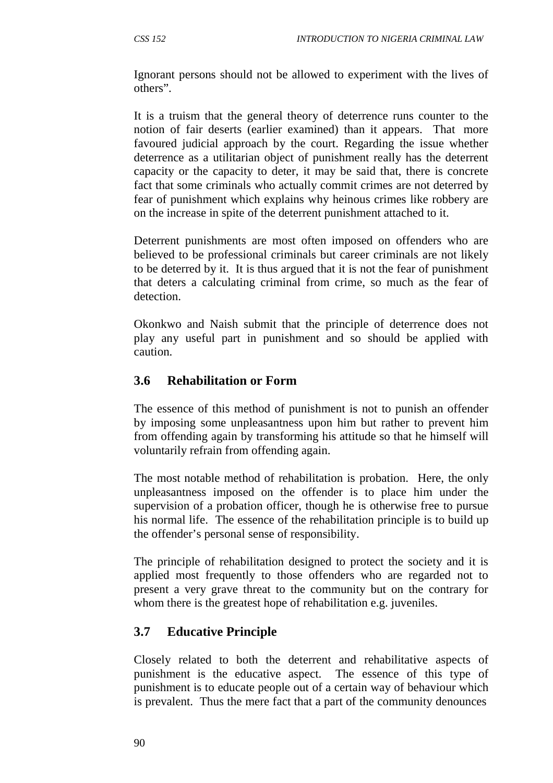Ignorant persons should not be allowed to experiment with the lives of others".

It is a truism that the general theory of deterrence runs counter to the notion of fair deserts (earlier examined) than it appears. That more favoured judicial approach by the court. Regarding the issue whether deterrence as a utilitarian object of punishment really has the deterrent capacity or the capacity to deter, it may be said that, there is concrete fact that some criminals who actually commit crimes are not deterred by fear of punishment which explains why heinous crimes like robbery are on the increase in spite of the deterrent punishment attached to it.

Deterrent punishments are most often imposed on offenders who are believed to be professional criminals but career criminals are not likely to be deterred by it. It is thus argued that it is not the fear of punishment that deters a calculating criminal from crime, so much as the fear of detection.

Okonkwo and Naish submit that the principle of deterrence does not play any useful part in punishment and so should be applied with caution.

### **3.6 Rehabilitation or Form**

The essence of this method of punishment is not to punish an offender by imposing some unpleasantness upon him but rather to prevent him from offending again by transforming his attitude so that he himself will voluntarily refrain from offending again.

The most notable method of rehabilitation is probation. Here, the only unpleasantness imposed on the offender is to place him under the supervision of a probation officer, though he is otherwise free to pursue his normal life. The essence of the rehabilitation principle is to build up the offender's personal sense of responsibility.

The principle of rehabilitation designed to protect the society and it is applied most frequently to those offenders who are regarded not to present a very grave threat to the community but on the contrary for whom there is the greatest hope of rehabilitation e.g. juveniles.

### **3.7 Educative Principle**

Closely related to both the deterrent and rehabilitative aspects of punishment is the educative aspect. The essence of this type of punishment is to educate people out of a certain way of behaviour which is prevalent. Thus the mere fact that a part of the community denounces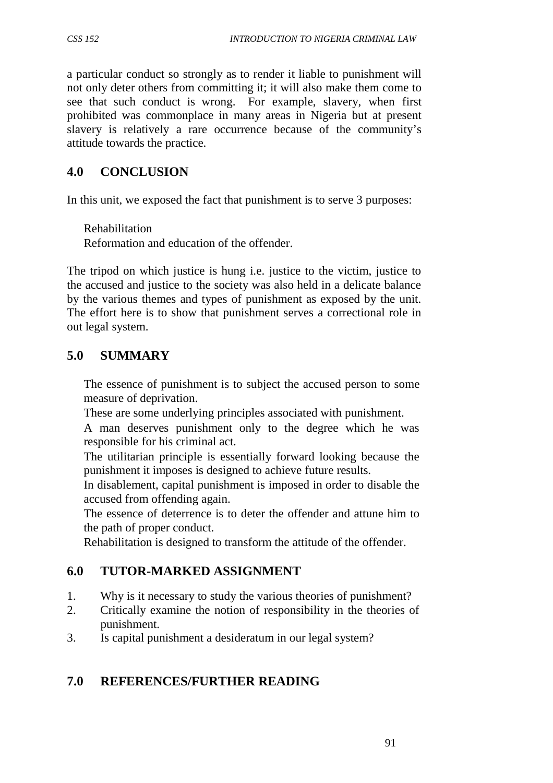a particular conduct so strongly as to render it liable to punishment will not only deter others from committing it; it will also make them come to see that such conduct is wrong. For example, slavery, when first prohibited was commonplace in many areas in Nigeria but at present slavery is relatively a rare occurrence because of the community's attitude towards the practice.

# **4.0 CONCLUSION**

In this unit, we exposed the fact that punishment is to serve 3 purposes:

Rehabilitation Reformation and education of the offender.

The tripod on which justice is hung i.e. justice to the victim, justice to the accused and justice to the society was also held in a delicate balance by the various themes and types of punishment as exposed by the unit. The effort here is to show that punishment serves a correctional role in out legal system.

# **5.0 SUMMARY**

The essence of punishment is to subject the accused person to some measure of deprivation.

These are some underlying principles associated with punishment.

A man deserves punishment only to the degree which he was responsible for his criminal act.

The utilitarian principle is essentially forward looking because the punishment it imposes is designed to achieve future results.

In disablement, capital punishment is imposed in order to disable the accused from offending again.

The essence of deterrence is to deter the offender and attune him to the path of proper conduct.

Rehabilitation is designed to transform the attitude of the offender.

# **6.0 TUTOR-MARKED ASSIGNMENT**

- 1. Why is it necessary to study the various theories of punishment?
- 2. Critically examine the notion of responsibility in the theories of punishment.
- 3. Is capital punishment a desideratum in our legal system?

# **7.0 REFERENCES/FURTHER READING**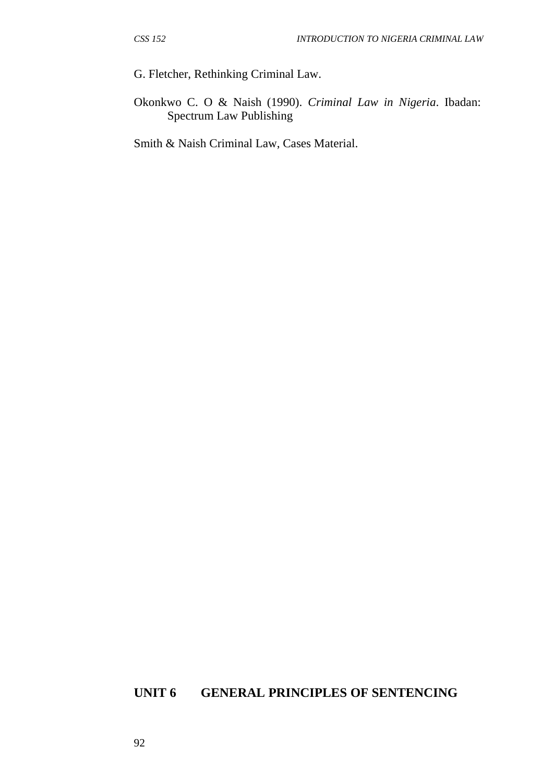G. Fletcher, Rethinking Criminal Law.

Okonkwo C. O & Naish (1990). *Criminal Law in Nigeria*. Ibadan: Spectrum Law Publishing

Smith & Naish Criminal Law, Cases Material.

### **UNIT 6 GENERAL PRINCIPLES OF SENTENCING**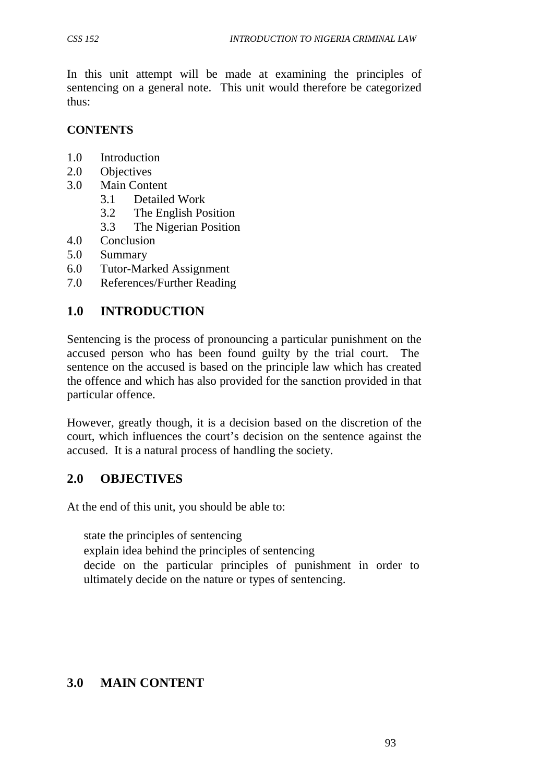In this unit attempt will be made at examining the principles of sentencing on a general note. This unit would therefore be categorized thus:

#### **CONTENTS**

- 1.0 Introduction
- 2.0 Objectives
- 3.0 Main Content
	- 3.1 Detailed Work
	- 3.2 The English Position
	- 3.3 The Nigerian Position
- 4.0 Conclusion
- 5.0 Summary
- 6.0 Tutor-Marked Assignment
- 7.0 References/Further Reading

### **1.0 INTRODUCTION**

Sentencing is the process of pronouncing a particular punishment on the accused person who has been found guilty by the trial court. The sentence on the accused is based on the principle law which has created the offence and which has also provided for the sanction provided in that particular offence.

However, greatly though, it is a decision based on the discretion of the court, which influences the court's decision on the sentence against the accused. It is a natural process of handling the society.

# **2.0 OBJECTIVES**

At the end of this unit, you should be able to:

state the principles of sentencing explain idea behind the principles of sentencing decide on the particular principles of punishment in order to ultimately decide on the nature or types of sentencing.

# **3.0 MAIN CONTENT**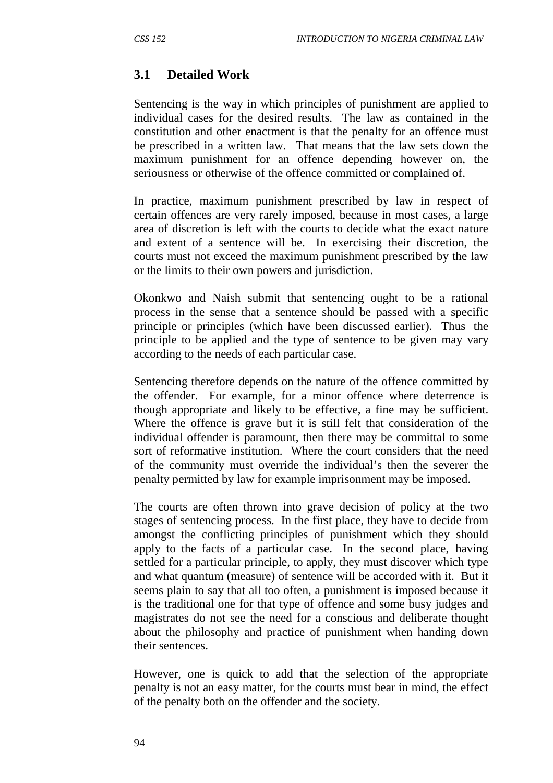#### **3.1 Detailed Work**

Sentencing is the way in which principles of punishment are applied to individual cases for the desired results. The law as contained in the constitution and other enactment is that the penalty for an offence must be prescribed in a written law. That means that the law sets down the maximum punishment for an offence depending however on, the seriousness or otherwise of the offence committed or complained of.

In practice, maximum punishment prescribed by law in respect of certain offences are very rarely imposed, because in most cases, a large area of discretion is left with the courts to decide what the exact nature and extent of a sentence will be. In exercising their discretion, the courts must not exceed the maximum punishment prescribed by the law or the limits to their own powers and jurisdiction.

Okonkwo and Naish submit that sentencing ought to be a rational process in the sense that a sentence should be passed with a specific principle or principles (which have been discussed earlier). Thus the principle to be applied and the type of sentence to be given may vary according to the needs of each particular case.

Sentencing therefore depends on the nature of the offence committed by the offender. For example, for a minor offence where deterrence is though appropriate and likely to be effective, a fine may be sufficient. Where the offence is grave but it is still felt that consideration of the individual offender is paramount, then there may be committal to some sort of reformative institution. Where the court considers that the need of the community must override the individual's then the severer the penalty permitted by law for example imprisonment may be imposed.

The courts are often thrown into grave decision of policy at the two stages of sentencing process. In the first place, they have to decide from amongst the conflicting principles of punishment which they should apply to the facts of a particular case. In the second place, having settled for a particular principle, to apply, they must discover which type and what quantum (measure) of sentence will be accorded with it. But it seems plain to say that all too often, a punishment is imposed because it is the traditional one for that type of offence and some busy judges and magistrates do not see the need for a conscious and deliberate thought about the philosophy and practice of punishment when handing down their sentences.

However, one is quick to add that the selection of the appropriate penalty is not an easy matter, for the courts must bear in mind, the effect of the penalty both on the offender and the society.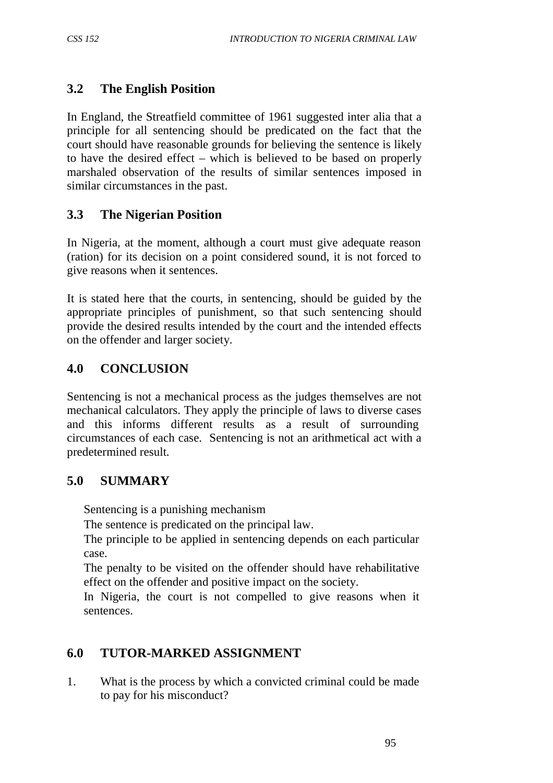## **3.2 The English Position**

In England, the Streatfield committee of 1961 suggested inter alia that a principle for all sentencing should be predicated on the fact that the court should have reasonable grounds for believing the sentence is likely to have the desired effect – which is believed to be based on properly marshaled observation of the results of similar sentences imposed in similar circumstances in the past.

### **3.3 The Nigerian Position**

In Nigeria, at the moment, although a court must give adequate reason (ration) for its decision on a point considered sound, it is not forced to give reasons when it sentences.

It is stated here that the courts, in sentencing, should be guided by the appropriate principles of punishment, so that such sentencing should provide the desired results intended by the court and the intended effects on the offender and larger society.

## **4.0 CONCLUSION**

Sentencing is not a mechanical process as the judges themselves are not mechanical calculators. They apply the principle of laws to diverse cases and this informs different results as a result of surrounding circumstances of each case. Sentencing is not an arithmetical act with a predetermined result.

### **5.0 SUMMARY**

Sentencing is a punishing mechanism

The sentence is predicated on the principal law.

The principle to be applied in sentencing depends on each particular case.

The penalty to be visited on the offender should have rehabilitative effect on the offender and positive impact on the society.

In Nigeria, the court is not compelled to give reasons when it sentences.

# **6.0 TUTOR-MARKED ASSIGNMENT**

1. What is the process by which a convicted criminal could be made to pay for his misconduct?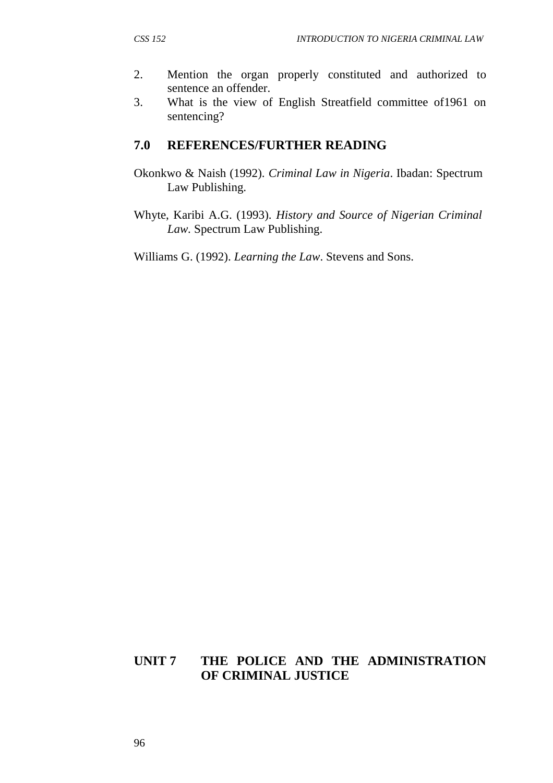- 2. Mention the organ properly constituted and authorized to sentence an offender.
- 3. What is the view of English Streatfield committee of1961 on sentencing?

#### **7.0 REFERENCES/FURTHER READING**

- Okonkwo & Naish (1992). *Criminal Law in Nigeria*. Ibadan: Spectrum Law Publishing.
- Whyte, Karibi A.G. (1993). *History and Source of Nigerian Criminal Law.* Spectrum Law Publishing.

Williams G. (1992). *Learning the Law*. Stevens and Sons.

# **UNIT 7 THE POLICE AND THE ADMINISTRATION OF CRIMINAL JUSTICE**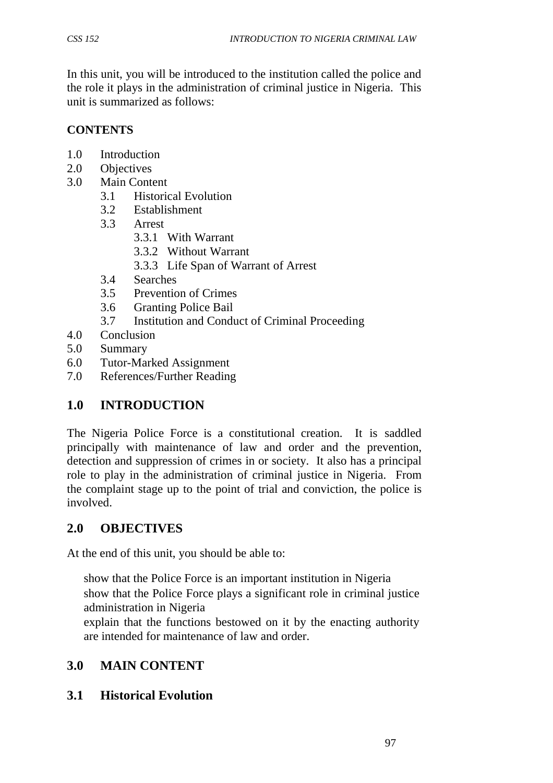In this unit, you will be introduced to the institution called the police and the role it plays in the administration of criminal justice in Nigeria. This unit is summarized as follows:

### **CONTENTS**

- 1.0 Introduction
- 2.0 Objectives
- 3.0 Main Content
	- 3.1 Historical Evolution
	- 3.2 Establishment
	- 3.3 Arrest
		- 3.3.1 With Warrant
		- 3.3.2 Without Warrant
		- 3.3.3 Life Span of Warrant of Arrest
	- 3.4 Searches
	- 3.5 Prevention of Crimes
	- 3.6 Granting Police Bail
	- 3.7 Institution and Conduct of Criminal Proceeding
- 4.0 Conclusion
- 5.0 Summary
- 6.0 Tutor-Marked Assignment
- 7.0 References/Further Reading

## **1.0 INTRODUCTION**

The Nigeria Police Force is a constitutional creation. It is saddled principally with maintenance of law and order and the prevention, detection and suppression of crimes in or society. It also has a principal role to play in the administration of criminal justice in Nigeria. From the complaint stage up to the point of trial and conviction, the police is involved.

## **2.0 OBJECTIVES**

At the end of this unit, you should be able to:

show that the Police Force is an important institution in Nigeria show that the Police Force plays a significant role in criminal justice administration in Nigeria

explain that the functions bestowed on it by the enacting authority are intended for maintenance of law and order.

## **3.0 MAIN CONTENT**

### **3.1 Historical Evolution**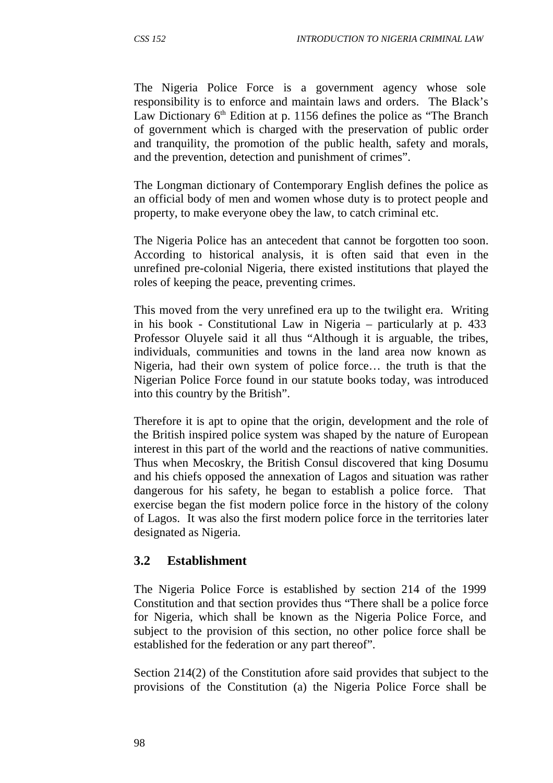The Nigeria Police Force is a government agency whose sole responsibility is to enforce and maintain laws and orders. The Black's Law Dictionary  $6<sup>th</sup>$  Edition at p. 1156 defines the police as "The Branch" of government which is charged with the preservation of public order and tranquility, the promotion of the public health, safety and morals, and the prevention, detection and punishment of crimes".

The Longman dictionary of Contemporary English defines the police as an official body of men and women whose duty is to protect people and property, to make everyone obey the law, to catch criminal etc.

The Nigeria Police has an antecedent that cannot be forgotten too soon. According to historical analysis, it is often said that even in the unrefined pre-colonial Nigeria, there existed institutions that played the roles of keeping the peace, preventing crimes.

This moved from the very unrefined era up to the twilight era. Writing in his book - Constitutional Law in Nigeria – particularly at p. 433 Professor Oluyele said it all thus "Although it is arguable, the tribes, individuals, communities and towns in the land area now known as Nigeria, had their own system of police force… the truth is that the Nigerian Police Force found in our statute books today, was introduced into this country by the British".

Therefore it is apt to opine that the origin, development and the role of the British inspired police system was shaped by the nature of European interest in this part of the world and the reactions of native communities. Thus when Mecoskry, the British Consul discovered that king Dosumu and his chiefs opposed the annexation of Lagos and situation was rather dangerous for his safety, he began to establish a police force. That exercise began the fist modern police force in the history of the colony of Lagos. It was also the first modern police force in the territories later designated as Nigeria.

### **3.2 Establishment**

The Nigeria Police Force is established by section 214 of the 1999 Constitution and that section provides thus "There shall be a police force for Nigeria, which shall be known as the Nigeria Police Force, and subject to the provision of this section, no other police force shall be established for the federation or any part thereof".

Section 214(2) of the Constitution afore said provides that subject to the provisions of the Constitution (a) the Nigeria Police Force shall be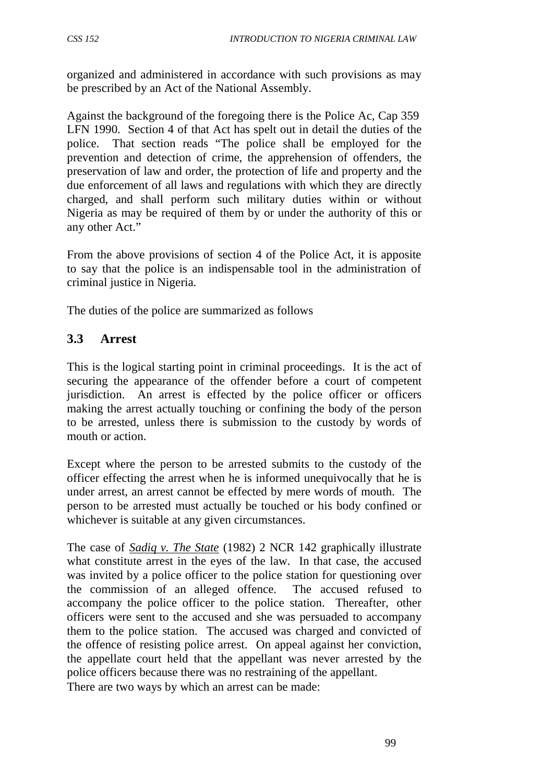organized and administered in accordance with such provisions as may be prescribed by an Act of the National Assembly.

Against the background of the foregoing there is the Police Ac, Cap 359 LFN 1990. Section 4 of that Act has spelt out in detail the duties of the police. That section reads "The police shall be employed for the prevention and detection of crime, the apprehension of offenders, the preservation of law and order, the protection of life and property and the due enforcement of all laws and regulations with which they are directly charged, and shall perform such military duties within or without Nigeria as may be required of them by or under the authority of this or any other Act."

From the above provisions of section 4 of the Police Act, it is apposite to say that the police is an indispensable tool in the administration of criminal justice in Nigeria.

The duties of the police are summarized as follows

### **3.3 Arrest**

This is the logical starting point in criminal proceedings. It is the act of securing the appearance of the offender before a court of competent jurisdiction. An arrest is effected by the police officer or officers making the arrest actually touching or confining the body of the person to be arrested, unless there is submission to the custody by words of mouth or action.

Except where the person to be arrested submits to the custody of the officer effecting the arrest when he is informed unequivocally that he is under arrest, an arrest cannot be effected by mere words of mouth. The person to be arrested must actually be touched or his body confined or whichever is suitable at any given circumstances.

The case of *Sadiq v. The State* (1982) 2 NCR 142 graphically illustrate what constitute arrest in the eyes of the law. In that case, the accused was invited by a police officer to the police station for questioning over the commission of an alleged offence. The accused refused to accompany the police officer to the police station. Thereafter, other officers were sent to the accused and she was persuaded to accompany them to the police station. The accused was charged and convicted of the offence of resisting police arrest. On appeal against her conviction, the appellate court held that the appellant was never arrested by the police officers because there was no restraining of the appellant.

There are two ways by which an arrest can be made: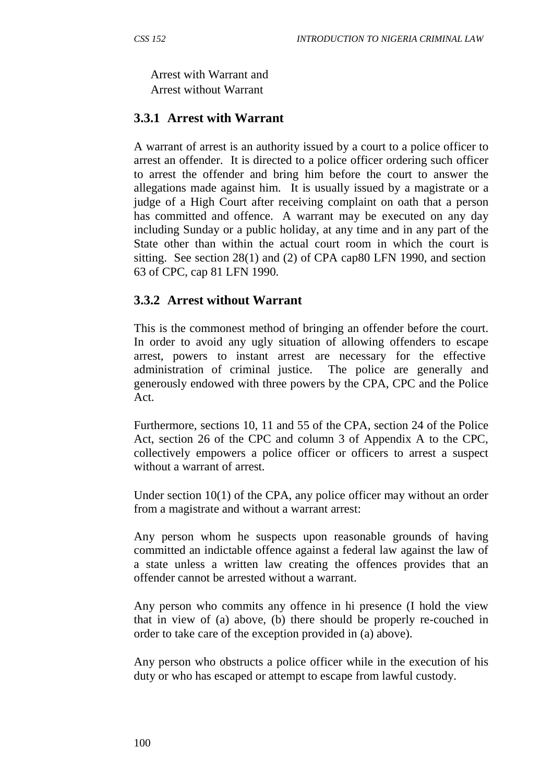Arrest with Warrant and Arrest without Warrant

#### **3.3.1 Arrest with Warrant**

A warrant of arrest is an authority issued by a court to a police officer to arrest an offender. It is directed to a police officer ordering such officer to arrest the offender and bring him before the court to answer the allegations made against him. It is usually issued by a magistrate or a judge of a High Court after receiving complaint on oath that a person has committed and offence. A warrant may be executed on any day including Sunday or a public holiday, at any time and in any part of the State other than within the actual court room in which the court is sitting. See section 28(1) and (2) of CPA cap80 LFN 1990, and section 63 of CPC, cap 81 LFN 1990.

#### **3.3.2 Arrest without Warrant**

This is the commonest method of bringing an offender before the court. In order to avoid any ugly situation of allowing offenders to escape arrest, powers to instant arrest are necessary for the effective administration of criminal justice. The police are generally and generously endowed with three powers by the CPA, CPC and the Police Act.

Furthermore, sections 10, 11 and 55 of the CPA, section 24 of the Police Act, section 26 of the CPC and column 3 of Appendix A to the CPC, collectively empowers a police officer or officers to arrest a suspect without a warrant of arrest.

Under section 10(1) of the CPA, any police officer may without an order from a magistrate and without a warrant arrest:

Any person whom he suspects upon reasonable grounds of having committed an indictable offence against a federal law against the law of a state unless a written law creating the offences provides that an offender cannot be arrested without a warrant.

Any person who commits any offence in hi presence (I hold the view that in view of (a) above, (b) there should be properly re-couched in order to take care of the exception provided in (a) above).

Any person who obstructs a police officer while in the execution of his duty or who has escaped or attempt to escape from lawful custody.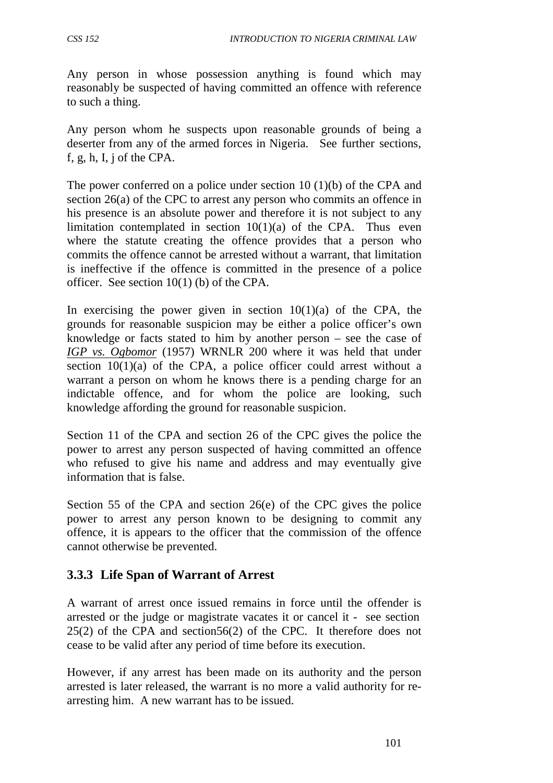Any person in whose possession anything is found which may reasonably be suspected of having committed an offence with reference to such a thing.

Any person whom he suspects upon reasonable grounds of being a deserter from any of the armed forces in Nigeria. See further sections, f, g, h, I, j of the CPA.

The power conferred on a police under section 10 (1)(b) of the CPA and section 26(a) of the CPC to arrest any person who commits an offence in his presence is an absolute power and therefore it is not subject to any limitation contemplated in section 10(1)(a) of the CPA. Thus even where the statute creating the offence provides that a person who commits the offence cannot be arrested without a warrant, that limitation is ineffective if the offence is committed in the presence of a police officer. See section 10(1) (b) of the CPA.

In exercising the power given in section  $10(1)(a)$  of the CPA, the grounds for reasonable suspicion may be either a police officer's own knowledge or facts stated to him by another person – see the case of *IGP vs. Ogbomor* (1957) WRNLR 200 where it was held that under section  $10(1)(a)$  of the CPA, a police officer could arrest without a warrant a person on whom he knows there is a pending charge for an indictable offence, and for whom the police are looking, such knowledge affording the ground for reasonable suspicion.

Section 11 of the CPA and section 26 of the CPC gives the police the power to arrest any person suspected of having committed an offence who refused to give his name and address and may eventually give information that is false.

Section 55 of the CPA and section 26(e) of the CPC gives the police power to arrest any person known to be designing to commit any offence, it is appears to the officer that the commission of the offence cannot otherwise be prevented.

## **3.3.3 Life Span of Warrant of Arrest**

A warrant of arrest once issued remains in force until the offender is arrested or the judge or magistrate vacates it or cancel it - see section 25(2) of the CPA and section56(2) of the CPC. It therefore does not cease to be valid after any period of time before its execution.

However, if any arrest has been made on its authority and the person arrested is later released, the warrant is no more a valid authority for rearresting him. A new warrant has to be issued.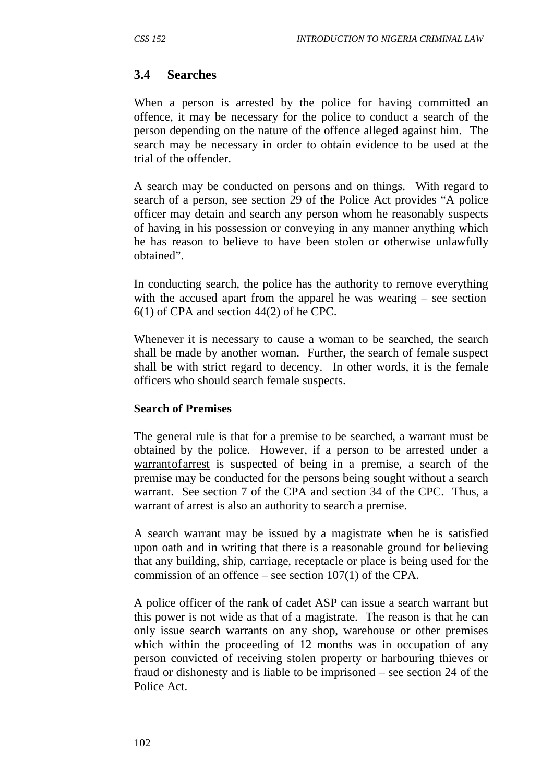### **3.4 Searches**

When a person is arrested by the police for having committed an offence, it may be necessary for the police to conduct a search of the person depending on the nature of the offence alleged against him. The search may be necessary in order to obtain evidence to be used at the trial of the offender.

A search may be conducted on persons and on things. With regard to search of a person, see section 29 of the Police Act provides "A police officer may detain and search any person whom he reasonably suspects of having in his possession or conveying in any manner anything which he has reason to believe to have been stolen or otherwise unlawfully obtained".

In conducting search, the police has the authority to remove everything with the accused apart from the apparel he was wearing – see section 6(1) of CPA and section 44(2) of he CPC.

Whenever it is necessary to cause a woman to be searched, the search shall be made by another woman. Further, the search of female suspect shall be with strict regard to decency. In other words, it is the female officers who should search female suspects.

#### **Search of Premises**

The general rule is that for a premise to be searched, a warrant must be obtained by the police. However, if a person to be arrested under a warrant of arrest is suspected of being in a premise, a search of the premise may be conducted for the persons being sought without a search warrant. See section 7 of the CPA and section 34 of the CPC. Thus, a warrant of arrest is also an authority to search a premise.

A search warrant may be issued by a magistrate when he is satisfied upon oath and in writing that there is a reasonable ground for believing that any building, ship, carriage, receptacle or place is being used for the commission of an offence – see section 107(1) of the CPA.

A police officer of the rank of cadet ASP can issue a search warrant but this power is not wide as that of a magistrate. The reason is that he can only issue search warrants on any shop, warehouse or other premises which within the proceeding of 12 months was in occupation of any person convicted of receiving stolen property or harbouring thieves or fraud or dishonesty and is liable to be imprisoned – see section 24 of the Police Act.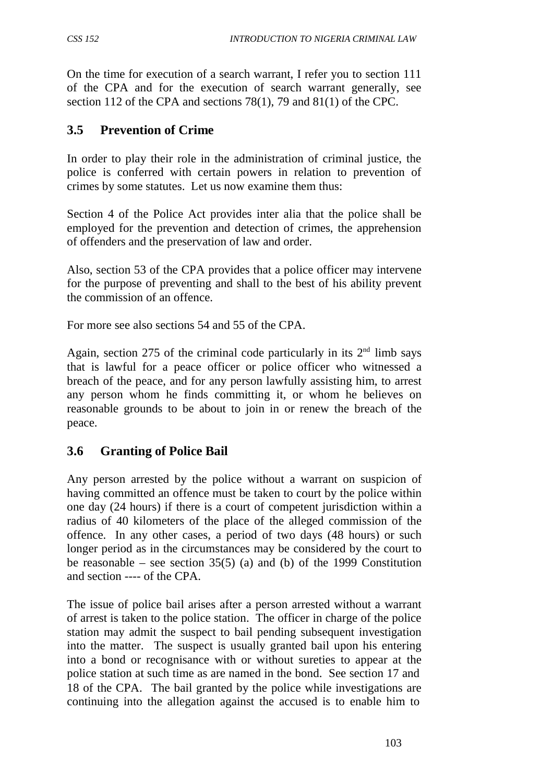On the time for execution of a search warrant, I refer you to section 111 of the CPA and for the execution of search warrant generally, see section 112 of the CPA and sections 78(1), 79 and 81(1) of the CPC.

## **3.5 Prevention of Crime**

In order to play their role in the administration of criminal justice, the police is conferred with certain powers in relation to prevention of crimes by some statutes. Let us now examine them thus:

Section 4 of the Police Act provides inter alia that the police shall be employed for the prevention and detection of crimes, the apprehension of offenders and the preservation of law and order.

Also, section 53 of the CPA provides that a police officer may intervene for the purpose of preventing and shall to the best of his ability prevent the commission of an offence.

For more see also sections 54 and 55 of the CPA.

Again, section 275 of the criminal code particularly in its  $2<sup>nd</sup>$  limb says that is lawful for a peace officer or police officer who witnessed a breach of the peace, and for any person lawfully assisting him, to arrest any person whom he finds committing it, or whom he believes on reasonable grounds to be about to join in or renew the breach of the peace.

## **3.6 Granting of Police Bail**

Any person arrested by the police without a warrant on suspicion of having committed an offence must be taken to court by the police within one day (24 hours) if there is a court of competent jurisdiction within a radius of 40 kilometers of the place of the alleged commission of the offence. In any other cases, a period of two days (48 hours) or such longer period as in the circumstances may be considered by the court to be reasonable – see section  $35(5)$  (a) and (b) of the 1999 Constitution and section ---- of the CPA.

The issue of police bail arises after a person arrested without a warrant of arrest is taken to the police station. The officer in charge of the police station may admit the suspect to bail pending subsequent investigation into the matter. The suspect is usually granted bail upon his entering into a bond or recognisance with or without sureties to appear at the police station at such time as are named in the bond. See section 17 and 18 of the CPA. The bail granted by the police while investigations are continuing into the allegation against the accused is to enable him to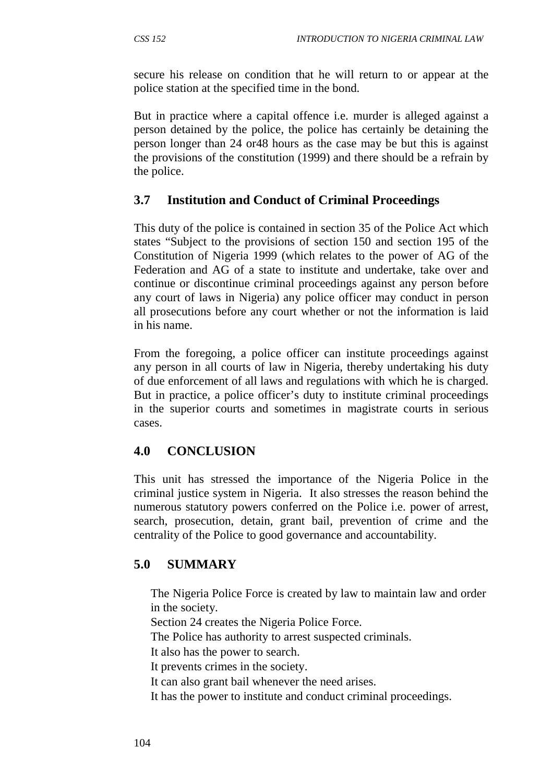secure his release on condition that he will return to or appear at the police station at the specified time in the bond.

But in practice where a capital offence i.e. murder is alleged against a person detained by the police, the police has certainly be detaining the person longer than 24 or48 hours as the case may be but this is against the provisions of the constitution (1999) and there should be a refrain by the police.

### **3.7 Institution and Conduct of Criminal Proceedings**

This duty of the police is contained in section 35 of the Police Act which states "Subject to the provisions of section 150 and section 195 of the Constitution of Nigeria 1999 (which relates to the power of AG of the Federation and AG of a state to institute and undertake, take over and continue or discontinue criminal proceedings against any person before any court of laws in Nigeria) any police officer may conduct in person all prosecutions before any court whether or not the information is laid in his name.

From the foregoing, a police officer can institute proceedings against any person in all courts of law in Nigeria, thereby undertaking his duty of due enforcement of all laws and regulations with which he is charged. But in practice, a police officer's duty to institute criminal proceedings in the superior courts and sometimes in magistrate courts in serious cases.

## **4.0 CONCLUSION**

This unit has stressed the importance of the Nigeria Police in the criminal justice system in Nigeria. It also stresses the reason behind the numerous statutory powers conferred on the Police i.e. power of arrest, search, prosecution, detain, grant bail, prevention of crime and the centrality of the Police to good governance and accountability.

## **5.0 SUMMARY**

The Nigeria Police Force is created by law to maintain law and order in the society.

Section 24 creates the Nigeria Police Force.

The Police has authority to arrest suspected criminals.

It also has the power to search.

It prevents crimes in the society.

It can also grant bail whenever the need arises.

It has the power to institute and conduct criminal proceedings.